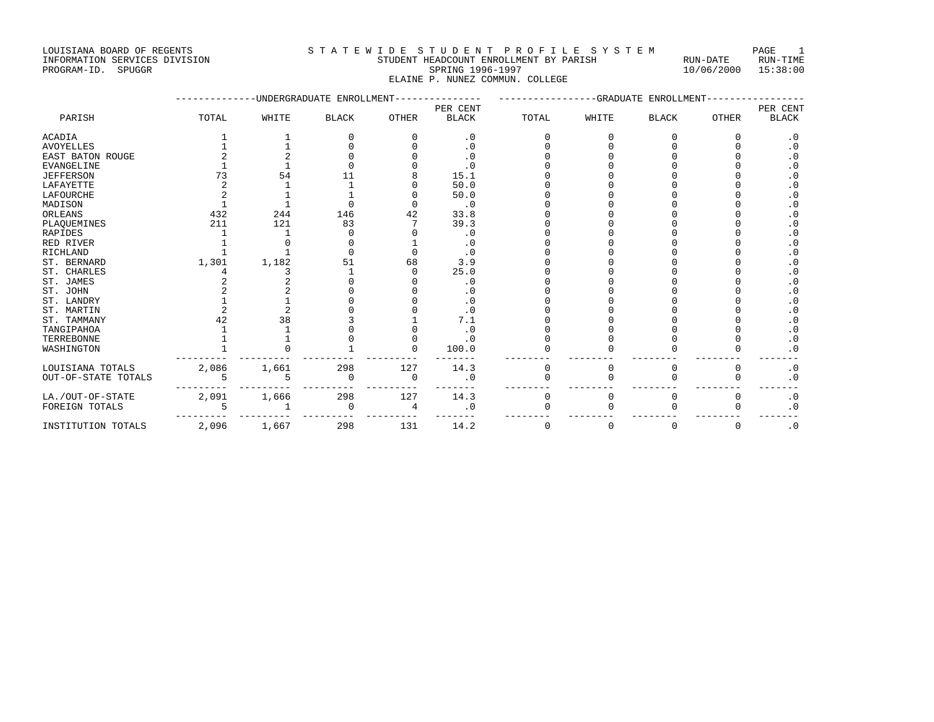### INFORMATION SERVICES DIVISION STUDENT HEADCOUNT ENROLLMENT BY PARISH RUN-DATE RUN-TIME PROGRAM-ID. SPUGGR SPRING 1996-1997 10/06/2000 15:38:00 ELAINE P. NUNEZ COMMUN. COLLEGE

|                         |       |       | UNDERGRADUATE ENROLLMENT |              | -GRADUATE<br>ENROLLMENT |       |             |              |              |                        |
|-------------------------|-------|-------|--------------------------|--------------|-------------------------|-------|-------------|--------------|--------------|------------------------|
|                         |       |       |                          |              | PER CENT                |       |             |              |              | PER CENT               |
| PARISH                  | TOTAL | WHITE | <b>BLACK</b>             | <b>OTHER</b> | <b>BLACK</b>            | TOTAL | WHITE       | <b>BLACK</b> | <b>OTHER</b> | <b>BLACK</b>           |
| <b>ACADIA</b>           |       |       |                          |              | $\cdot$ 0               |       |             |              | 0            | $\cdot$ 0              |
| <b>AVOYELLES</b>        |       |       |                          |              | $\cdot$ 0               |       |             |              |              | $\cdot$ 0              |
| <b>EAST BATON ROUGE</b> |       |       |                          |              | $\cdot$ 0               |       |             |              |              | $\cdot$ 0              |
| <b>EVANGELINE</b>       |       |       |                          |              | $\cdot$ 0               |       |             |              |              | . 0                    |
| <b>JEFFERSON</b>        | 73    | 54    |                          |              | 15.1                    |       |             |              |              | $\cdot$ 0              |
| LAFAYETTE               |       |       |                          |              | 50.0                    |       |             |              |              | . 0                    |
| <b>LAFOURCHE</b>        |       |       |                          |              | 50.0                    |       |             |              |              | $\cdot$ 0              |
| MADISON                 |       |       |                          |              | $\cdot$ 0               |       |             |              |              | $\cdot$ 0              |
| ORLEANS                 | 432   | 244   | 146                      | 42           | 33.8                    |       |             |              |              | . 0                    |
| PLAQUEMINES             | 211   | 121   | 83                       |              | 39.3                    |       |             |              |              | . 0                    |
| <b>RAPIDES</b>          |       |       |                          |              | $\cdot$ 0               |       |             |              |              | $\cdot$ 0              |
| RED RIVER               |       |       |                          |              | $\cdot$ 0               |       |             |              |              | $\cdot$ 0              |
| RICHLAND                |       |       |                          |              | $\cdot$ 0               |       |             |              |              | . 0                    |
| ST. BERNARD             | 1,301 | 1,182 | 51                       | 68           | 3.9                     |       |             |              |              | . 0                    |
| ST. CHARLES             |       |       |                          |              | 25.0                    |       |             |              |              | $\cdot$ 0              |
| ST. JAMES               |       |       |                          |              | $\cdot$ 0               |       |             |              |              | $\cdot$ 0              |
| ST. JOHN                |       |       |                          |              | $\cdot$ 0               |       |             |              |              | $\boldsymbol{\cdot}$ 0 |
| ST. LANDRY              |       |       |                          |              | $\cdot$ 0               |       |             |              |              | . 0                    |
| ST. MARTIN              |       |       |                          |              | $\cdot$ 0               |       |             |              |              | $\cdot$ 0              |
| ST. TAMMANY             | 42    | 38    |                          |              | 7.1                     |       |             |              |              | $\cdot$ 0              |
| TANGIPAHOA              |       |       |                          |              | $\cdot$ 0               |       |             |              |              | . 0                    |
| TERREBONNE              |       |       |                          |              | $\cdot$ 0               |       |             |              |              | . 0                    |
| WASHINGTON              |       |       |                          |              | 100.0                   |       |             |              |              | $\cdot$ 0              |
| LOUISIANA TOTALS        | 2,086 | 1,661 | 298                      | 127          | 14.3                    |       | $\Omega$    |              | 0            | $\cdot$ 0              |
| OUT-OF-STATE TOTALS     |       | 5     | $\Omega$                 | $\Omega$     | $\cdot$ 0               |       | ∩           | ∩            | $\Omega$     | $\cdot$ 0              |
| LA./OUT-OF-STATE        | 2,091 | 1,666 | 298                      | 127          | 14.3                    |       | 0           |              | 0            | $\cdot$ 0              |
| FOREIGN TOTALS          |       |       | $\mathbf 0$              | 4            | $\cdot$ 0               |       |             |              |              | $\cdot$ 0              |
| INSTITUTION TOTALS      | 2,096 | 1,667 | 298                      | 131          | 14.2                    | 0     | $\mathbf 0$ | $\Omega$     | 0            | $\cdot$ 0              |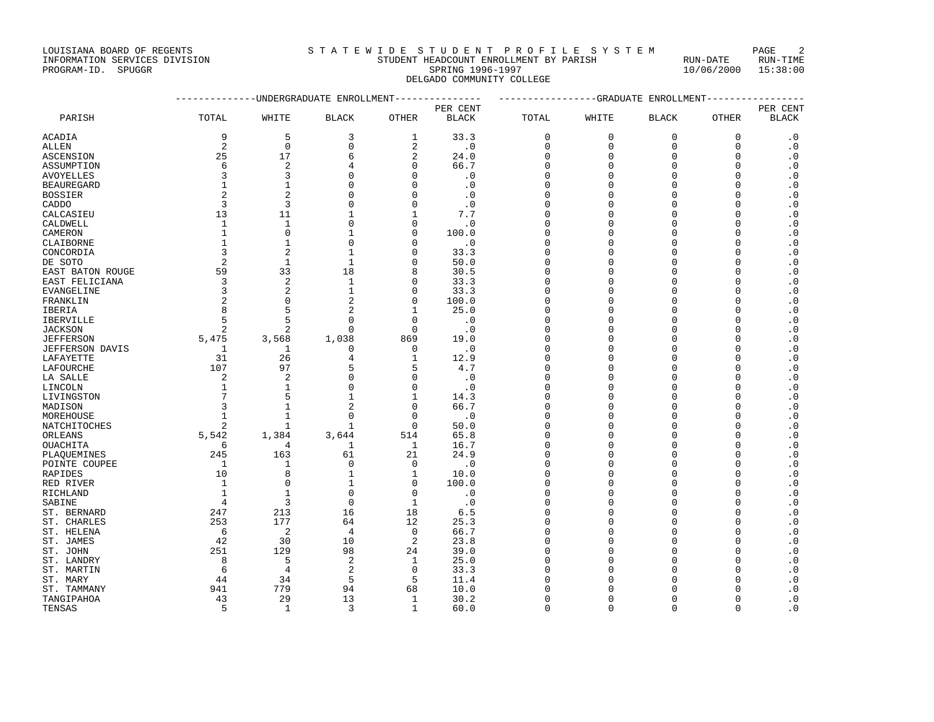# INFORMATION SERVICES DIVISION STUDENT HEADCOUNT ENROLLMENT BY PARISH RUN-DATE RUN-TIME PROGRAM-ID. SPUGGR SPUGGR SPUGGR SPUGGRAM-ID. SPUGGRAM-ID. SPUGGRAM-ID. SPUGGRAM-ID. SPUGGRAM-ID. SPUGGRAM-ID. SPUGGRAM-ID. SPUGGRAM-ID. SPUGGRAM-ID. SPUGGRAM-ID. SPUGGRAM-ID. SPUGGRAM-ID. SPUGGRAM-ID. SPUGGRAM-ID. SPUGGRA

DELGADO COMMUNITY COLLEGE

|                  |                |                | ------------UNDERGRADUATE ENROLLMENT--------------- |                | ---------------GRADUATE ENROLLMENT---------------- |              |              |              |              |              |
|------------------|----------------|----------------|-----------------------------------------------------|----------------|----------------------------------------------------|--------------|--------------|--------------|--------------|--------------|
|                  |                |                |                                                     |                | PER CENT                                           |              |              |              |              | PER CENT     |
| PARISH           | TOTAL          | WHITE          | <b>BLACK</b>                                        | <b>OTHER</b>   | <b>BLACK</b>                                       | TOTAL        | WHITE        | <b>BLACK</b> | <b>OTHER</b> | <b>BLACK</b> |
| ACADIA           | 9              | 5              | 3                                                   | 1              | 33.3                                               | $\mathbf 0$  | $\mathbf{0}$ | $\mathbf 0$  | $\mathbf 0$  | $\cdot$ 0    |
| ALLEN            | $\sqrt{2}$     | $\mathbf 0$    | $\mathbf 0$                                         | 2              | $\cdot$ 0                                          | 0            | $\mathbf{0}$ | 0            | $\mathbf 0$  | $\cdot$ 0    |
| ASCENSION        | 25             | 17             | 6                                                   | $\overline{a}$ | 24.0                                               | $\Omega$     | $\mathbf{0}$ | $\Omega$     | $\Omega$     | $\cdot$ 0    |
| ASSUMPTION       | 6              | $\overline{2}$ | 4                                                   | $\Omega$       | 66.7                                               | $\Omega$     | $\Omega$     | $\Omega$     | $\mathbf 0$  | $\cdot$ 0    |
| AVOYELLES        | 3              | 3              | $\Omega$                                            | O              | $\cdot$ 0                                          | 0            | $\Omega$     | $\Omega$     | 0            | $\cdot$ 0    |
| BEAUREGARD       | 1              | 1              | $\Omega$                                            | ∩              | $\cdot$ 0                                          | <sup>0</sup> | $\cap$       | $\Omega$     | $\Omega$     | $\cdot$ 0    |
| BOSSIER          | $\overline{2}$ | $\overline{2}$ | $\Omega$                                            | $\Omega$       | $\cdot$ 0                                          | $\Omega$     | $\Omega$     | $\Omega$     | $\Omega$     | $\cdot$ 0    |
| CADDO            | 3              | 3              | $\mathbf 0$                                         | O              | $\cdot$ 0                                          | 0            | $\Omega$     | $\Omega$     | 0            | $\cdot$ 0    |
| CALCASIEU        | 13             | 11             | 1                                                   |                | 7.7                                                | $\Omega$     | $\Omega$     | $\Omega$     | $\Omega$     | $\cdot$ 0    |
| CALDWELL         | 1              | $\mathbf{1}$   | $\Omega$                                            | $\Omega$       | $\cdot$ 0                                          | $\Omega$     | $\Omega$     | $\Omega$     | $\Omega$     | $\cdot$ 0    |
| CAMERON          | $\mathbf{1}$   | $\Omega$       | 1                                                   | $\Omega$       | 100.0                                              | 0            | $\Omega$     | $\Omega$     | $\Omega$     | $\cdot$ 0    |
| CLAIBORNE        | 1              | 1              | $\Omega$                                            | O              | $\cdot$ 0                                          | $\Omega$     | $\Omega$     | $\Omega$     | $\Omega$     | $\cdot$ 0    |
| CONCORDIA        | 3              | $\overline{2}$ | $\mathbf{1}$                                        | ∩              | 33.3                                               | $\Omega$     | $\Omega$     | $\Omega$     | $\Omega$     | $\cdot$ 0    |
| DE SOTO          | $\overline{2}$ | 1              | 1                                                   | ∩              | 50.0                                               | $\Omega$     | $\Omega$     | $\Omega$     | U            | $\cdot$ 0    |
| EAST BATON ROUGE | 59             | 33             | 18                                                  | 8              | 30.5                                               | $\Omega$     | $\Omega$     | $\Omega$     | $\Omega$     | $\cdot$ 0    |
| EAST FELICIANA   | 3              | $\overline{2}$ | $\mathbf{1}$                                        | $\Omega$       | 33.3                                               | $\Omega$     | $\Omega$     | $\Omega$     | O            | $\cdot$ 0    |
| EVANGELINE       | 3              | $\overline{2}$ | $\mathbf{1}$                                        | $\Omega$       | 33.3                                               | $\Omega$     | $\Omega$     | $\cap$       | O            | $\cdot$ 0    |
| FRANKLIN         | $\overline{2}$ | $\Omega$       | 2                                                   | 0              | 100.0                                              | 0            | $\Omega$     | $\Omega$     | U            | $\cdot$ 0    |
| IBERIA           | 8              | 5              | $\mathcal{D}$                                       | 1              | 25.0                                               | $\Omega$     | $\Omega$     | $\Omega$     | U            | $\cdot$ 0    |
| IBERVILLE        | 5              | 5              | $\Omega$                                            | $\mathbf 0$    | $\cdot$ 0                                          | $\Omega$     | $\Omega$     | $\Omega$     | 0            | $\cdot$ 0    |
| JACKSON          | $\overline{c}$ | $\overline{2}$ | $\Omega$                                            | $\Omega$       | $\cdot$ 0                                          | <sup>0</sup> | $\Omega$     | $\Omega$     | O            | $\cdot$ 0    |
| JEFFERSON        | 5,475          | 3,568          | 1,038                                               | 869            | 19.0                                               | <sup>0</sup> | $\Omega$     | U            | U            | $\cdot$ 0    |
| JEFFERSON DAVIS  | 1              | 1              | $\Omega$                                            | $\Omega$       | $\cdot$ 0                                          | $\Omega$     | $\Omega$     | $\Omega$     | $\Omega$     | $\cdot$ 0    |
| LAFAYETTE        | 31             | 26             | 4                                                   | 1              | 12.9                                               | $\Omega$     | $\Omega$     | $\Omega$     | 0            | $\cdot$ 0    |
| LAFOURCHE        | 107            | 97             | 5                                                   | 5              | 4.7                                                | ∩            | $\Omega$     | C            | U            | $\cdot$ 0    |
| LA SALLE         | 2              | $\overline{2}$ | $\Omega$                                            | O              | $\cdot$ 0                                          | $\Omega$     | $\Omega$     | $\Omega$     | O            | $\cdot$ 0    |
| LINCOLN          | 1              | 1              | $\Omega$                                            | O              | $\cdot$ 0                                          | <sup>0</sup> | $\Omega$     | $\Omega$     | $\Omega$     | $\cdot$ 0    |
| LIVINGSTON       | 7              | 5              | $\mathbf{1}$                                        | $\mathbf{1}$   | 14.3                                               | <sup>0</sup> | $\Omega$     | $\Omega$     | $\Omega$     | $\cdot$ 0    |
| MADISON          | 3              | $\mathbf{1}$   | $\overline{a}$                                      | $\Omega$       | 66.7                                               | $\Omega$     | $\Omega$     | $\cap$       | $\Omega$     | $\cdot$ 0    |
| MOREHOUSE        | 1              | 1              | $\Omega$                                            | $\Omega$       | $\cdot$ 0                                          | $\Omega$     | $\Omega$     | $\Omega$     | U            | $\cdot$ 0    |
| NATCHITOCHES     | 2              | 1              | $\mathbf{1}$                                        | $\Omega$       | 50.0                                               | <sup>0</sup> | $\Omega$     | $\Omega$     | $\Omega$     | $\cdot$ 0    |
| ORLEANS          | 5,542          | 1,384          | 3,644                                               | 514            | 65.8                                               | $\Omega$     | $\Omega$     | $\Omega$     | $\Omega$     | $\cdot$ 0    |
| OUACHITA         | 6              | 4              | 1                                                   | 1              | 16.7                                               | $\Omega$     | $\Omega$     | $\Omega$     | $\mathbf 0$  | $\cdot$ 0    |
| PLAQUEMINES      | 245            | 163            | 61                                                  | 21             | 24.9                                               | 0            | $\Omega$     | $\Omega$     | $\Omega$     | $\cdot$ 0    |
| POINTE COUPEE    | 1              | 1              | $\Omega$                                            | $\Omega$       | $\cdot$ 0                                          | $\Omega$     | $\Omega$     | $\Omega$     | $\Omega$     | $\cdot$ 0    |
| RAPIDES          | 10             | 8              | $\mathbf{1}$                                        | $\mathbf{1}$   | 10.0                                               | $\Omega$     | $\Omega$     | $\Omega$     | $\Omega$     | $\cdot$ 0    |
| RED RIVER        | 1              | $\Omega$       | 1                                                   | 0              | 100.0                                              | 0            | $\Omega$     | $\Omega$     | 0            | $\cdot$ 0    |
| RICHLAND         | 1              |                | $\Omega$                                            | $\Omega$       | $\cdot$ 0                                          | $\Omega$     | $\Omega$     | $\Omega$     | $\Omega$     | $\cdot$ 0    |
| SABINE           | 4              | 3              | $\Omega$                                            | 1              | $\cdot$ 0                                          | $\Omega$     | $\Omega$     | $\Omega$     | $\Omega$     | $\cdot$ 0    |
| ST. BERNARD      | 247            | 213            | 16                                                  | 18             | 6.5                                                | 0            | $\Omega$     | $\Omega$     | $\Omega$     | $\cdot$ 0    |
| ST. CHARLES      | 253            | 177            | 64                                                  | 12             | 25.3                                               | $\Omega$     | $\Omega$     | $\Omega$     | $\Omega$     | $\cdot$ 0    |
| ST. HELENA       | 6              | 2              | 4                                                   | $\Omega$       | 66.7                                               | $\Omega$     | $\Omega$     | $\Omega$     | O            | $\cdot$ 0    |
| ST. JAMES        | 42             | 30             | 10                                                  | 2              | 23.8                                               | $\Omega$     | $\Omega$     | $\Omega$     | U            | $\cdot$ 0    |
| ST. JOHN         | 251            | 129            | 98                                                  | 24             | 39.0                                               | <sup>0</sup> | $\Omega$     | $\Omega$     | $\Omega$     | $\cdot$ 0    |
| ST. LANDRY       | 8              | 5              | 2                                                   | 1              | 25.0                                               | $\Omega$     | $\Omega$     | $\Omega$     | U            | $\cdot$ 0    |
| ST. MARTIN       | 6              | $\overline{4}$ | $\overline{2}$                                      | $\Omega$       | 33.3                                               | <sup>0</sup> | $\Omega$     | C            | O            | $\cdot$ 0    |
| ST. MARY         | 44             | 34             | 5                                                   | 5              | 11.4                                               | $\Omega$     | $\Omega$     | O            | U            | $\cdot$ 0    |
| ST. TAMMANY      | 941            | 779            | 94                                                  | 68             | 10.0                                               |              | $\cap$       |              | U            | $\cdot$ 0    |
| TANGIPAHOA       | 43             | 29             | 13                                                  | 1              | 30.2                                               | <sup>0</sup> | $\Omega$     | O            | U            | $\cdot$ 0    |
| TENSAS           | 5              | -1             | 3                                                   | 1              | 60.0                                               | $\Omega$     | $\Omega$     | $\Omega$     | $\Omega$     | $\cdot$ 0    |
|                  |                |                |                                                     |                |                                                    |              |              |              |              |              |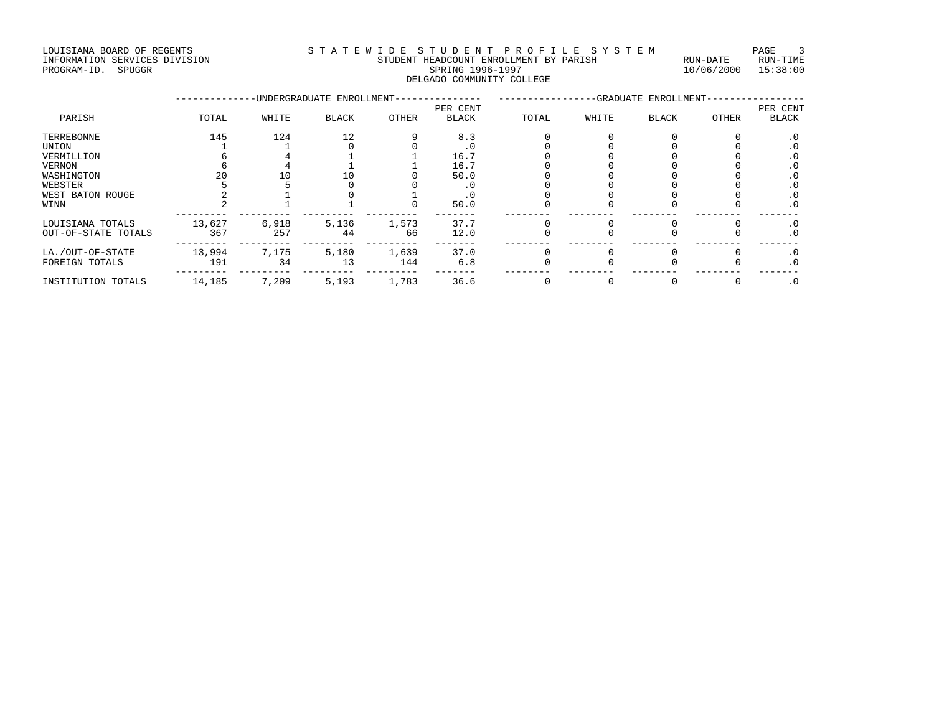#### LOUISIANA BOARD OF REGENTS STATEWIDE STUDENT PROFILE SYSTEM PAGE 3 INFORMATION SERVICES DIVISION STUDENT HEADCOUNT ENROLLMENT BY PARISH RUN-DATE RUN-TIME

| DOOLDIAMA DOANO OF NEGENID    |                                        |            | . 200    |
|-------------------------------|----------------------------------------|------------|----------|
| INFORMATION SERVICES DIVISION | STUDENT HEADCOUNT ENROLLMENT BY PARISH | RIJN-DATE  | RUN-TIME |
| SPUGGR<br>PROGRAM-ID.         | SPRING 1996-1997                       | 10/06/2000 | 15:38:00 |
|                               | DELGADO COMMUNITY COLLEGE              |            |          |

|                     |        |       | -UNDERGRADUATE ENROLLMENT- |       | -GRADUATE ENROLLMENT- |       |       |       |       |           |
|---------------------|--------|-------|----------------------------|-------|-----------------------|-------|-------|-------|-------|-----------|
|                     |        |       |                            |       | PER CENT              |       |       |       |       | PER CENT  |
| PARISH              | TOTAL  | WHITE | <b>BLACK</b>               | OTHER | <b>BLACK</b>          | TOTAL | WHITE | BLACK | OTHER | BLACK     |
| TERREBONNE          | 145    | 124   | 12                         |       | 8.3                   |       |       |       |       | . 0       |
| UNION               |        |       |                            |       |                       |       |       |       |       | $\cdot$ 0 |
| VERMILLION          |        |       |                            |       | 16.7                  |       |       |       |       | $\cdot$ 0 |
| VERNON              |        |       |                            |       | 16.7                  |       |       |       |       | . 0       |
| WASHINGTON          |        |       |                            |       | 50.0                  |       |       |       |       | $\cdot$ 0 |
| WEBSTER             |        |       |                            |       |                       |       |       |       |       | $\cdot$ 0 |
| WEST BATON ROUGE    |        |       |                            |       |                       |       |       |       |       | $\cdot$ 0 |
| WINN                |        |       |                            |       | 50.0                  |       |       |       |       | $\cdot$ 0 |
| LOUISIANA TOTALS    | 13,627 | 6,918 | 5,136                      | 1,573 | 37.7                  |       |       |       |       | $\cdot$ 0 |
| OUT-OF-STATE TOTALS | 367    | 257   | 44                         | 66    | 12.0                  |       |       |       |       | $\cdot$ 0 |
| LA./OUT-OF-STATE    | 13,994 | 7,175 | 5,180                      | 1,639 | 37.0                  |       |       |       |       | $\cdot$ 0 |
| FOREIGN TOTALS      | 191    | 34    | 13                         | 144   | 6.8                   |       |       |       |       | $\cdot$ 0 |
| INSTITUTION TOTALS  | 14,185 | 7,209 | 5,193                      | 1,783 | 36.6                  |       |       |       |       | $\cdot$ 0 |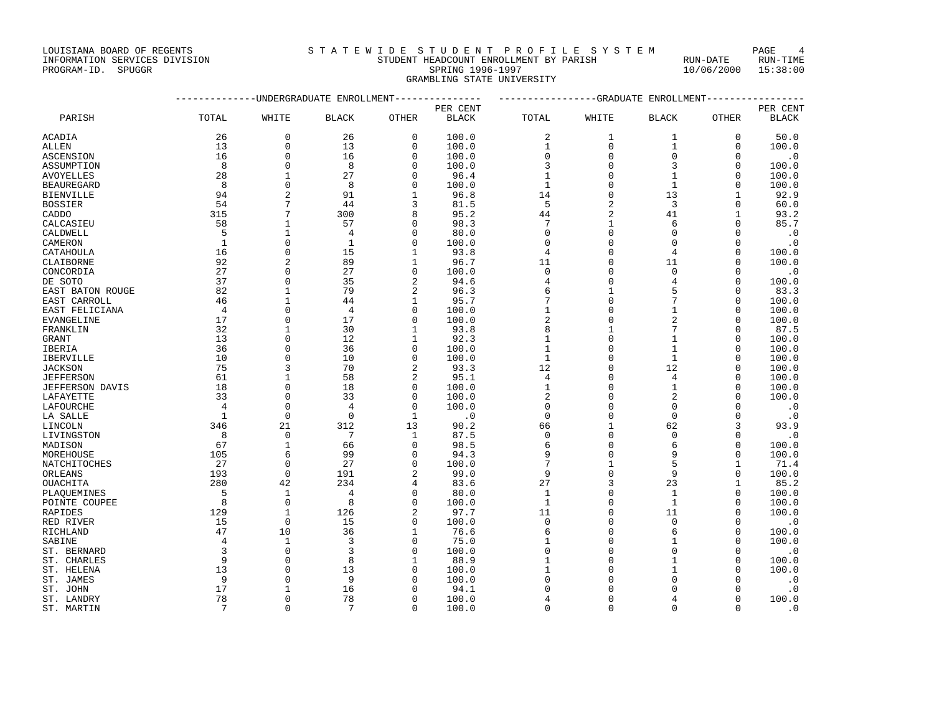INFORMATION SERVICES DIVISION STUDENT HEADCOUNT ENROLLMENT BY PARISH RUN-DATE RUN-TIME

#### LOUISIANA BOARD OF REGENTS STA TEWIDE STUDENT PROFILE SYSTEM PAGE 4

PROGRAM-ID. SPUGGR SPRING 1996-1997 10/06/2000 15:38:00 GRAMBLING STATE UNIVERSITY

|                  | --------------DNDERGRADUATE ENROLLMENT--------------- | ---------------GRADUATE ENROLLMENT-------------- |                |                |              |              |                |                |              |              |
|------------------|-------------------------------------------------------|--------------------------------------------------|----------------|----------------|--------------|--------------|----------------|----------------|--------------|--------------|
|                  |                                                       |                                                  |                |                | PER CENT     |              |                |                |              | PER CENT     |
| PARISH           | TOTAL                                                 | WHITE                                            | <b>BLACK</b>   | OTHER          | <b>BLACK</b> | TOTAL        | WHITE          | <b>BLACK</b>   | OTHER        | <b>BLACK</b> |
| ACADIA           | 26                                                    | 0                                                | 26             | 0              | 100.0        | 2            | 1              | 1              | 0            | 50.0         |
| ALLEN            | 13                                                    | $\mathbf{0}$                                     | 13             | $\Omega$       | 100.0        | 1            | $\mathbf 0$    | $\mathbf{1}$   | $\mathbf 0$  | 100.0        |
| ASCENSION        | 16                                                    | $\mathbf{0}$                                     | 16             | $\Omega$       | 100.0        | 0            | $\mathbf{0}$   | $\mathbf 0$    | $\Omega$     | $\cdot$ 0    |
| ASSUMPTION       | 8                                                     | $\Omega$                                         | 8              | ∩              | 100.0        | 3            | $\Omega$       | 3              | $\Omega$     | 100.0        |
| AVOYELLES        | 28                                                    | 1                                                | 27             | $\Omega$       | 96.4         | $\mathbf{1}$ | $\mathbf{0}$   | $\mathbf{1}$   | $\mathbf 0$  | 100.0        |
| BEAUREGARD       | 8                                                     | $\Omega$                                         | 8              | O              | 100.0        | $\mathbf{1}$ | $\mathbf{0}$   | $\mathbf{1}$   | 0            | 100.0        |
| BIENVILLE        | 94                                                    | $\overline{c}$                                   | 91             |                | 96.8         | 14           | $\Omega$       | 13             | 1            | 92.9         |
| BOSSIER          | 54                                                    | 7                                                | 44             | 3              | 81.5         | 5            | $\overline{2}$ | 3              | $\mathbf 0$  | 60.0         |
| CADDO            | 315                                                   | 7                                                | 300            | 8              | 95.2         | 44           | $\overline{2}$ | 41             | $\mathbf{1}$ | 93.2         |
| CALCASIEU        | 58                                                    | $\mathbf{1}$                                     | 57             | $\Omega$       | 98.3         | 7            | 1              | 6              | $\mathbf 0$  | 85.7         |
| CALDWELL         | 5                                                     | 1                                                | 4              | $\Omega$       | 80.0         | $\mathbf 0$  | $\Omega$       | $\Omega$       | $\Omega$     | $\cdot$ 0    |
| CAMERON          | 1                                                     | $\Omega$                                         | 1              | $\Omega$       | 100.0        | $\Omega$     | $\Omega$       | $\Omega$       | $\Omega$     | $\cdot$ 0    |
| CATAHOULA        | 16                                                    | $\Omega$                                         | 15             | 1              | 93.8         | 4            | $\Omega$       | 4              | $\Omega$     | 100.0        |
| CLAIBORNE        | 92                                                    | 2                                                | 89             | 1              | 96.7         | 11           | $\mathbf 0$    | 11             | 0            | 100.0        |
| CONCORDIA        | 27                                                    | $\Omega$                                         | 27             | $\Omega$       | 100.0        | $\Omega$     | $\Omega$       | $\Omega$       | $\Omega$     | $\cdot$ 0    |
| DE SOTO          | 37                                                    | $\mathbf{0}$                                     | 35             | $\overline{a}$ | 94.6         | 4            | $\mathbf{0}$   | $\overline{4}$ | $\mathbf 0$  | 100.0        |
| EAST BATON ROUGE | 82                                                    | $\mathbf{1}$                                     | 79             | 2              | 96.3         | 6            | 1              | 5              | U            | 83.3         |
| EAST CARROLL     | 46                                                    | $\mathbf{1}$                                     | 44             | 1              | 95.7         | 7            | $\mathbf{0}$   | 7              | $\Omega$     | 100.0        |
| EAST FELICIANA   | 4                                                     | $\Omega$                                         | 4              | 0              | 100.0        | 1            | $\mathbf 0$    | 1              | 0            | 100.0        |
| EVANGELINE       | 17                                                    | $\Omega$                                         | 17             | $\Omega$       | 100.0        | 2            | $\Omega$       |                | $\Omega$     | 100.0        |
| FRANKLIN         | 32                                                    | 1                                                | 30             | 1              | 93.8         | 8            | 1              | 7              | 0            | 87.5         |
| GRANT            | 13                                                    | $\Omega$                                         | 12             | 1              | 92.3         | 1            | $\Omega$       | $\mathbf{1}$   | $\Omega$     | 100.0        |
| IBERIA           | 36                                                    | $\Omega$                                         | 36             | $\mathbf 0$    | 100.0        | 1            | $\Omega$       | $\mathbf{1}$   | $\mathbf 0$  | 100.0        |
| IBERVILLE        | 10                                                    | $\Omega$                                         | 10             | $\Omega$       | 100.0        | 1            | $\Omega$       | $\mathbf{1}$   | $\Omega$     | 100.0        |
| JACKSON          | 75                                                    | 3                                                | 70             | 2              | 93.3         | 12           | $\Omega$       | 12             | $\Omega$     | 100.0        |
| <b>JEFFERSON</b> | 61                                                    | 1                                                | 58             | 2              | 95.1         | 4            | $\Omega$       | 4              | $\Omega$     | 100.0        |
| JEFFERSON DAVIS  | 18                                                    | $\mathbf{0}$                                     | 18             | 0              | 100.0        | 1            | $\Omega$       | $\mathbf{1}$   | 0            | 100.0        |
| LAFAYETTE        | 33                                                    | $\Omega$                                         | 33             | $\Omega$       | 100.0        | 2            | $\Omega$       | $\overline{2}$ | $\Omega$     | 100.0        |
| LAFOURCHE        | $\overline{4}$                                        | $\mathbf{0}$                                     | $\overline{4}$ | $\Omega$       | 100.0        | $\mathbf 0$  | $\Omega$       | $\Omega$       | $\Omega$     | $\cdot$ 0    |
| LA SALLE         | -1                                                    | $\Omega$                                         | $\Omega$       | $\mathbf{1}$   | $\cdot$ 0    | $\Omega$     | $\cap$         | $\Omega$       | $\Omega$     | $\cdot$ 0    |
| LINCOLN          | 346                                                   | 21                                               | 312            | 13             | 90.2         | 66           | $\mathbf{1}$   | 62             | 3            | 93.9         |
| LIVINGSTON       | 8                                                     | $\mathbf 0$                                      | 7              | 1              | 87.5         | 0            | $\Omega$       | $\mathbf 0$    | 0            | $\cdot$ 0    |
| MADISON          | 67                                                    | 1                                                | 66             | $\Omega$       | 98.5         | 6            | $\Omega$       | 6              | $\Omega$     | 100.0        |
| MOREHOUSE        | 105                                                   | 6                                                | 99             | $\Omega$       | 94.3         | 9            | $\Omega$       | 9              | $\mathbf 0$  | 100.0        |
| NATCHITOCHES     | 27                                                    | $\Omega$                                         | 27             | 0              | 100.0        | 7            | 1              | 5              | $\mathbf{1}$ | 71.4         |
| ORLEANS          | 193                                                   | $\mathbf 0$                                      | 191            | $\overline{c}$ | 99.0         | 9            | $\mathbf{0}$   | 9              | $\mathbf 0$  | 100.0        |
| OUACHITA         | 280                                                   | 42                                               | 234            | 4              | 83.6         | 27           | 3              | 23             | 1            | 85.2         |
| PLAOUEMINES      | 5                                                     | $\mathbf{1}$                                     | $\overline{4}$ | $\Omega$       | 80.0         | $\mathbf{1}$ | $\Omega$       | $\mathbf{1}$   | $\Omega$     | 100.0        |
| POINTE COUPEE    | 8                                                     | $\Omega$                                         | 8              | $\Omega$       | 100.0        | $\mathbf{1}$ | $\Omega$       | $\mathbf{1}$   | $\Omega$     | 100.0        |
| RAPIDES          | 129                                                   | $\mathbf{1}$                                     | 126            | 2              | 97.7         | 11           | $\Omega$       | 11             | $\Omega$     | 100.0        |
| RED RIVER        | 15                                                    | $\Omega$                                         | 15             | $\mathbf 0$    | 100.0        | 0            | $\Omega$       | $\Omega$       | $\mathbf 0$  | $\cdot$ 0    |
| RICHLAND         | 47                                                    | 10                                               | 36             | 1              | 76.6         | 6            | $\Omega$       | 6              | $\mathbf 0$  | 100.0        |
| SABINE           | $\overline{4}$                                        | 1                                                | 3              | <sup>0</sup>   | 75.0         | 1            | $\Omega$       | -1             | $\Omega$     | 100.0        |
| ST. BERNARD      | 3                                                     | $\Omega$                                         | $\overline{3}$ | $\Omega$       | 100.0        | 0            | $\Omega$       | $\Omega$       | $\mathbf 0$  | $\cdot$ 0    |
| ST. CHARLES      | 9                                                     | $\mathbf 0$                                      | 8              | 1              | 88.9         | 1            | $\Omega$       | $\mathbf{1}$   | 0            | 100.0        |
| ST. HELENA       | 13                                                    | $\Omega$                                         | 13             | $\cap$         | 100.0        |              | $\Omega$       |                | $\Omega$     | 100.0        |
| ST. JAMES        | 9                                                     | $\Omega$                                         | 9              | ∩              | 100.0        | 0            | $\Omega$       |                | U            | $\cdot$ 0    |
| ST. JOHN         | 17                                                    | 1                                                | 16             |                | 94.1         | ∩            | $\Omega$       |                | $\Omega$     | $\cdot$ 0    |
| ST. LANDRY       | 78                                                    | $\Omega$                                         | 78             | $\Omega$       | 100.0        | 4            | $\Omega$       |                | 0            | 100.0        |
| ST. MARTIN       | $7\phantom{.0}$                                       | $\Omega$                                         | 7              | $\Omega$       | 100.0        | $\Omega$     | $\Omega$       | $\Omega$       | $\Omega$     | $\cdot$ 0    |
|                  |                                                       |                                                  |                |                |              |              |                |                |              |              |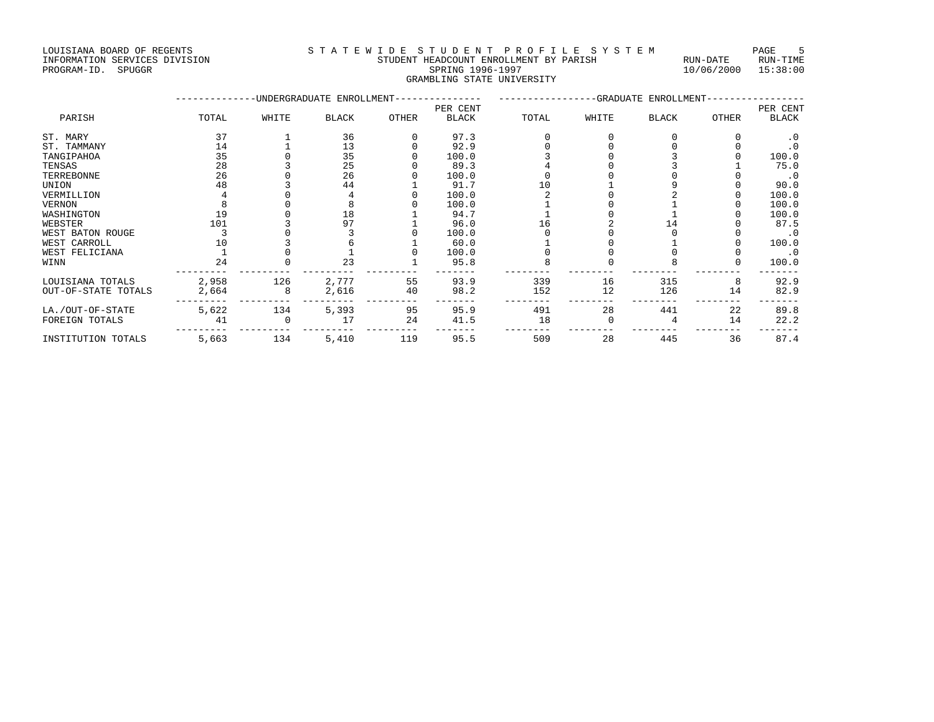LOUISIANA BOARD OF REGENTS STRITE WIDE STUDENT HEADCOUNT ENROLLMENT BY PARISH AUN-DATE RUN-TIME FUN-TIME STUDENT HEADCOUNT ENROLLMENT BY PARISH RUN-DATE RUN-TIME

#### INFORMATION SERVICES DIVISION STUDENT HEADCOUNT ENROLLMENT BY PARISH RUN-DATE RUN-TIME PROGRAM-ID. SPUGGR SPRING 1996-1997 10/06/2000 15:38:00 GRAMBLING STATE UNIVERSITY

|                     |       |       | -UNDERGRADUATE ENROLLMENT-- |       | -------------GRADUATE ENROLLMENT-- |       |       |              |       |           |
|---------------------|-------|-------|-----------------------------|-------|------------------------------------|-------|-------|--------------|-------|-----------|
|                     |       |       |                             |       | PER CENT                           |       |       |              |       | PER CENT  |
| PARISH              | TOTAL | WHITE | <b>BLACK</b>                | OTHER | <b>BLACK</b>                       | TOTAL | WHITE | <b>BLACK</b> | OTHER | BLACK     |
| ST. MARY            | 37    |       | 36                          |       | 97.3                               |       |       |              |       | . 0       |
| ST. TAMMANY         | 14    |       | 13                          |       | 92.9                               |       |       |              |       | $\cdot$ 0 |
| TANGIPAHOA          | 35    |       | 35                          |       | 100.0                              |       |       |              |       | 100.0     |
| TENSAS              | 28    |       | 25                          |       | 89.3                               |       |       |              |       | 75.0      |
| TERREBONNE          | 26    |       | 26                          |       | 100.0                              |       |       |              |       | $\cdot$ 0 |
| UNION               | 48    |       | 44                          |       | 91.7                               |       |       |              |       | 90.0      |
| VERMILLION          |       |       |                             |       | 100.0                              |       |       |              |       | 100.0     |
| VERNON              |       |       |                             |       | 100.0                              |       |       |              |       | 100.0     |
| WASHINGTON          | 19    |       | 18                          |       | 94.7                               |       |       |              |       | 100.0     |
| WEBSTER             | 101   |       | 97                          |       | 96.0                               |       |       |              |       | 87.5      |
| WEST BATON ROUGE    |       |       |                             |       | 100.0                              |       |       |              |       | . 0       |
| WEST CARROLL        |       |       |                             |       | 60.0                               |       |       |              |       | 100.0     |
| WEST FELICIANA      |       |       |                             |       | 100.0                              |       |       |              |       | $\cdot$ 0 |
| WINN                | 24    |       | 23                          |       | 95.8                               |       |       |              |       | 100.0     |
| LOUISIANA TOTALS    | 2,958 | 126   | 2,777                       | 55    | 93.9                               | 339   | 16    | 315          | 8     | 92.9      |
| OUT-OF-STATE TOTALS | 2,664 |       | 2,616                       | 40    | 98.2                               | 152   | 12    | 126          | 14    | 82.9      |
| LA./OUT-OF-STATE    | 5,622 | 134   | 5,393                       | 95    | 95.9                               | 491   | 28    | 441          | 22    | 89.8      |
| FOREIGN TOTALS      | 41    |       | 17                          | 24    | 41.5                               | 18    |       |              | 14    | 22.2      |
| INSTITUTION TOTALS  | 5,663 | 134   | 5,410                       | 119   | 95.5                               | 509   | 28    | 445          | 36    | 87.4      |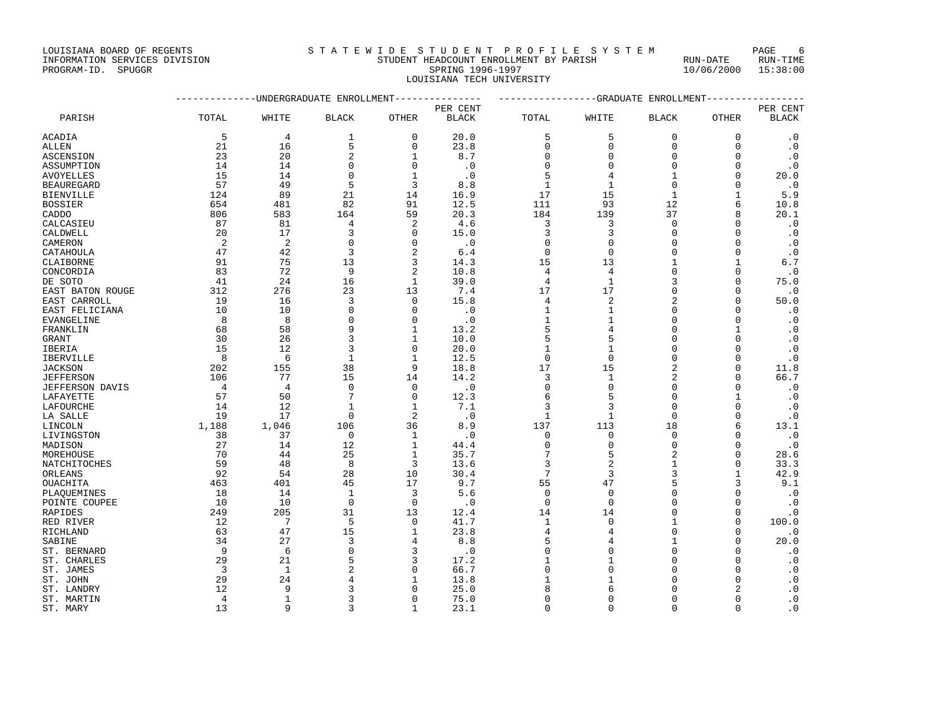# INFORMATION SERVICES DIVISION STUDENT HEADCOUNT ENROLLMENT BY PARISH RUN-DATE RUN-TIME

# PROGRAM-ID. SPUGGR SERVICES DIVISION AND REALLY AND STUDENT HEADCOUNT ENROLLMENT BY PARISH THAT SAND-DATE RUN-DATE RUN-TIME (2000 15:38:00 LOUISIANA TECH UNIVERSITY

|                  | -------------DNDERGRADUATE ENROLLMENT--------------- | ----------------GRADUATE ENROLLMENT---------------- |                |                |              |              |                |                |              |              |
|------------------|------------------------------------------------------|-----------------------------------------------------|----------------|----------------|--------------|--------------|----------------|----------------|--------------|--------------|
|                  |                                                      |                                                     |                |                | PER CENT     |              |                |                |              | PER CENT     |
| PARISH           | TOTAL                                                | WHITE                                               | <b>BLACK</b>   | <b>OTHER</b>   | <b>BLACK</b> | TOTAL        | WHITE          | <b>BLACK</b>   | <b>OTHER</b> | <b>BLACK</b> |
| ACADIA           | 5                                                    | 4                                                   | 1              | $\mathbf 0$    | 20.0         | 5            | 5              | $\mathbf 0$    | 0            | $\cdot$ 0    |
| ALLEN            | 21                                                   | 16                                                  | 5              | $\Omega$       | 23.8         | $\mathbf 0$  | $\mathbf{0}$   | $\Omega$       | $\Omega$     | $\cdot$ 0    |
| ASCENSION        | 23                                                   | 20                                                  | $\overline{c}$ | $\mathbf{1}$   | 8.7          | $\Omega$     | $\mathbf{0}$   | $\Omega$       | O            | $\cdot$ 0    |
| ASSUMPTION       | 14                                                   | 14                                                  | $\Omega$       | $\Omega$       | $\cdot$ 0    | 0            | $\Omega$       | $\Omega$       | 0            | $\cdot$ 0    |
| AVOYELLES        | 15                                                   | 14                                                  | $\Omega$       | $\mathbf{1}$   | $\cdot$ 0    | 5            | 4              | $\mathbf{1}$   | $\Omega$     | 20.0         |
| BEAUREGARD       | 57                                                   | 49                                                  | 5              | 3              | 8.8          | 1            | $\mathbf{1}$   | $\Omega$       | O            | $\cdot$ 0    |
| BIENVILLE        | 124                                                  | 89                                                  | 21             | 14             | 16.9         | 17           | 15             | $\mathbf{1}$   | $\mathbf{1}$ | 5.9          |
| BOSSIER          | 654                                                  | 481                                                 | 82             | 91             | 12.5         | 111          | 93             | 12             | 6            | 10.8         |
| CADDO            | 806                                                  | 583                                                 | 164            | 59             | 20.3         | 184          | 139            | 37             | R            | 20.1         |
| CALCASIEU        | 87                                                   | 81                                                  | 4              | 2              | 4.6          | 3            | 3              | $\Omega$       | $\Omega$     | $\cdot$ 0    |
| CALDWELL         | 20                                                   | 17                                                  | 3              | $\Omega$       | 15.0         | 3            | 3              | $\Omega$       | $\Omega$     | $\cdot$ 0    |
| CAMERON          | 2                                                    | 2                                                   | $\mathbf 0$    | $\Omega$       | $\cdot$ 0    | 0            | $\mathbf{0}$   | $\Omega$       | O            | $\cdot$ 0    |
| CATAHOULA        | 47                                                   | 42                                                  | 3              | $\overline{2}$ | 6.4          | $\Omega$     | $\Omega$       | $\Omega$       | $\Omega$     | $\cdot$ 0    |
| CLAIBORNE        | 91                                                   | 75                                                  | 13             | 3              | 14.3         | 15           | 13             | $\mathbf{1}$   | $\mathbf{1}$ | 6.7          |
| CONCORDIA        | 83                                                   | 72                                                  | 9              | 2              | 10.8         | 4            | 4              | $\Omega$       | $\mathbf 0$  | $\cdot$ 0    |
| DE SOTO          | 41                                                   | 24                                                  | 16             | $\mathbf{1}$   | 39.0         | 4            | $\mathbf{1}$   |                | $\Omega$     | 75.0         |
| EAST BATON ROUGE | 312                                                  | 276                                                 | 23             | 13             | 7.4          | 17           | 17             | $\Omega$       | $\Omega$     | $\cdot$ 0    |
| EAST CARROLL     | 19                                                   | 16                                                  | 3              | $\Omega$       | 15.8         | 4            | 2              |                | $\Omega$     | 50.0         |
| EAST FELICIANA   | 10                                                   | 10                                                  | $\Omega$       | $\Omega$       | $\cdot$ 0    | $\mathbf{1}$ | $\mathbf{1}$   | $\Omega$       | $\Omega$     | $\cdot$ 0    |
| EVANGELINE       | 8                                                    | 8                                                   | $\Omega$       | $\Omega$       | $\cdot$ 0    | 1            | $\mathbf{1}$   | $\Omega$       | 0            | $\cdot$ 0    |
| FRANKLIN         | 68                                                   | 58                                                  | 9              | 1              | 13.2         | 5            | 4              | $\Omega$       | 1            | $\cdot$ 0    |
| GRANT            | 30                                                   | 26                                                  | 3              | 1              | 10.0         | 5            | 5              | $\Omega$       | U            | $\cdot$ 0    |
| IBERIA           | 15                                                   | 12                                                  | 3              | $\Omega$       | 20.0         | 1            | 1              | $\Omega$       | U            | $\cdot$ 0    |
| IBERVILLE        | 8                                                    | 6                                                   | $\mathbf{1}$   | 1              | 12.5         | $\mathbf 0$  | $\Omega$       | $\Omega$       | $\Omega$     | $\cdot$ 0    |
| JACKSON          | 202                                                  | 155                                                 | 38             | 9              | 18.8         | 17           | 15             |                | $\Omega$     | 11.8         |
| JEFFERSON        | 106                                                  | 77                                                  | 15             | 14             | 14.2         | 3            | $\mathbf{1}$   |                | $\mathbf 0$  | 66.7         |
| JEFFERSON DAVIS  | $\overline{4}$                                       | $\overline{4}$                                      | $\Omega$       | $\Omega$       | $\cdot$ 0    | 0            | $\mathbf 0$    | $\Omega$       | $\Omega$     | $\cdot$ 0    |
| LAFAYETTE        | 57                                                   | 50                                                  | 7              | $\Omega$       | 12.3         | 6            | 5              | $\Omega$       | 1            | $\cdot$ 0    |
| LAFOURCHE        | 14                                                   | 12                                                  | $\mathbf{1}$   | $\mathbf{1}$   | 7.1          | 3            | 3              | $\Omega$       | O            | $\cdot$ 0    |
| LA SALLE         | 19                                                   | 17                                                  | $\Omega$       | $\overline{a}$ | $\cdot$ 0    | $\mathbf{1}$ | $\mathbf{1}$   | $\Omega$       | $\Omega$     | $\cdot$ 0    |
| LINCOLN          | 1,188                                                | 1,046                                               | 106            | 36             | 8.9          | 137          | 113            | 18             | 6            | 13.1         |
| LIVINGSTON       | 38                                                   | 37                                                  | $\mathbf 0$    | 1              | $\cdot$ 0    | 0            | $\mathbf 0$    | $\Omega$       | $\Omega$     | $\cdot$ 0    |
| MADISON          | 27                                                   | 14                                                  | 12             | $\mathbf{1}$   | 44.4         | $\Omega$     | $\Omega$       | $\Omega$       | $\Omega$     | $\cdot$ 0    |
| MOREHOUSE        | 70                                                   | 44                                                  | 25             | 1              | 35.7         | 7            | 5              | $\overline{2}$ | 0            | 28.6         |
| NATCHITOCHES     | 59                                                   | 48                                                  | 8              | 3              | 13.6         | 3            | $\overline{2}$ | $\mathbf{1}$   | $\Omega$     | 33.3         |
| ORLEANS          | 92                                                   | 54                                                  | 28             | 10             | 30.4         | 7            | 3              | 3              | $\mathbf{1}$ | 42.9         |
| OUACHITA         | 463                                                  | 401                                                 | 45             | 17             | 9.7          | 55           | 47             |                | 3            | 9.1          |
| PLAOUEMINES      | 18                                                   | 14                                                  | $\mathbf{1}$   | 3              | 5.6          | $\Omega$     | $\Omega$       |                | $\Omega$     | $\cdot$ 0    |
| POINTE COUPEE    | 10                                                   | 10                                                  | $\mathbf 0$    | 0              | $\cdot$ 0    | $\mathbf 0$  | $\mathbf 0$    | $\Omega$       | 0            | $\cdot$ 0    |
| RAPIDES          | 249                                                  | 205                                                 | 31             | 13             | 12.4         | 14           | 14             | $\Omega$       | $\mathbf 0$  | $\cdot$ 0    |
| RED RIVER        | 12                                                   | 7                                                   | 5              | $\Omega$       | 41.7         | 1            | $\Omega$       | $\mathbf{1}$   | $\Omega$     | 100.0        |
| RICHLAND         | 63                                                   | 47                                                  | 15             | $\mathbf{1}$   | 23.8         | 4            | $\overline{4}$ | $\Omega$       | $\Omega$     | $\cdot$ 0    |
| SABINE           | 34                                                   | 27                                                  | 3              | 4              | 8.8          | 5            | 4              |                | $\Omega$     | 20.0         |
| ST. BERNARD      | 9                                                    | 6                                                   | $\Omega$       | 3              | $\cdot$ 0    | 0            | $\Omega$       | $\Omega$       | $\Omega$     | $\cdot$ 0    |
| ST. CHARLES      | 29                                                   | 21                                                  | 5              | 3              | 17.2         |              | 1              |                | U            | $\cdot$ 0    |
| ST. JAMES        | 3                                                    | $\mathbf{1}$                                        | $\overline{2}$ | ∩              | 66.7         | $\Omega$     | $\Omega$       |                | U            | $\cdot$ 0    |
| ST. JOHN         | 29                                                   | 24                                                  |                |                | 13.8         |              | 1              |                | U            | $\cdot$ 0    |
| ST. LANDRY       | 12                                                   | 9                                                   | 3              | $\Omega$       | 25.0         | 8            | 6              | O              | 2            | $\cdot$ 0    |
| ST. MARTIN       | $\overline{4}$                                       | $\mathbf{1}$                                        | 3              | $\Omega$       | 75.0         | $\Omega$     | $\Omega$       | $\Omega$       | $\Omega$     | $\cdot$ 0    |

ST. MARY 13 9 3 1 23.1 0 0 0 0 .0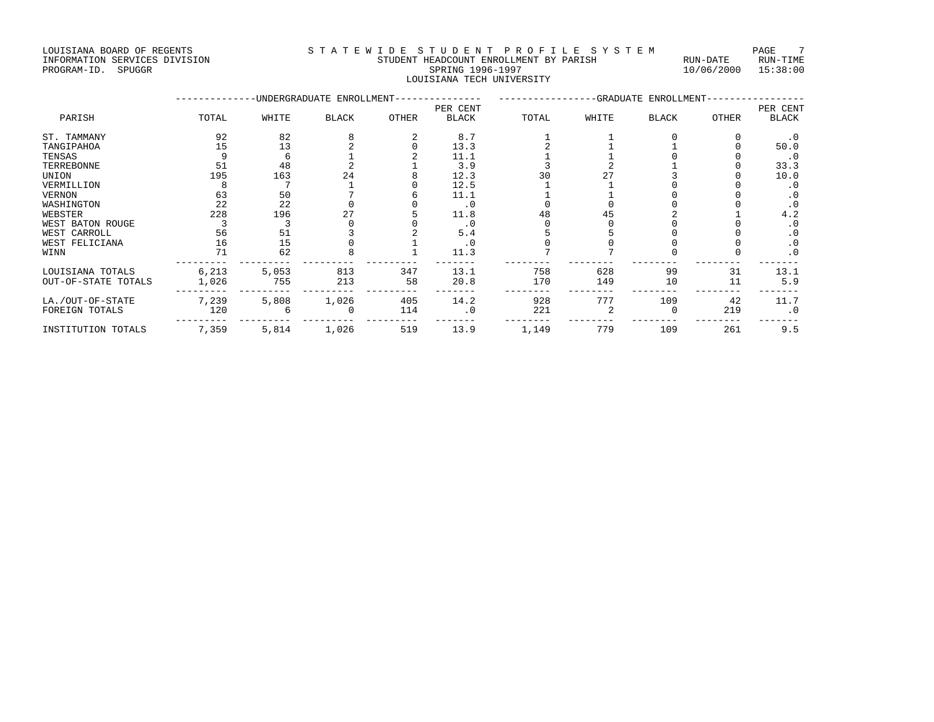# INFORMATION SERVICES DIVISION STUDENT HEADCOUNT ENROLLMENT PROGRAM-ID. SPUGGRAM-ID. SERUNG BY PARISH RUN-DATE RUN-

| LOUISIANA BOARD OF REGENTS    | STATEWIDE STUDENT PROFILE SYSTEM       |          | PAGE     |
|-------------------------------|----------------------------------------|----------|----------|
| INFORMATION SERVICES DIVISION | STUDENT HEADCOUNT ENROLLMENT BY PARISH | RUN-DATE | RUN-TIME |

# LOUISIANA TECH UNIVERSITY

|                     |       |       | -UNDERGRADUATE ENROLLMENT- |              | -GRADUATE ENROLLMENT- |       |       |              |       |              |
|---------------------|-------|-------|----------------------------|--------------|-----------------------|-------|-------|--------------|-------|--------------|
|                     |       |       |                            |              | PER CENT              |       |       |              |       | PER CENT     |
| PARISH              | TOTAL | WHITE | <b>BLACK</b>               | <b>OTHER</b> | <b>BLACK</b>          | TOTAL | WHITE | <b>BLACK</b> | OTHER | <b>BLACK</b> |
| ST. TAMMANY         | 92    | 82    |                            |              | 8.7                   |       |       |              |       | $\cdot$ 0    |
| TANGIPAHOA          | 15    | 13    |                            |              | 13.3                  |       |       |              |       | 50.0         |
| TENSAS              |       | h     |                            |              | 11.1                  |       |       |              |       | $\cdot$ 0    |
| TERREBONNE          | 51    | 48    |                            |              | 3.9                   |       |       |              |       | 33.3         |
| UNION               | 195   | 163   | 24                         |              | 12.3                  | 30    |       |              |       | 10.0         |
| VERMILLION          |       |       |                            |              | 12.5                  |       |       |              |       | $\cdot$ 0    |
| <b>VERNON</b>       | 63    | 50    |                            |              | 11.1                  |       |       |              |       | $\cdot$ 0    |
| WASHINGTON          | 22    | 22    |                            |              | $\cdot$ 0             |       |       |              |       | $\cdot$ 0    |
| WEBSTER             | 228   | 196   |                            |              | 11.8                  | 48    |       |              |       | 4.2          |
| WEST BATON ROUGE    |       |       |                            |              | . 0                   |       |       |              |       | $\cdot$ 0    |
| WEST CARROLL        | 56    | 51    |                            |              | 5.4                   |       |       |              |       | $\cdot$ 0    |
| WEST FELICIANA      | 16    | 15    |                            |              | $\cdot$ 0             |       |       |              |       | $\cdot$ 0    |
| WINN                | 71    | 62    |                            |              | 11.3                  |       |       |              |       | $\cdot$ 0    |
| LOUISIANA TOTALS    | 6,213 | 5,053 | 813                        | 347          | 13.1                  | 758   | 628   | 99           | 31    | 13.1         |
| OUT-OF-STATE TOTALS | 1,026 | 755   | 213                        | 58           | 20.8                  | 170   | 149   | 10           | 11    | 5.9          |
| LA./OUT-OF-STATE    | 7,239 | 5,808 | 1,026                      | 405          | 14.2                  | 928   | 777   | 109          | 42    | 11.7         |
| FOREIGN TOTALS      | 120   |       |                            | 114          | $\cdot$ 0             | 221   |       |              | 219   | $\cdot$ 0    |
| INSTITUTION TOTALS  | 7,359 | 5,814 | 1,026                      | 519          | 13.9                  | 1,149 | 779   | 109          | 261   | 9.5          |

 $10/06/2000$   $15:38:00$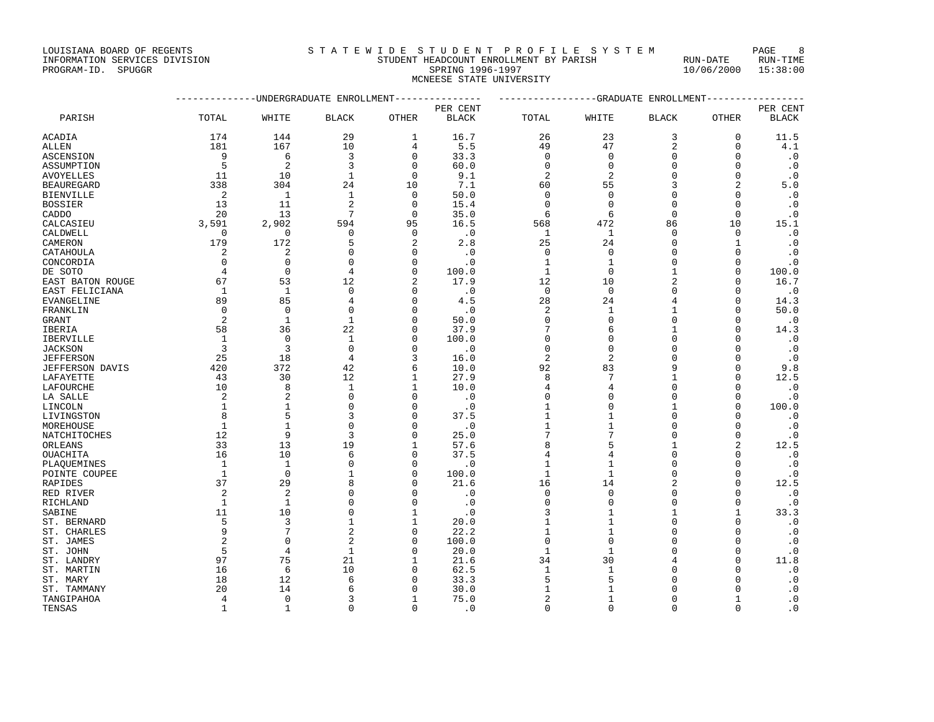#### INFORMATION SERVICES DIVISION STUDENT HEADCOUNT ENROLLMENT BY PARISH RUN-DATE RUN-TIME THE ADCOUNT ENROLLMENT BY PARISH THE RUN-DATE RUN-DATE RUN-DATE RUN-TIME RUN-DATE RUN-TIME RUN-TIME RUN-TIME RUN<br>PROGRAM-ID. SPUGGR 1996-1997 10/06/2000 15:38:00 MCNEESE STATE UNIVERSITY

|                  | -------------DNDERGRADUATE ENROLLMENT-------------- | ----------------GRADUATE ENROLLMENT---------------- |                |                |              |              |                |                |                |              |
|------------------|-----------------------------------------------------|-----------------------------------------------------|----------------|----------------|--------------|--------------|----------------|----------------|----------------|--------------|
|                  |                                                     |                                                     |                |                | PER CENT     |              |                |                |                | PER CENT     |
| PARISH           | TOTAL                                               | WHITE                                               | <b>BLACK</b>   | <b>OTHER</b>   | <b>BLACK</b> | TOTAL        | WHITE          | <b>BLACK</b>   | <b>OTHER</b>   | <b>BLACK</b> |
| ACADIA           | 174                                                 | 144                                                 | 29             | $\mathbf{1}$   | 16.7         | 26           | 23             | 3              | $\mathbf 0$    | 11.5         |
| ALLEN            | 181                                                 | 167                                                 | 10             | 4              | 5.5          | 49           | 47             | $\overline{c}$ | $\Omega$       | 4.1          |
| ASCENSION        | 9                                                   | 6                                                   | 3              | $\Omega$       | 33.3         | $\Omega$     | $\mathbf 0$    | $\Omega$       | $\Omega$       | $\cdot$ 0    |
| ASSUMPTION       | 5                                                   | $\overline{2}$                                      | 3              | $\Omega$       | 60.0         | $\Omega$     | $\mathbf{0}$   | $\cap$         | $\Omega$       | $\cdot$ 0    |
| AVOYELLES        | 11                                                  | 10                                                  | $\mathbf{1}$   | $\Omega$       | 9.1          | 2            | 2              | C              | U              | $\cdot$ 0    |
| BEAUREGARD       | 338                                                 | 304                                                 | 24             | 10             | 7.1          | 60           | 55             |                | 2              | 5.0          |
| BIENVILLE        | 2                                                   | $\mathbf{1}$                                        | $\mathbf{1}$   | $\Omega$       | 50.0         | $\Omega$     | $\Omega$       | $\Omega$       | $\Omega$       | $\cdot$ 0    |
| BOSSIER          | 13                                                  | 11                                                  | $\overline{a}$ | $\Omega$       | 15.4         | $\Omega$     | $\Omega$       | $\Omega$       | $\Omega$       | $\cdot$ 0    |
| CADDO            | 20                                                  | 13                                                  | 7              | $\Omega$       | 35.0         | 6            | 6              | $\Omega$       | $\Omega$       | $\cdot$ 0    |
| CALCASIEU        | 3,591                                               | 2,902                                               | 594            | 95             | 16.5         | 568          | 472            | 86             | 10             | 15.1         |
| CALDWELL         | $\Omega$                                            | $\Omega$                                            | $\mathbf 0$    | $\Omega$       | $\cdot$ 0    | 1            | 1              | $\Omega$       | $\Omega$       | $\cdot$ 0    |
| CAMERON          | 179                                                 | 172                                                 | 5              | $\overline{c}$ | 2.8          | 25           | 24             | $\Omega$       | 1              | $\cdot$ 0    |
| CATAHOULA        | 2                                                   | $\overline{2}$                                      | $\Omega$       | $\Omega$       | $\cdot$ 0    | $\mathbf 0$  | $\mathbf{0}$   | $\Omega$       | $\mathbf 0$    | $\cdot$ 0    |
| CONCORDIA        | $\Omega$                                            | $\Omega$                                            | $\Omega$       | O              | $\cdot$ 0    | 1            | $\mathbf{1}$   | $\Omega$       | $\Omega$       | $\cdot$ 0    |
| DE SOTO          | 4                                                   | $\Omega$                                            | $\overline{4}$ | $\Omega$       | 100.0        | $\mathbf{1}$ | $\Omega$       | $\mathbf{1}$   | $\Omega$       | 100.0        |
| EAST BATON ROUGE | 67                                                  | 53                                                  | 12             | $\overline{2}$ | 17.9         | 12           | 10             | $\overline{c}$ | U              | 16.7         |
| EAST FELICIANA   | 1                                                   | 1                                                   | $\mathbf 0$    | O              | $\cdot$ 0    | $\mathbf 0$  | $\mathbf 0$    | $\Omega$       | 0              | $\cdot$ 0    |
| EVANGELINE       | 89                                                  | 85                                                  | $\overline{4}$ | $\cap$         | 4.5          | 28           | 24             |                | $\Omega$       | 14.3         |
| FRANKLIN         | $\Omega$                                            | $\mathbf{0}$                                        | $\Omega$       | $\Omega$       | $\cdot$ 0    | 2            | $\mathbf{1}$   |                | $\Omega$       | 50.0         |
| GRANT            | 2                                                   | $\mathbf{1}$                                        | $\mathbf{1}$   | $\cap$         | 50.0         | $\Omega$     | $\Omega$       | $\Omega$       | U              | $\cdot$ 0    |
| IBERIA           | 58                                                  | 36                                                  | 22             | ∩              | 37.9         |              | 6              |                | U              | 14.3         |
| IBERVILLE        | 1                                                   | $\Omega$                                            | $\mathbf{1}$   | <sup>0</sup>   | 100.0        | $\Omega$     | $\Omega$       | $\Omega$       | $\Omega$       | $\cdot$ 0    |
| <b>JACKSON</b>   | 3                                                   | 3                                                   | $\Omega$       | ∩              | $\cdot$ 0    | $\Omega$     | $\mathbf{0}$   | $\Omega$       | U              | $\cdot$ 0    |
| JEFFERSON        | 25                                                  | 18                                                  | $\overline{4}$ |                | 16.0         | 2            | $\overline{2}$ | $\Omega$       | $\mathbf 0$    | $\cdot$ 0    |
| JEFFERSON DAVIS  | 420                                                 | 372                                                 | 42             | 6              | 10.0         | 92           | 83             | 9              | $\mathbf 0$    | 9.8          |
| LAFAYETTE        | 43                                                  | 30                                                  | 12             |                | 27.9         | 8            | 7              |                | $\Omega$       | 12.5         |
| LAFOURCHE        | 10                                                  | $\mathsf{R}$                                        | $\mathbf{1}$   |                | 10.0         | 4            | $\overline{4}$ | $\Omega$       | U              | $\cdot$ 0    |
| LA SALLE         | 2                                                   | $\overline{2}$                                      | $\Omega$       | ∩              | $\cdot$ 0    | $\Omega$     | $\Omega$       | $\Omega$       | $\Omega$       | $\cdot$ 0    |
| LINCOLN          | 1                                                   | 1                                                   | $\Omega$       | ∩              | $\cdot$ 0    | 1            | $\Omega$       | $\mathbf{1}$   | $\Omega$       | 100.0        |
| LIVINGSTON       | 8                                                   | 5                                                   | 3              | $\Omega$       | 37.5         | 1            | 1              | $\Omega$       | $\Omega$       | $\cdot$ 0    |
| MOREHOUSE        | 1                                                   | $\mathbf{1}$                                        | $\mathbf 0$    | $\Omega$       | $\cdot$ 0    | 1            | $\mathbf{1}$   | $\Omega$       | 0              | $\cdot$ 0    |
| NATCHITOCHES     | 12                                                  | 9                                                   | $\overline{3}$ | O              | 25.0         | 7            | 7              | $\Omega$       | $\Omega$       | $\cdot$ 0    |
| ORLEANS          | 33                                                  | 13                                                  | 19             |                | 57.6         | 8            | 5              |                | $\overline{a}$ | 12.5         |
| OUACHITA         | 16                                                  | 10                                                  | 6              | O              | 37.5         | 4            | 4              | $\Omega$       | U              | $\cdot$ 0    |
| PLAQUEMINES      | 1                                                   | 1                                                   | $\Omega$       | O              | $\cdot$ 0    |              | 1              | C              | U              | $\cdot$ 0    |
| POINTE COUPEE    | $\mathbf{1}$                                        | $\Omega$                                            | $\mathbf{1}$   | $\Omega$       | 100.0        | $\mathbf{1}$ | $\mathbf 1$    | $\Omega$       | $\Omega$       | $\cdot$ 0    |
| RAPIDES          | 37                                                  | 29                                                  | 8              | ∩              | 21.6         | 16           | 14             |                | $\Omega$       | 12.5         |
| RED RIVER        | $\overline{a}$                                      | $\overline{2}$                                      | $\Omega$       | ∩              | $\cdot$ 0    | $\Omega$     | $\Omega$       | $\Omega$       | $\Omega$       | $\cdot$ 0    |
| RICHLAND         | 1                                                   | 1                                                   | $\Omega$       | ∩              | $\cdot$ 0    | $\Omega$     | $\mathbf{0}$   | $\Omega$       | 0              | $\cdot$ 0    |
| SABINE           | 11                                                  | 10                                                  | $\Omega$       | 1              | $\cdot$ 0    | 3            | 1              | $\mathbf{1}$   | 1              | 33.3         |
| ST. BERNARD      | 5                                                   | 3                                                   | 1              | 1              | 20.0         |              | 1              | $\Omega$       | $\Omega$       | $\cdot$ 0    |
| ST. CHARLES      | 9                                                   | 7                                                   | 2              | $\Omega$       | 22.2         |              | $\mathbf{1}$   | $\Omega$       | O              | $\cdot$ 0    |
| ST. JAMES        | $\overline{2}$                                      | $\Omega$                                            | $\overline{2}$ | $\Omega$       | 100.0        | 0            | $\mathbf{0}$   | $\cap$         | O              | $\cdot$ 0    |
| ST. JOHN         | 5                                                   | 4                                                   | $\mathbf{1}$   | ∩              | 20.0         | $\mathbf{1}$ | $\mathbf{1}$   | $\cap$         | $\Omega$       | $\cdot$ 0    |
| ST. LANDRY       | 97                                                  | 75                                                  | 21             |                | 21.6         | 34           | 30             |                | $\Omega$       | 11.8         |
| ST. MARTIN       | 16                                                  | 6                                                   | 10             |                | 62.5         | 1            | 1              |                | U              | $\cdot$ 0    |
| ST. MARY         | 18                                                  | 12                                                  | 6              |                | 33.3         | 5            | 5              |                | U              | $\cdot$ 0    |
| ST. TAMMANY      | 20                                                  | 14                                                  | 6              | $\Omega$       | 30.0         | 1            | $\mathbf{1}$   | $\Omega$       | $\Omega$       | $\cdot$ 0    |

TANGIPAHOA 4 0 3 1 75.0 2 1 0 1 .0 TENSAS 1 1 1 0 0 .0 0 0 0 0 0 0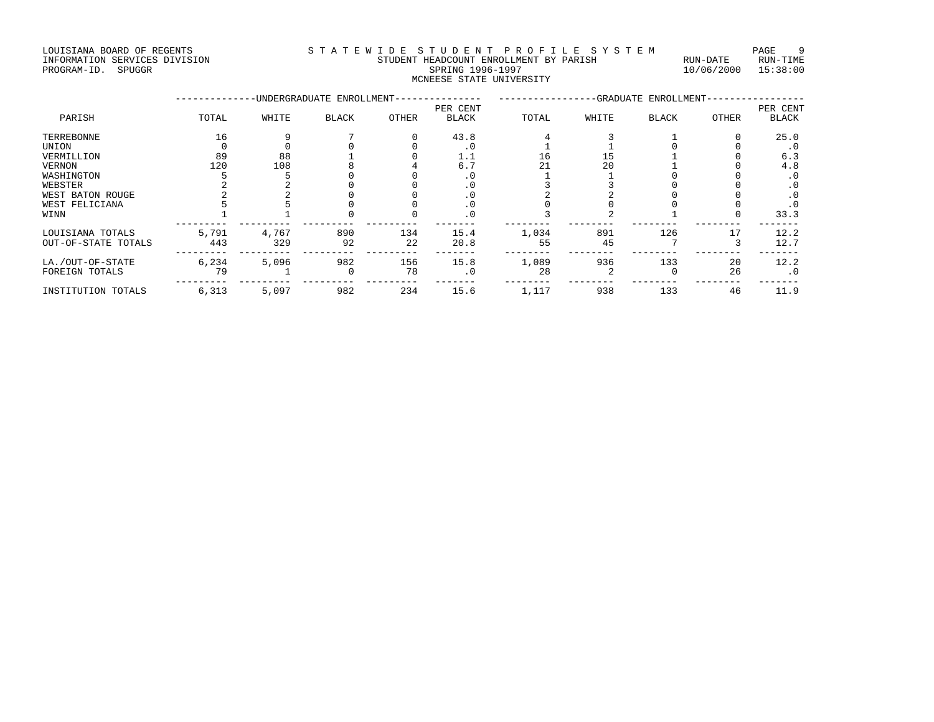LOUISIANA BOARD OF REGENTS STA TEWIDE STUDENT PROFILE SYSTEM PAGE 9 INFORMATION SERVICES DIVISION STUDENT HEADCOUNT ENROLLMENT BY PARISH RUN-DATE RUN-TIME ENTERNATION SERVICES DIVISION **EXAMPLE AND STRIDENT HEADCOUNT ENROLLMENT** BY PARISH THE RUN-DATE RUN-TIME RUN-TIME<br>PROGRAM-ID. SPUGGR PROGRAM-ID. SPUGGR

# MCNEESE STATE UNIVERSITY

|                     |       |       | -UNDERGRADUATE ENROLLMENT- |       | -GRADUATE ENROLLMENT- |       |       |       |       |              |
|---------------------|-------|-------|----------------------------|-------|-----------------------|-------|-------|-------|-------|--------------|
|                     |       |       |                            |       | PER CENT              |       |       |       |       | PER CENT     |
| PARISH              | TOTAL | WHITE | <b>BLACK</b>               | OTHER | <b>BLACK</b>          | TOTAL | WHITE | BLACK | OTHER | <b>BLACK</b> |
| TERREBONNE          | 16    |       |                            |       | 43.8                  |       |       |       |       | 25.0         |
| UNION               |       |       |                            |       |                       |       |       |       |       | . 0          |
| VERMILLION          | 89    | 88    |                            |       | 1.1                   | 16    |       |       |       | 6.3          |
| <b>VERNON</b>       | 120   | 108   |                            |       | 6.7                   | 21    | 20    |       |       | 4.8          |
| WASHINGTON          |       |       |                            |       |                       |       |       |       |       | . 0          |
| WEBSTER             |       |       |                            |       | . U                   |       |       |       |       | $\cdot$ 0    |
| WEST BATON ROUGE    |       |       |                            |       |                       |       |       |       |       | $\cdot$ 0    |
| WEST FELICIANA      |       |       |                            |       |                       |       |       |       |       | . 0          |
| WINN                |       |       |                            |       |                       |       |       |       |       | 33.3         |
| LOUISIANA TOTALS    | 5,791 | 4,767 | 890                        | 134   | 15.4                  | 1,034 | 891   | 126   | 17    | 12.2         |
| OUT-OF-STATE TOTALS | 443   | 329   | 92                         | 22    | 20.8                  | 55    | 45    |       |       | 12.7         |
| LA./OUT-OF-STATE    | 6,234 | 5,096 | 982                        | 156   | 15.8                  | 1,089 | 936   | 133   | 20    | 12.2         |
| FOREIGN TOTALS      | 79    |       | $\Omega$                   | 78    | . 0                   | 28    |       |       | 26    | $\cdot$ 0    |
| INSTITUTION TOTALS  | 6,313 | 5,097 | 982                        | 234   | 15.6                  | 1,117 | 938   | 133   | 46    | 11.9         |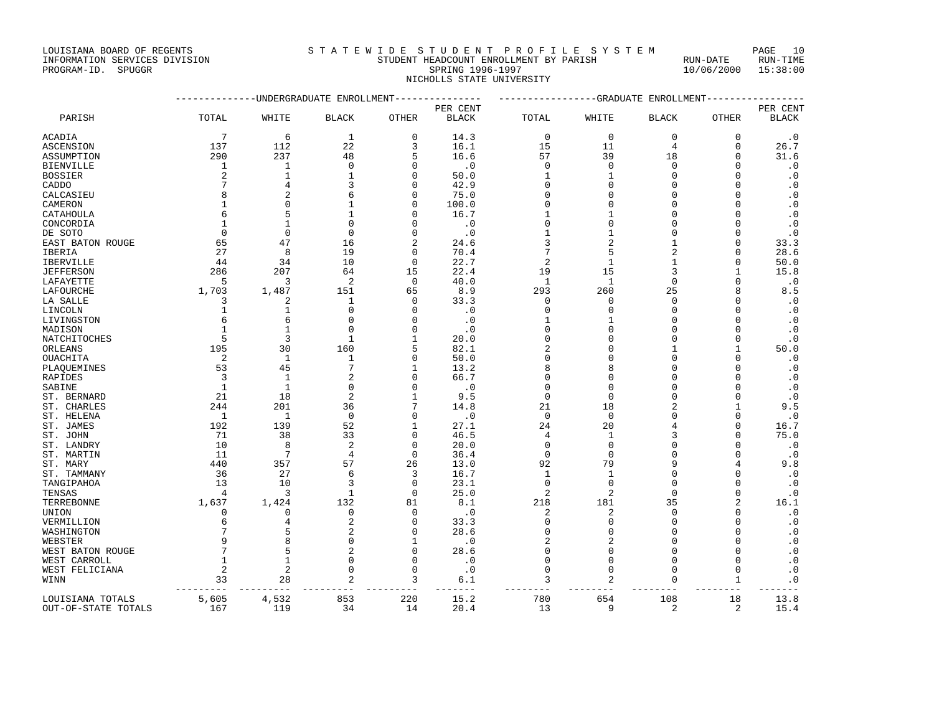#### INFORMATION SERVICES DIVISION STUDENT HEADCOUNT ENROLLMENT BY PARISH RUN-DATE RUN-TIME ENTERNATION SERVICES DIVISION **EXAMPLE AND STOP STOPENT HEADCOUNT ENROLLMENT** BY PARISH THE RUN-DATE RUN-TIME RUN<br>PROGRAM-ID. SPUGGR PROGRAM-ID. SPUGGR SPRING 1996-1997 STOPENT STRING 1996-1997 10/06/2000 15:38:00 NICHOLLS STATE UNIVERSITY

|                     |                 | -----------UNDERGRADUATE ENROLLMENT--------------- |                |                | ---------------GRADUATE ENROLLMENT---------------- |                |                |              |              |              |
|---------------------|-----------------|----------------------------------------------------|----------------|----------------|----------------------------------------------------|----------------|----------------|--------------|--------------|--------------|
|                     |                 |                                                    |                |                | PER CENT                                           |                |                |              |              | PER CENT     |
| PARISH              | TOTAL           | WHITE                                              | <b>BLACK</b>   | OTHER          | <b>BLACK</b>                                       | TOTAL          | WHITE          | <b>BLACK</b> | OTHER        | <b>BLACK</b> |
| ACADIA              | $7\phantom{.0}$ | 6                                                  | 1              | $\mathbf{0}$   | 14.3                                               | $\mathbf 0$    | $\mathbf 0$    | $\mathbf 0$  | 0            | $\cdot$ 0    |
| ASCENSION           | 137             | 112                                                | 22             | 3              | 16.1                                               | 15             | 11             | 4            | $\Omega$     | 26.7         |
| ASSUMPTION          | 290             | 237                                                | 48             | 5              | 16.6                                               | 57             | 39             | 18           | $\Omega$     | 31.6         |
| BIENVILLE           | 1               | 1                                                  | $\mathbf 0$    | $\Omega$       | $\cdot$ 0                                          | $\Omega$       | $\Omega$       | $\Omega$     | $\Omega$     | $\cdot$ 0    |
| BOSSIER             | 2               | 1                                                  | 1              | $\Omega$       | 50.0                                               | 1              | 1              | 0            | n            | $\cdot$ 0    |
| CADDO               |                 | $\overline{A}$                                     | ζ              | $\Omega$       | 42.9                                               | $\Omega$       | $\cap$         | $\Omega$     | $\cap$       | $\cdot$ 0    |
| CALCASIEU           | 8               |                                                    | 6              | $\Omega$       | 75.0                                               | $\Omega$       | O              | O            |              | $\cdot$ 0    |
| CAMERON             | 1               | $\Omega$                                           | 1              | $\Omega$       | 100.0                                              | $\Omega$       | O              | O            |              | $\cdot$ 0    |
| CATAHOULA           | 6               | 5                                                  | $\mathbf{1}$   | $\Omega$       | 16.7                                               | 1              |                | $\Omega$     | U            | $\cdot$ 0    |
| CONCORDIA           | 1               | $\mathbf{1}$                                       | $\Omega$       | $\Omega$       | $\cdot$ 0                                          | $\Omega$       | O              | O            |              | $\cdot$ 0    |
| DE SOTO             | 0               | $\mathbf 0$                                        | $\mathbf 0$    | $\Omega$       | $\cdot$ 0                                          | 1              | 1              | 0            | n            | $\cdot$ 0    |
| EAST BATON ROUGE    | 65              | 47                                                 | 16             | $\overline{2}$ | 24.6                                               | 3              | $\overline{2}$ | 1            | $\Omega$     | 33.3         |
| IBERIA              | 27              | 8                                                  | 19             | $\Omega$       | 70.4                                               | 7              | 5              | 2            | $\Omega$     | 28.6         |
| IBERVILLE           | 44              | 34                                                 | 10             | $\Omega$       | 22.7                                               | $\overline{2}$ | 1              | 1            | $\Omega$     | 50.0         |
| <b>JEFFERSON</b>    | 286             | 207                                                | 64             | 15             | 22.4                                               | 19             | 15             | 3            | -1           | 15.8         |
| LAFAYETTE           | 5               | 3                                                  | 2              | $\Omega$       | 40.0                                               | $\mathbf{1}$   | 1              | 0            | $\Omega$     | $\cdot$ 0    |
| LAFOURCHE           | 1,703           | 1,487                                              | 151            | 65             | 8.9                                                | 293            | 260            | 25           |              | 8.5          |
| LA SALLE            | 3               | 2                                                  | 1              | $\Omega$       | 33.3                                               | $\Omega$       | $\Omega$       | $\Omega$     | $\cap$       | $\cdot$ 0    |
| LINCOLN             | 1               | $\mathbf{1}$                                       | $\Omega$       | $\Omega$       | $\cdot$ 0                                          | $\Omega$       | $\Omega$       | $\Omega$     | $\Omega$     | $\cdot$ 0    |
| LIVINGSTON          | 6               | 6                                                  | $\Omega$       | $\cap$         | $\cdot$ 0                                          | 1              | 1              | 0            |              | $\cdot$ 0    |
| MADISON             | 1               | $\mathbf{1}$                                       | $\Omega$       | $\cap$         | $\cdot$ 0                                          | $\Omega$       | $\cap$         | O            |              | $\cdot$ 0    |
| NATCHITOCHES        | 5               | 3                                                  | 1              | -1             | 20.0                                               | $\Omega$       | ∩              | U            | $\Omega$     | $\cdot$ 0    |
| ORLEANS             | 195             | 30                                                 | 160            | 5              | 82.1                                               | $\overline{c}$ | O              | 1            | 1            | 50.0         |
| OUACHITA            | 2               | 1                                                  | 1              | $\Omega$       | 50.0                                               | $\Omega$       | $\cap$         | $\Omega$     | $\Omega$     | $\cdot$ 0    |
| PLAQUEMINES         | 53              | 45                                                 | 7              | $\mathbf{1}$   | 13.2                                               | $\mathsf{R}$   | 8              | O            |              | $\cdot$ 0    |
| RAPIDES             | 3               | 1                                                  | 2              | $\Omega$       | 66.7                                               | $\Omega$       | O              | 0            | Ω            | $\cdot$ 0    |
| SABINE              | $\mathbf{1}$    | $\mathbf{1}$                                       | $\Omega$       | $\Omega$       | $\cdot$ 0                                          | $\Omega$       | $\cap$         | $\Omega$     | $\cap$       | $\cdot$ 0    |
| ST. BERNARD         | 21              | 18                                                 | 2              | 1              | 9.5                                                | $\mathbf 0$    | $\mathbf 0$    | O            | $\Omega$     | $\cdot$ 0    |
| ST. CHARLES         | 244             | 201                                                | 36             | 7              | 14.8                                               | 21             | 18             | 2            |              | 9.5          |
| ST. HELENA          | 1               | 1                                                  | $\Omega$       | $\Omega$       | $\cdot$ 0                                          | $\Omega$       | $\Omega$       | $\Omega$     | $\Omega$     | $\cdot$ 0    |
| ST. JAMES           | 192             | 139                                                | 52             | $\mathbf{1}$   | 27.1                                               | 24             | 20             | 4            | $\Omega$     | 16.7         |
| ST. JOHN            | 71              | 38                                                 | 33             | $\mathbf 0$    | 46.5                                               | 4              | 1              | 3            | n            | 75.0         |
| ST. LANDRY          | 10              | 8                                                  | $\overline{2}$ | $\Omega$       | 20.0                                               | $\Omega$       | $\Omega$       | $\Omega$     | $\cap$       | $\cdot$ 0    |
| ST. MARTIN          | 11              | 7                                                  | $\overline{4}$ | $\Omega$       | 36.4                                               | $\Omega$       | $\Omega$       | $\Omega$     | $\Omega$     | $\cdot$ 0    |
| ST. MARY            | 440             | 357                                                | 57             | 26             | 13.0                                               | 92             | 79             | 9            |              | 9.8          |
| ST. TAMMANY         | 36              | 27                                                 | 6              | ζ              | 16.7                                               | $\mathbf{1}$   | $\mathbf{1}$   | $\Omega$     | $\Omega$     | $\cdot$ 0    |
| TANGIPAHOA          | 13              | 10                                                 | 3              | $\Omega$       | 23.1                                               | $\Omega$       | $\Omega$       | 0            | $\Omega$     | $\cdot$ 0    |
| TENSAS              | 4               | 3                                                  | $\mathbf{1}$   | $\Omega$       | 25.0                                               | $\overline{2}$ | $\overline{2}$ | $\Omega$     | $\Omega$     | $\cdot$ 0    |
| TERREBONNE          | 1,637           | 1,424                                              | 132            | 81             | 8.1                                                | 218            | 181            | 35           | 2            | 16.1         |
| UNION               | 0               | $\Omega$                                           | $\Omega$       | $\Omega$       | $\cdot$ 0                                          | 2              | 2              | $\Omega$     | $\Omega$     | $\cdot$ 0    |
| VERMILLION          | 6               |                                                    | 2              | $\mathbf 0$    | 33.3                                               | $\Omega$       | $\mathbf 0$    | 0            | $\Omega$     | $\cdot$ 0    |
| WASHINGTON          |                 | 5                                                  | $\overline{a}$ | $\Omega$       | 28.6                                               | $\Omega$       | $\cap$         | O            |              | $\cdot$ 0    |
| WEBSTER             | q               | 8                                                  | $\Omega$       | 1              | $\cdot$ 0                                          | $\overline{2}$ | $\overline{2}$ | U            | $\cap$       | $\cdot$ 0    |
| WEST BATON ROUGE    | 7               | 5                                                  | 2              | $\Omega$       | 28.6                                               | $\Omega$       | $\Omega$       | O            | $\Omega$     | $\cdot$ 0    |
| WEST CARROLL        | $\mathbf{1}$    | $\mathbf{1}$                                       | $\Omega$       | $\Omega$       | $\cdot$ 0                                          | $\Omega$       | $\Omega$       | $\Omega$     | $\Omega$     | $\cdot$ 0    |
| WEST FELICIANA      | $\overline{a}$  | $\overline{2}$                                     | O              | $\Omega$       | $\cdot$ 0                                          | $\Omega$       | $\Omega$       | $\Omega$     | $\mathbf{0}$ | $\cdot$ 0    |
| WINN                | 33              | 28                                                 | 2              | 3              | 6.1                                                | 3              | 2              | 0            | 1            | $\cdot$ 0    |
| LOUISIANA TOTALS    | 5,605           | 4,532                                              | 853            | 220            | 15.2                                               | 780            | 654            | 108          | 18           | 13.8         |
| OUT-OF-STATE TOTALS | 167             | 119                                                | 34             | 14             | 20.4                                               | 13             | 9              | 2            | 2            | 15.4         |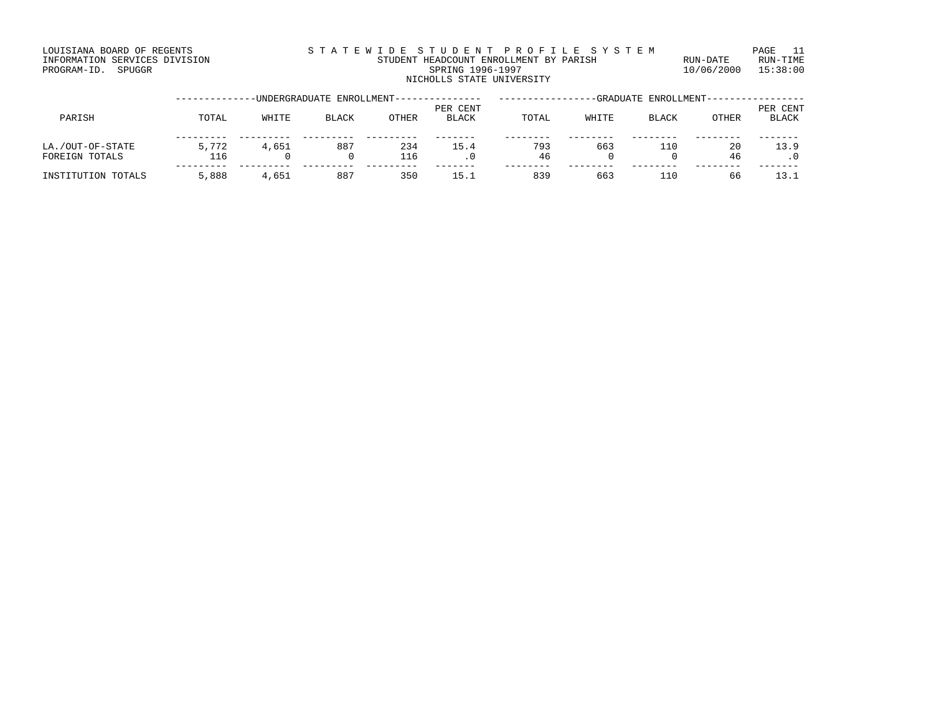LOUISIANA BOARD OF REGENTS S T A T E W I D E S T U D E N T P R O F I L E S Y S T E M PAGE 11

### INFORMATION SERVICES DIVISION STUDENT HEADCOUNT ENROLLMENT BY PARISH RUN-DATE RUN-TIME PROGRAM-ID. SPUGGR SPUGGR SPUGGR SPUGGRAM-ID. SPUGGRAM-ID. SPUGGRAM-ID. SPUGGRAM-ID. SPUGGRAM-ID. SPUGGRAM-ID. SPUGGRAM-ID. SPUGGRAM-ID. SPUGGRAM-ID. SPUGGRAM-ID. SPUGGRAM-ID. SPUGGRAM-ID. SPUGGRAM-ID. SPUGGRAM-ID. SPUGGRA NICHOLLS STATE UNIVERSITY

|                                    | -UNDERGRADUATE ENROLLMENT-- |       |              |            |                          | -GRADUATE ENROLLMENT-- |       |              |          |                          |
|------------------------------------|-----------------------------|-------|--------------|------------|--------------------------|------------------------|-------|--------------|----------|--------------------------|
| PARISH                             | TOTAL                       | WHITE | <b>BLACK</b> | OTHER      | PER CENT<br><b>BLACK</b> | TOTAL                  | WHITE | <b>BLACK</b> | OTHER    | PER CENT<br><b>BLACK</b> |
| LA./OUT-OF-STATE<br>FOREIGN TOTALS | 5,772<br>116                | 4,651 | 887          | 234<br>116 | 15.4                     | 793<br>46              | 663   | 110          | 20<br>46 | 13.9                     |
| INSTITUTION TOTALS                 | 5,888                       | 4,651 | 887          | 350        | 15.1                     | 839                    | 663   | ⊥10          | 66       | 13.1                     |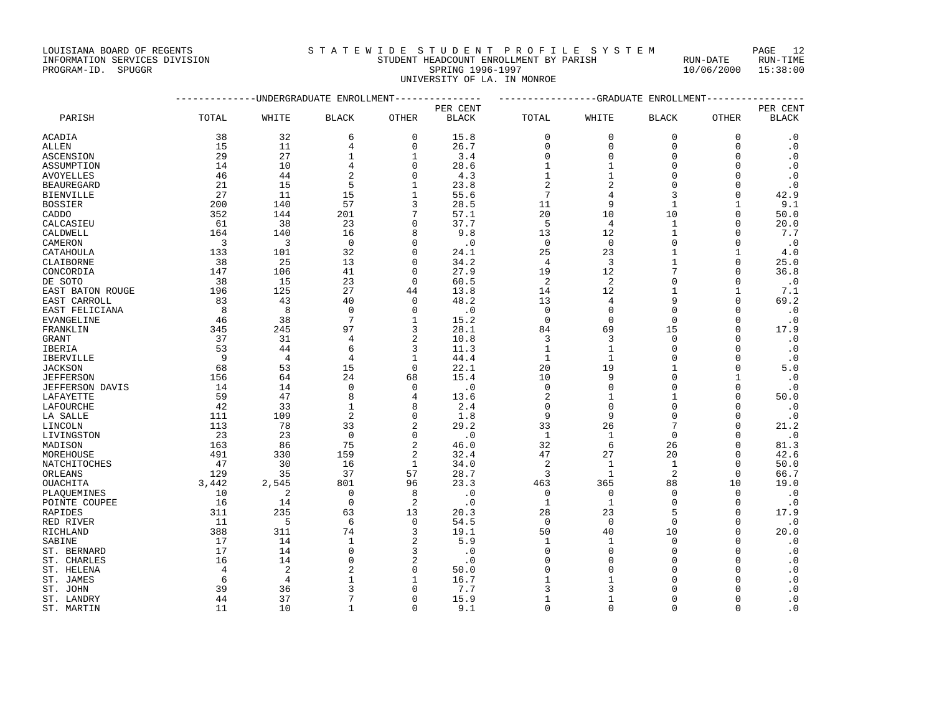INFORMATION SERVICES DIVISION STUDENT HEADCOUNT ENROLLMENT BY PARISH RUN-DATE RUN-TIME

| LOUISIANA BOARD OF REGENTS | STATEWIDE STUDENT PROFILE SYSTEM | PAGE 12 |  |
|----------------------------|----------------------------------|---------|--|
|----------------------------|----------------------------------|---------|--|

PROGRAM-ID. SPUGGR SPRING 1996-1997 SPRING 1996-1997 10/06/2000 15:38:00 UNIVERSITY OF LA. IN MONROE

--------------UNDERGRADUATE ENROLLMENT--------------- -----------------GRADUATE ENROLLMENT----------------- PER CENT PER CENT PARISH TOTAL WHITE BLACK OTHER BLACK TOTAL WHITE BLACK OTHER BLACK ACADIA 38 32 6 0 15.8 0 0 0 0 .0 ALLEN 15 11 4 0 26.7 0 0 0 0 .0 ASCENSION 29 27 1 1 3.4 0 0 0 0 .0 ASSUMPTION 14 10 4 0 28.6 1 1 0 0 .0 AVOYELLES 46 44 2 0 4.3 1 1 0 0 .0 BEAUREGARD 21 15 5 1 23.8 2 2 0 0 .0 BIENVILLE 27 11 15 1 55.6 7 4 3 0 42.9 BOSSIER 200 140 57 3 28.5 11 9 1 1 9.1 CADDO 352 144 201 7 57.1 20 10 10 0 50.0 CALCASIEU 61 38 23 0 37.7 5 4 1 0 20.0 CALDWELL 164 140 16 8 9.8 13 12 1 0 7.7 CAMERON 3 3 0 0 .0 0 0 0 0 .0 CATAHOULA 133 101 32 0 24.1 25 23 1 1 4.0 CLAIBORNE 38 25 13 0 34.2 4 3 1 0 25.0 CONCORDIA 147 106 41 0 27.9 19 12 7 0 36.8 DE SOTO 38 15 23 0 60.5 2 2 0 0 .0 EAST BATON ROUGE 196 125 27 44 13.8 14 12 1 1 1 7.1 EAST CARROLL 83 43 40 0 48.2 13 4 9 0 69.2 EAST FELICIANA 8 8 0 0 .0 0 0 0 0 .0 EVANGELINE 46 38 7 1 15.2 0 0 0 0 .0 FRANKLIN 345 245 97 3 28.1 84 69 15 0 17.9 GRANT 37 31 4 2 10.8 3 3 0 0 .0 IBERIA 53 44 6 3 11.3 1 1 0 0 .0 IBERVILLE 9 4 4 1 44.4 1 1 0 0 .0 JACKSON 68 53 15 0 22.1 20 19 1 0 5.0 JEFFERSON 156 64 24 68 15.4 10 9 0 1 .0 JEFFERSON DAVIS 14 14 0 0 .0 0 0 0 0 .0 LAFAYETTE 59 47 8 4 13.6 2 1 1 0 50.0 LAFOURCHE 42 33 1 8 2.4 0 0 0 0 .0 LA SALLE 111 109 2 0 1.8 9 9 0 0 .0 LINCOLN 113 78 33 2 29.2 33 26 7 0 21.2 LIVINGSTON 23 23 0 0 .0 1 1 0 0 .0 MADISON 163 86 75 2 46.0 32 6 26 0 81.3 MOREHOUSE 491 330 159 2 32.4 47 27 20 0 42.6 NATCHITOCHES 47 30 16 1 34.0 2 1 1 0 50.0 ORLEANS 129 35 37 57 28.7 3 1 2 0 66.7 OUACHITA 3,442 2,545 801 96 23.3 463 365 88 10 19.0 PLAQUEMINES 10 2 0 8 .0 0 0 0 0 .0 POINTE COUPEE 16 14 0 2 .0 1 1 0 0 0 .0 RAPIDES 311 235 63 13 20.3 28 23 5 0 17.9 RED RIVER 11 5 6 0 54.5 0 0 0 0 0

RICHLAND 388 311 74 3 19.1 50 40 10 0 20.0 SABINE 17 14 1 2 5.9 1 1 0 0 0 ST. BERNARD 17 14 0 3 .0 0 0 0 0 .0 ST. CHARLES 16 14 0 2 .0 0 0 0 0 .0 ST. CHARLES<br>
ST. CHARLES<br>
ST. HELENA 4 2 2 0 50.0 0 0 0 0 0<br>
ST. JAMES 6 4 1 1 16.7 1 1 0 0 .0<br>
ST. JOHN 39 36 3 0 7.7 3 3 0 0 .0<br>
ST. JOHN 39 36 3 0 7.7 3 3 0 0 .0<br>
ST. LANDRY 44 37 7 0 15.9 1 1 0 0 .0 ST. JAMES 6 6 4 1 1 16.7 1 1 1 1 0 0 0 ST. JOHN 39 36 3 0 7.7 3 3 0 0 .0 ST. LANDRY 44 37 7 0 15.9 1 1 0 0 .0 ST. MARTIN 11 10 1 0 9.1 0 0 0 0 .0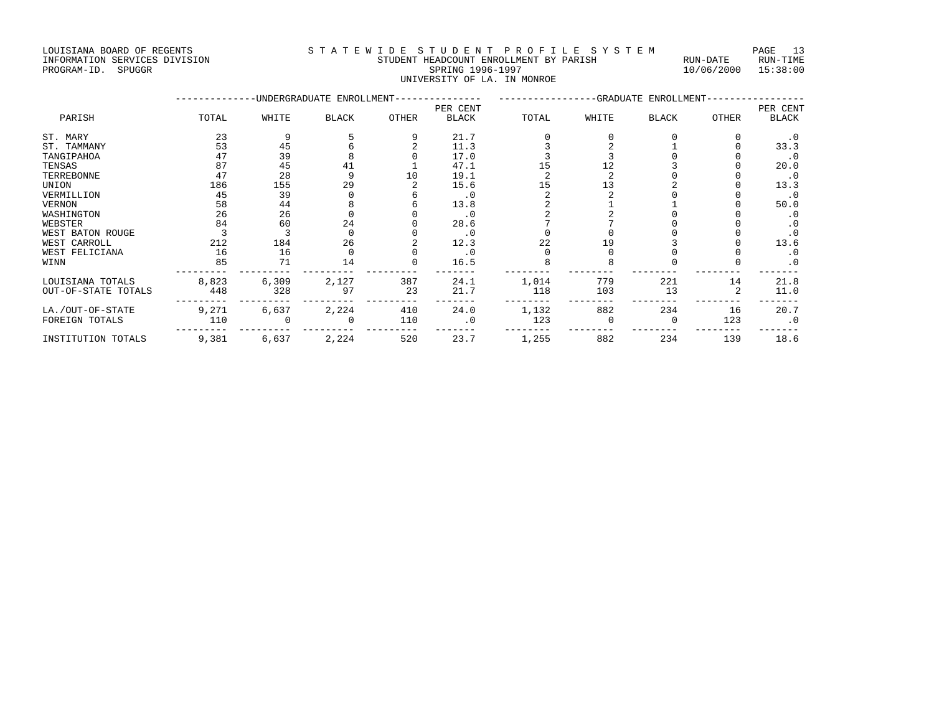#### INFORMATION SERVICES DIVISION STUDENT HEADCOUNT ENROLLMENT BY PARISH RUN-DATE RUN-TIME PROGRAM-ID. SPUGGR SPRING 1996-1997 10/06/2000 15:38:00 UNIVERSITY OF LA. IN MONROE

|                     | ----------- |       | -UNDERGRADUATE ENROLLMENT-- |       | _____________            | ----------------GRADUATE ENROLLMENT- |       |              |       |                          |
|---------------------|-------------|-------|-----------------------------|-------|--------------------------|--------------------------------------|-------|--------------|-------|--------------------------|
| PARISH              | TOTAL       | WHITE | <b>BLACK</b>                | OTHER | PER CENT<br><b>BLACK</b> | TOTAL                                | WHITE | <b>BLACK</b> | OTHER | PER CENT<br><b>BLACK</b> |
| ST. MARY            | 23          |       |                             |       | 21.7                     |                                      |       |              |       | $\cdot$ 0                |
| ST. TAMMANY         | 53          | 45    |                             |       | 11.3                     |                                      |       |              |       | 33.3                     |
| TANGIPAHOA          | 47          | 39    |                             |       | 17.0                     |                                      |       |              |       | .0                       |
| TENSAS              | 87          | 45    | 41                          |       | 47.1                     | 15                                   |       |              |       | 20.0                     |
| TERREBONNE          | 47          | 28    |                             | 10    | 19.1                     |                                      |       |              |       | $\cdot$ 0                |
| UNION               | 186         | 155   | 29                          |       | 15.6                     | 15                                   |       |              |       | 13.3                     |
| VERMILLION          | 45          | 39    |                             |       | $\cdot$ 0                |                                      |       |              |       | $\cdot$ 0                |
| VERNON              | 58          | 44    |                             |       | 13.8                     |                                      |       |              |       | 50.0                     |
| WASHINGTON          | 26          | 26    |                             |       | $\cdot$ 0                |                                      |       |              |       | . 0                      |
| WEBSTER             | 84          | 60    | 24                          |       | 28.6                     |                                      |       |              |       | $\cdot$ 0                |
| WEST BATON ROUGE    |             |       |                             |       | $\cdot$ 0                |                                      |       |              |       | $\cdot$ 0                |
| WEST CARROLL        | 212         | 184   | 26                          |       | 12.3                     | 22                                   |       |              |       | 13.6                     |
| WEST FELICIANA      | 16          | 16    |                             |       | $\cdot$ 0                |                                      |       |              |       | $\cdot$ 0                |
| WINN                | 85          | 71    | 14                          |       | 16.5                     |                                      |       |              |       | $\cdot$ 0                |
| LOUISIANA TOTALS    | 8,823       | 6,309 | 2,127                       | 387   | 24.1                     | 1,014                                | 779   | 221          | 14    | 21.8                     |
| OUT-OF-STATE TOTALS | 448         | 328   | 97                          | 23    | 21.7                     | 118                                  | 103   | 13           |       | 11.0                     |
| LA./OUT-OF-STATE    | 9,271       | 6,637 | 2,224                       | 410   | 24.0                     | 1,132                                | 882   | 234          | 16    | 20.7                     |
| FOREIGN TOTALS      | 110         |       |                             | 110   | $\cdot$ 0                | 123                                  |       |              | 123   | $\cdot$ 0                |
| INSTITUTION TOTALS  | 9,381       | 6,637 | 2,224                       | 520   | 23.7                     | 1,255                                | 882   | 234          | 139   | 18.6                     |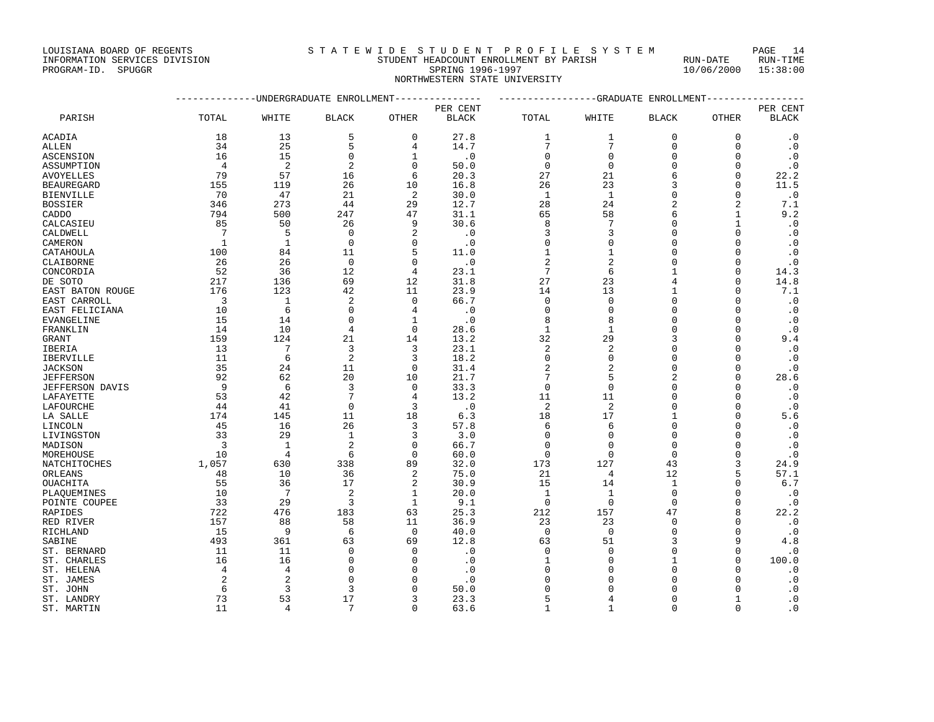## INFORMATION SERVICES DIVISION STUDENT HEADCOUNT ENROLLMENT BY PARISH RUN-DATE RUN-TIME PROGRAM-ID. SPUGGR SERVICES DIVISION AND REALLY AND STUDENT HEADCOUNT ENROLLMENT BY PARISH THAT SUN-DATE RUN-TIME<br>PROGRAM-ID. SPUGGR 1996-1997 10/06/2000 15:38:00

# NORTHWESTERN STATE UNIVERSITY

--------------UNDERGRADUATE ENROLLMENT--------------- -----------------GRADUATE ENROLLMENT-----------------

PER CENT PER CENT PARISH TOTAL WHITE BLACK OTHER BLACK TOTAL WHITE BLACK OTHER BLACK ACADIA 18 13 5 0 27.8 1 1 0 0 0 .0

| ACADIA                  | ⊥∪    | ᅩコ             |                | ν                    | 41.0      |                |                    |          |          | . U       |
|-------------------------|-------|----------------|----------------|----------------------|-----------|----------------|--------------------|----------|----------|-----------|
| ALLEN                   | 34    | 25             | 5              | 4                    | 14.7      | 7              | 7                  |          |          | $\cdot$ 0 |
| <b>ASCENSION</b>        | 16    | 15             | $\mathbf 0$    | $\mathbf 1$          | $\cdot$ 0 | $\Omega$       | $\Omega$           |          |          | $\cdot$ 0 |
| ASSUMPTION              | 4     | $\overline{2}$ | $\overline{2}$ | $\Omega$             | 50.0      | $\Omega$       | $\Omega$           |          |          | $\cdot$ 0 |
| <b>AVOYELLES</b>        | 79    | 57             | 16             | 6                    | 20.3      | 27             | 21                 |          | O        | 22.2      |
| <b>BEAUREGARD</b>       | 155   | 119            | 26             | 10                   | 16.8      | 26             | 23                 |          | O        | 11.5      |
| <b>BIENVILLE</b>        | 70    | 47             | 21             | $\overline{2}$       | 30.0      | 1              | $\mathbf{1}$       |          | O        | $\cdot$ 0 |
| <b>BOSSIER</b>          | 346   | 273            | 44             | 29                   | 12.7      | 28             | 24                 |          | 2        | $7\,.1$   |
| CADDO                   | 794   | 500            | 247            | 47                   | 31.1      | 65             | 58                 | 6        |          | 9.2       |
| CALCASIEU               | 85    | 50             | 26             | 9                    | 30.6      | 8              | 7                  | n        |          | $\cdot$ 0 |
| CALDWELL                | 7     | 5              | 0              | 2                    | $\cdot$ 0 | 3              | 3                  |          |          | $\cdot$ 0 |
| CAMERON                 | 1     | $\mathbf 1$    | $\mathbf 0$    | $\mathbf{0}$         | $\cdot$ 0 | $\Omega$       | $\cap$             |          |          | $\cdot$ 0 |
| CATAHOULA               | 100   | 84             | 11             | 5                    | 11.0      |                |                    |          |          | $\cdot$ 0 |
| CLAIBORNE               | 26    | 26             | $\mathbf 0$    | $\mathbf{0}$         | $\cdot$ 0 | $\overline{2}$ | $\overline{c}$     |          |          | $\cdot$ 0 |
| CONCORDIA               | 52    | 36             | 12             | 4                    | 23.1      | 7              | $\sqrt{2}$         |          |          | 14.3      |
| DE SOTO                 | 217   | 136            | 69             | 12                   | 31.8      | 27             | 23                 |          |          | 14.8      |
| EAST BATON ROUGE        | 176   | 123            | 42             | 11                   | 23.9      | 14             | 13                 |          |          | 7.1       |
| EAST CARROLL            | 3     | 1              | 2              | 0                    | 66.7      | $\Omega$       | $\Omega$           | $\cap$   |          | $\cdot$ 0 |
| EAST FELICIANA          | 10    | 6              | $\Omega$       | 4                    | $\cdot$ 0 | $\Omega$       | $\Omega$           |          |          | $\cdot$ 0 |
| EVANGELINE              | 15    | 14             | 0              | 1                    | $\cdot$ 0 | 8              | 8                  |          |          | $\cdot$ 0 |
| FRANKLIN                | 14    | 10             | 4              | $\mathbf 0$          | 28.6      | $\mathbf{1}$   | $\mathbf{1}$       |          |          | $\cdot$ 0 |
| GRANT                   | 159   | 124            | 21             | 14                   | 13.2      | 32             | 29                 |          |          | 9.4       |
| IBERIA                  | 13    | 7              | 3              | 3                    | 23.1      | $\overline{2}$ | $\overline{c}$     |          |          | $\cdot$ 0 |
| IBERVILLE               | 11    | 6              | $\overline{2}$ | 3                    | 18.2      | $\Omega$       | $\Omega$           |          |          | $\cdot$ 0 |
| <b>JACKSON</b>          | 35    | 24             | 11             | $\mathbf{0}$         | 31.4      | $\overline{2}$ | $\overline{c}$     |          |          | $\cdot$ 0 |
| <b>JEFFERSON</b>        | 92    | 62             | 20             | 10                   | 21.7      | 7              | 5                  |          |          | 28.6      |
| JEFFERSON DAVIS         | 9     | 6              | 3              | $\mathbf{0}$         | 33.3      | $\mathbf 0$    | $\mathbf{0}$       | $\cap$   |          | $\cdot$ 0 |
| LAFAYETTE               | 53    | 42             | 7              | 4                    | 13.2      | 11             | 11                 |          |          | $\cdot$ 0 |
| LAFOURCHE               | 44    | 41             | $\Omega$       | 3                    | $\cdot$ 0 | $\overline{2}$ | $\overline{2}$     | $\cap$   |          | $\cdot$ 0 |
| LA SALLE                | 174   | 145            | 11             | 18                   | 6.3       | 18             | 17                 |          |          | 5.6       |
| LINCOLN                 | 45    | 16             | 26             | 3                    | 57.8      | 6              | 6                  | $\cap$   |          | $\cdot$ 0 |
| LIVINGSTON              | 33    | 29             | $\mathbf{1}$   | 3                    | 3.0       | $\Omega$       | $\Omega$           | $\Omega$ |          | $\cdot$ 0 |
| MADISON                 | 3     | 1              | 2              | $\Omega$             | 66.7      | $\Omega$       | $\Omega$           | $\cap$   |          | $\cdot$ 0 |
| MOREHOUSE               | 10    | $\overline{4}$ | 6              | $\Omega$             | 60.0      | $\Omega$       | $\Omega$           | $\Omega$ |          | $\cdot$ 0 |
|                         | 1,057 | 630            | 338            |                      | 32.0      | 173            | 127                |          | 3        | 24.9      |
| NATCHITOCHES<br>ORLEANS | 48    | 10             | 36             | 89<br>$\overline{2}$ | 75.0      | 21             | 4                  | 43<br>12 | 5        | 57.1      |
| <b>OUACHITA</b>         | 55    | 36             | 17             | 2                    | 30.9      | 15             |                    | 1        | U        | 6.7       |
|                         | 10    | 7              | $\overline{2}$ | $\mathbf{1}$         | 20.0      | $\mathbf{1}$   | 14<br>$\mathbf{1}$ | $\Omega$ | O        | $\cdot$ 0 |
| PLAOUEMINES             | 33    | 29             | 3              | $\mathbf 1$          | 9.1       | $\Omega$       | $\Omega$           | $\Omega$ | U        | $\cdot$ 0 |
| POINTE COUPEE           | 722   |                | 183            | 63                   | 25.3      |                | 157                | 47       | 8        |           |
| RAPIDES                 |       | 476            |                |                      |           | 212            |                    | $\cap$   |          | 22.2      |
| RED RIVER               | 157   | 88             | 58             | 11                   | 36.9      | 23             | 23                 |          |          | $\cdot$ 0 |
| RICHLAND                | 15    | 9              | 6              | $\mathbf 0$          | 40.0      | $\mathbf 0$    | $\Omega$           |          | q        | $\cdot$ 0 |
| SABINE                  | 493   | 361            | 63             | 69                   | 12.8      | 63             | 51<br>$\Omega$     |          |          | 4.8       |
| ST. BERNARD             | 11    | 11             | $\mathbf 0$    | $\mathbf{0}$         | $\cdot$ 0 | 0              |                    |          |          | $\cdot$ 0 |
| ST. CHARLES             | 16    | 16             | $\Omega$       | $\Omega$             | $\cdot$ 0 |                |                    |          | U        | 100.0     |
| ST. HELENA              | 4     | $\overline{4}$ | $\Omega$       | $\Omega$             | $\cdot$ 0 |                |                    |          |          | $\cdot$ 0 |
| ST. JAMES               | 2     | $\overline{2}$ | $\Omega$       | O                    | $\cdot$ 0 |                |                    |          |          | $\cdot$ 0 |
| ST. JOHN                | 6     | 3              | 3              | O                    | 50.0      |                |                    |          |          | $\cdot$ 0 |
| ST. LANDRY              | 73    | 53             | 17             | 3                    | 23.3      |                |                    |          |          | $\cdot$ 0 |
| ST. MARTIN              | 11    | 4              | 7              | $\Omega$             | 63.6      | -1             | $\mathbf{1}$       | $\Omega$ | $\Omega$ | $\cdot$ 0 |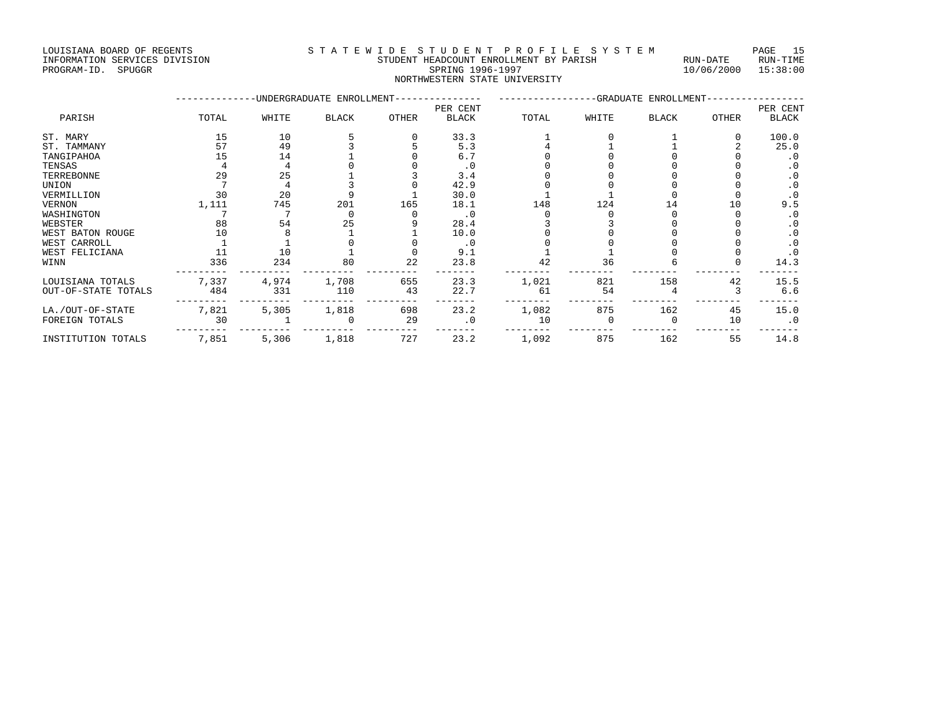LOUISIANA BOARD OF REGENTS S T A T E W I D E S T U D E N T P R O F I L E S Y S T E M PAGE 15

### INFORMATION SERVICES DIVISION STUDENT HEADCOUNT ENROLLMENT BY PARISH RUN-DATE RUN-TIME PROGRAM-ID. SPUGGR SPRING 1996-1997 10/06/2000 15:38:00 NORTHWESTERN STATE UNIVERSITY

|                     |       |       | -UNDERGRADUATE ENROLLMENT- |              |              |       | -GRADUATE ENROLLMENT- |              |       |              |
|---------------------|-------|-------|----------------------------|--------------|--------------|-------|-----------------------|--------------|-------|--------------|
|                     |       |       |                            |              | PER CENT     |       |                       |              |       | PER CENT     |
| PARISH              | TOTAL | WHITE | <b>BLACK</b>               | <b>OTHER</b> | <b>BLACK</b> | TOTAL | WHITE                 | <b>BLACK</b> | OTHER | <b>BLACK</b> |
| ST. MARY            | 15    | 10    |                            |              | 33.3         |       |                       |              |       | 100.0        |
| ST. TAMMANY         | 57    | 49    |                            |              | 5.3          |       |                       |              |       | 25.0         |
| TANGIPAHOA          | 15    | 14    |                            |              | 6.7          |       |                       |              |       | . 0          |
| TENSAS              |       |       |                            |              | . 0          |       |                       |              |       | $\cdot$ 0    |
| TERREBONNE          | 29    | 25    |                            |              | 3.4          |       |                       |              |       | $\cdot$ 0    |
| UNION               |       |       |                            |              | 42.9         |       |                       |              |       | $\cdot$ 0    |
| VERMILLION          | 30    | 20    |                            |              | 30.0         |       |                       |              |       | $\cdot$ 0    |
| VERNON              | 1,111 | 745   | 201                        | 165          | 18.1         | 148   | 124                   | 14           | 10    | 9.5          |
| WASHINGTON          |       |       |                            |              | $\cdot$ 0    |       |                       |              |       | $\cdot$ 0    |
| WEBSTER             | 88    | 54    | 25                         |              | 28.4         |       |                       |              |       | . 0          |
| WEST BATON ROUGE    | 10    |       |                            |              | 10.0         |       |                       |              |       | $\cdot$ 0    |
| WEST CARROLL        |       |       |                            |              | $\cdot$ 0    |       |                       |              |       | $\cdot$ 0    |
| WEST FELICIANA      |       | 10    |                            |              | 9.1          |       |                       |              |       | $\cdot$ 0    |
| WINN                | 336   | 234   | 80                         | 22           | 23.8         | 42    | 36                    |              |       | 14.3         |
| LOUISIANA TOTALS    | 7,337 | 4,974 | 1,708                      | 655          | 23.3         | 1,021 | 821                   | 158          | 42    | 15.5         |
| OUT-OF-STATE TOTALS | 484   | 331   | 110                        | 43           | 22.7         | 61    | 54                    |              |       | 6.6          |
| LA./OUT-OF-STATE    | 7,821 | 5,305 | 1,818                      | 698          | 23.2         | 1,082 | 875                   | 162          | 45    | 15.0         |
| FOREIGN TOTALS      | 30    |       |                            | 29           | $\cdot$ 0    | 10    |                       |              | 10    | $\cdot$ 0    |
| INSTITUTION TOTALS  | 7,851 | 5,306 | 1,818                      | 727          | 23.2         | 1,092 | 875                   | 162          | 55    | 14.8         |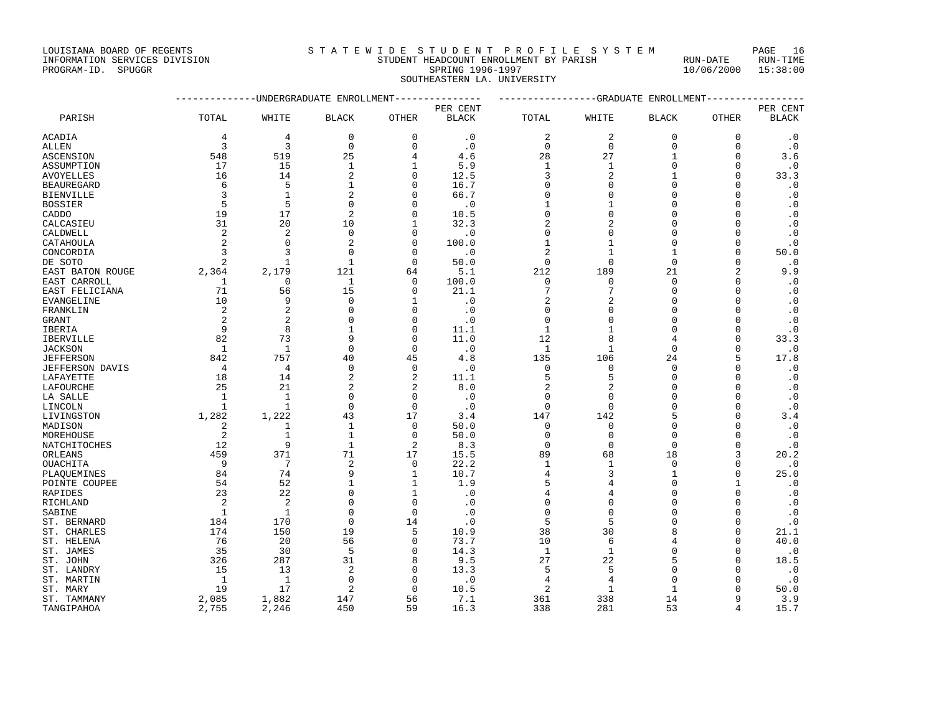## INFORMATION SERVICES DIVISION STUDENT HEADCOUNT ENROLLMENT BY PARISH RUN-DATE RUN-TIME PROGRAM-ID. SPUGGR SPRING 1996-1997 10/06/2000 15:38:00 SOUTHEASTERN LA. UNIVERSITY --------------UNDERGRADUATE ENROLLMENT--------------- -----------------GRADUATE ENROLLMENT-----------------

|                        |                |                |                |                | PER CENT     |                |                             |              |                | PER CENT               |
|------------------------|----------------|----------------|----------------|----------------|--------------|----------------|-----------------------------|--------------|----------------|------------------------|
| PARISH                 | TOTAL          | WHITE          | <b>BLACK</b>   | OTHER          | <b>BLACK</b> | TOTAL          | WHITE                       | <b>BLACK</b> | OTHER          | <b>BLACK</b>           |
| <b>ACADIA</b>          | 4              | 4              | $\Omega$       | $\mathbf{0}$   | $\cdot$ 0    | $\overline{2}$ | $\overline{2}$              | $\Omega$     | 0              | $\cdot$ 0              |
| <b>ALLEN</b>           | 3              | 3              | $\mathbf 0$    | $\mathbf 0$    | $\cdot$ 0    | $\mathbf{0}$   | $\mathbf{0}$                | $\mathbf 0$  | $\Omega$       | $\cdot$ 0              |
| ASCENSION              | 548            | 519            | 25             | 4              | 4.6          | 28             | 27                          | $\mathbf{1}$ | $\Omega$       | 3.6                    |
| ASSUMPTION             | 17             | 15             | $\mathbf{1}$   | $\mathbf{1}$   | 5.9          | $\mathbf{1}$   | $\mathbf{1}$                | $\Omega$     | $\Omega$       | $\cdot$ 0              |
| <b>AVOYELLES</b>       | 16             | 14             | $\overline{2}$ | $\mathsf 0$    | 12.5         | 3              | $\overline{2}$              | 1            | $\Omega$       | 33.3                   |
| <b>BEAUREGARD</b>      | 6              | 5              | $\mathbf{1}$   | $\mathbf 0$    | 16.7         | $\Omega$       | $\mathbf{0}$                | $\Omega$     | $\Omega$       | $\cdot$ 0              |
| <b>BIENVILLE</b>       | 3              | $\mathbf{1}$   | $\overline{2}$ | $\mathbf 0$    | 66.7         | $\mathbf{0}$   | $\mathbf{0}$                | $\Omega$     | $\Omega$       | $\cdot$ 0              |
| <b>BOSSIER</b>         | 5              | 5              | $\Omega$       | $\Omega$       | $\cdot$ 0    | $\mathbf{1}$   | $\mathbf{1}$                | $\Omega$     | $\Omega$       | $\cdot$ 0              |
| CADDO                  | 19             | 17             | 2              | 0              | 10.5         | $\Omega$       | $\mathbf{0}$                | $\Omega$     | $\Omega$       | $\cdot$ 0              |
| CALCASIEU              | 31             | 20             | 10             | 1              | 32.3         | $\overline{2}$ | $\overline{a}$              | $\cap$       | U              | $\cdot$ 0              |
| CALDWELL               | $\overline{2}$ | $\overline{2}$ | $\mathbf 0$    | $\mathbf 0$    | $\cdot$ 0    | $\Omega$       | $\mathbf{0}$                | $\Omega$     | $\Omega$       | $\cdot$ 0              |
| CATAHOULA              | $\overline{a}$ | $\Omega$       | $\overline{a}$ | $\Omega$       | 100.0        | $\mathbf{1}$   | $\mathbf{1}$                | $\Omega$     | $\Omega$       | $\cdot$ 0              |
|                        | 3              | 3              | $\Omega$       | $\Omega$       |              | $\overline{a}$ |                             | $\mathbf{1}$ | $\Omega$       |                        |
| CONCORDIA              | 2              |                | $\mathbf{1}$   |                | $\cdot$ 0    | $\mathbf{0}$   | $\mathbf{1}$<br>$\mathbf 0$ | $\mathbf 0$  | $\Omega$       | 50.0                   |
| DE SOTO                |                | $\mathbf 1$    |                | 0              | 50.0         |                |                             |              |                | $\cdot$ 0              |
| EAST BATON ROUGE       | 2,364          | 2,179          | 121            | 64             | 5.1          | 212            | 189                         | 21           | $\overline{2}$ | 9.9                    |
| EAST CARROLL           | $\mathbf{1}$   | $\mathbf{0}$   | $\mathbf{1}$   | $\mathbf 0$    | 100.0        | $\mathbf{0}$   | $\mathbf 0$                 | $\Omega$     | $\Omega$       | $\cdot$ 0              |
| EAST FELICIANA         | 71             | 56             | 15             | $\mathbf 0$    | 21.1         | 7              | 7                           | $\Omega$     | $\Omega$       | $\cdot$ 0              |
| EVANGELINE             | 10             | 9              | $\Omega$       | 1              | $\cdot$ 0    | $\overline{2}$ | $\overline{2}$              | $\Omega$     | $\Omega$       | $\cdot$ 0              |
| FRANKLIN               | $\overline{2}$ | $\overline{a}$ | $\Omega$       | $\mathbf 0$    | $\cdot$ 0    | $\Omega$       | $\mathbf{0}$                | $\Omega$     | O              | $\cdot$ 0              |
| <b>GRANT</b>           | $\overline{2}$ | $\overline{2}$ | $\Omega$       | $\mathbf 0$    | $\cdot$ 0    | 0              | $\Omega$                    | $\Omega$     | $\Omega$       | $\cdot$ 0              |
| IBERIA                 | $\mathsf{Q}$   | 8              | $\mathbf{1}$   | $\mathbf 0$    | 11.1         | $\mathbf{1}$   | $\mathbf{1}$                | $\Omega$     | $\Omega$       | $\cdot$ 0              |
| <b>IBERVILLE</b>       | 82             | 73             | 9              | $\Omega$       | 11.0         | 12             | 8                           | 4            | $\Omega$       | 33.3                   |
| <b>JACKSON</b>         | $\mathbf{1}$   | $\mathbf{1}$   | $\Omega$       | $\mathbf 0$    | $\cdot$ 0    | $\mathbf{1}$   | $1\,$                       | $\mathbf 0$  | $\Omega$       | $\cdot$ 0              |
| <b>JEFFERSON</b>       | 842            | 757            | 40             | 45             | 4.8          | 135            | 106                         | 24           | 5              | 17.8                   |
| <b>JEFFERSON DAVIS</b> | $\overline{4}$ | $\overline{4}$ | $\mathbf{0}$   | $\mathbf 0$    | $\cdot$ 0    | $\mathbf{0}$   | $\mathbf{0}$                | $\Omega$     | $\Omega$       | $\cdot$ 0              |
| LAFAYETTE              | 18             | 14             | $\overline{2}$ | $\overline{2}$ | 11.1         | 5              | 5                           | $\Omega$     | $\Omega$       | $\cdot$ 0              |
| LAFOURCHE              | 25             | 21             | $\overline{a}$ | 2              | 8.0          | 2              | $\overline{2}$              | $\Omega$     | $\Omega$       | $\cdot$ 0              |
| LA SALLE               | $\mathbf{1}$   | $\mathbf{1}$   | $\Omega$       | $\mathbf 0$    | $\cdot$ 0    | $\Omega$       | $\mathbf{0}$                | $\Omega$     | $\Omega$       | $\cdot$ 0              |
| LINCOLN                | $\mathbf{1}$   | $\mathbf{1}$   | $\Omega$       | $\Omega$       | $\cdot$ 0    | $\Omega$       | $\Omega$                    | $\Omega$     | $\Omega$       | $\cdot$ 0              |
| LIVINGSTON             | 1,282          | 1,222          | 43             | 17             | 3.4          | 147            | 142                         | 5            | $\Omega$       | 3.4                    |
| MADISON                | $\overline{2}$ | 1              | $\mathbf{1}$   | $\mathbf 0$    | 50.0         | 0              | $\mathbf{0}$                | $\Omega$     | $\Omega$       | $\cdot$ 0              |
| MOREHOUSE              | $\overline{2}$ | $1\,$          | $\mathbf{1}$   | $\mathbf 0$    | 50.0         | 0              | $\mathbf 0$                 | $\Omega$     | $\Omega$       | $\cdot$ 0              |
| NATCHITOCHES           | 12             | 9              | $\mathbf{1}$   | $\sqrt{2}$     | 8.3          | $\mathbf{0}$   | $\mathbf{0}$                | $\Omega$     | $\Omega$       | $\cdot$ 0              |
| ORLEANS                | 459            | 371            | 71             | 17             | 15.5         | 89             | 68                          | 18           | 3              | 20.2                   |
| OUACHITA               | 9              | 7              | 2              | $\mathbf 0$    | 22.2         | 1              | $\mathbf 1$                 | $\mathbf 0$  | $\Omega$       | $\cdot$ 0              |
| PLAOUEMINES            | 84             | 74             | 9              | $\mathbf{1}$   | 10.7         | $\overline{4}$ | 3                           | $\mathbf{1}$ | $\Omega$       | 25.0                   |
| POINTE COUPEE          | 54             | 52             | $\mathbf{1}$   | $\mathbf{1}$   | 1.9          | 5              | $\overline{4}$              | $\Omega$     | $\mathbf{1}$   | $\cdot$ 0              |
| RAPIDES                | 23             | 22             | $\Omega$       | $\mathbf{1}$   | $\cdot$ 0    | 4              | 4                           | $\Omega$     | $\Omega$       | $\cdot$ 0              |
| RICHLAND               | $\overline{2}$ | $\overline{2}$ | $\Omega$       | $\Omega$       | $\cdot$ 0    | $\Omega$       | $\Omega$                    | $\Omega$     | O              | $\cdot$ 0              |
| SABINE                 | $\mathbf{1}$   | $\mathbf{1}$   | $\Omega$       | $\mathbf 0$    | $\cdot$ 0    | $\Omega$       | $\mathbf{0}$                | $\Omega$     | $\Omega$       | $\cdot$ 0              |
| ST. BERNARD            | 184            | 170            | $\Omega$       | 14             | $\cdot$ 0    | 5              | 5                           | $\Omega$     | $\Omega$       | $\boldsymbol{\cdot}$ 0 |
| ST. CHARLES            | 174            | 150            | 19             | 5              | 10.9         | 38             | 30                          | 8            | $\Omega$       | 21.1                   |
| ST. HELENA             | 76             | 20             | 56             | 0              | 73.7         | 10             | 6                           | 4            | $\Omega$       | 40.0                   |
| ST. JAMES              | 35             | 30             | 5              | $\mathbf 0$    | 14.3         | 1              | $\mathbf{1}$                | $\Omega$     | $\Omega$       | $\cdot$ 0              |
| ST. JOHN               | 326            | 287            | 31             | 8              | 9.5          | 27             | 22                          | 5            | $\Omega$       | 18.5                   |
| ST. LANDRY             | 15             | 13             | $\overline{a}$ | $\Omega$       | 13.3         | 5              | 5                           | $\cap$       | O              | $\cdot$ 0              |
| ST. MARTIN             | $\mathbf{1}$   | $\mathbf{1}$   | $\Omega$       | $\mathbf 0$    | $\cdot$ 0    | 4              | 4                           | $\Omega$     | $\Omega$       | $\cdot$ 0              |
| ST. MARY               | 19             | 17             | $\overline{a}$ | $\Omega$       | 10.5         | $\mathfrak{D}$ | $\mathbf{1}$                | $\mathbf{1}$ | $\Omega$       | 50.0                   |
| ST. TAMMANY            | 2,085          | 1,882          | 147            | 56             | 7.1          | 361            | 338                         | 14           | 9              | 3.9                    |
| TANGIPAHOA             | 2,755          | 2,246          | 450            | 59             | 16.3         | 338            | 281                         | 53           | 4              | 15.7                   |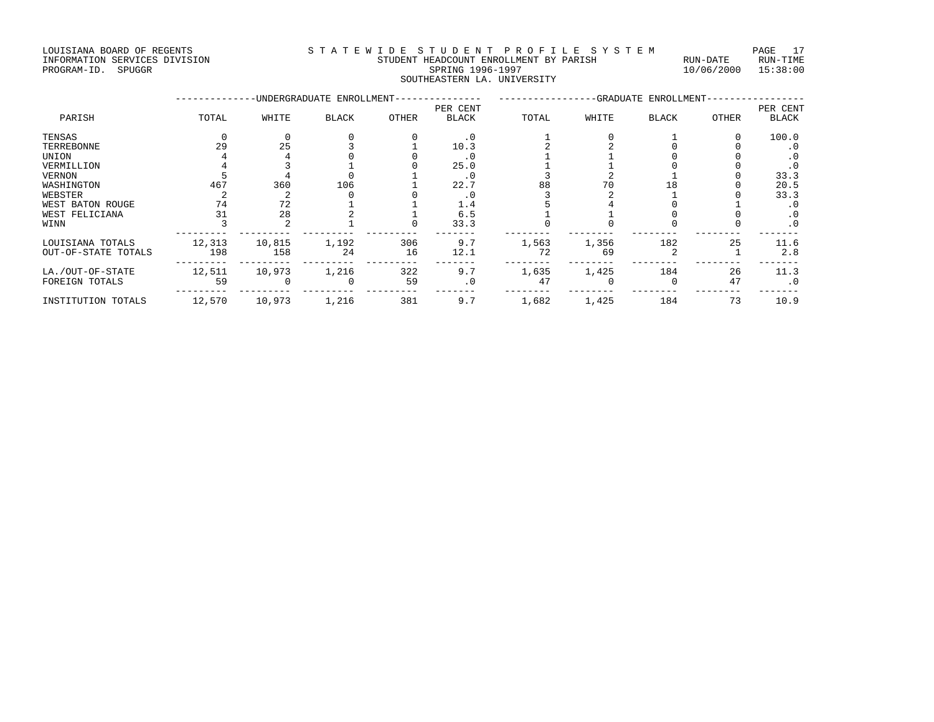LOUISIANA BOARD OF REGENTS<br>S T A T E W I D E S T U D E N T P R O F I L E S Y S T E M PAGE 17<br>STUDENT HEADCOUNT ENROLLMENT BY PARISH RUN-DATE RUN-TIME INFORMATION SERVICES DIVISION STUDENT HEADCOUNT ENROLLMENT BY PARISH RUN-DATE RUN-TIME

#### PROGRAM-ID. SPUGGR SPRING 1996-1997 10/06/2000 15:38:00 SOUTHEASTERN LA. UNIVERSITY

|                     |        |        | -UNDERGRADUATE ENROLLMENT- | -GRADUATE ENROLLMENT- |              |       |       |       |       |              |
|---------------------|--------|--------|----------------------------|-----------------------|--------------|-------|-------|-------|-------|--------------|
|                     |        |        |                            |                       | PER CENT     |       |       |       |       | PER CENT     |
| PARISH              | TOTAL  | WHITE  | <b>BLACK</b>               | OTHER                 | <b>BLACK</b> | TOTAL | WHITE | BLACK | OTHER | <b>BLACK</b> |
| TENSAS              |        |        |                            |                       | $\cdot$ 0    |       |       |       |       | 100.0        |
| TERREBONNE          | 29     | 25     |                            |                       | 10.3         |       |       |       |       | . 0          |
| UNION               |        |        |                            |                       | . 0          |       |       |       |       | . 0          |
| VERMILLION          |        |        |                            |                       | 25.0         |       |       |       |       | $\cdot$ 0    |
| VERNON              |        |        |                            |                       | . 0          |       |       |       |       | 33.3         |
| WASHINGTON          | 467    | 360    | 106                        |                       | 22.7         | 88    | 70    |       |       | 20.5         |
| WEBSTER             |        |        |                            |                       | $\cdot$ 0    |       |       |       |       | 33.3         |
| WEST BATON ROUGE    | 74     | 72     |                            |                       | 1.4          |       |       |       |       | . 0          |
| WEST FELICIANA      | 31     | 28     |                            |                       | 6.5          |       |       |       |       | $\cdot$ 0    |
| WINN                |        |        |                            |                       | 33.3         |       |       |       |       | $\cdot$ 0    |
| LOUISIANA TOTALS    | 12,313 | 10,815 | 1,192                      | 306                   | 9.7          | 1,563 | 1,356 | 182   | 25    | 11.6         |
| OUT-OF-STATE TOTALS | 198    | 158    | 24                         | 16                    | 12.1         | 72    | 69    |       |       | 2.8          |
| LA./OUT-OF-STATE    | 12,511 | 10,973 | 1,216                      | 322                   | 9.7          | 1,635 | 1,425 | 184   | 26    | 11.3         |
| FOREIGN TOTALS      | 59     |        |                            | 59                    | $\cdot$ 0    | 47    |       |       | 47    | $\cdot$ 0    |
| INSTITUTION TOTALS  | 12,570 | 10,973 | 1,216                      | 381                   | 9.7          | 1,682 | 1,425 | 184   | 73    | 10.9         |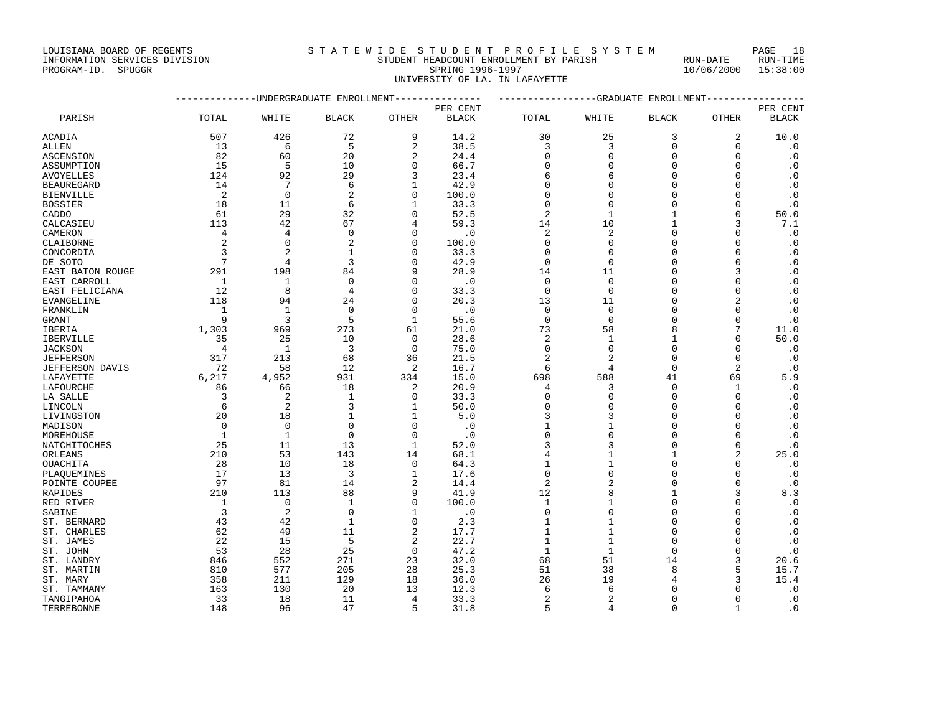### INFORMATION SERVICES DIVISION STUDENT HEADCOUNT ENROLLMENT BY PARISH RUN-DATE RUN-TIME PROGRAM-ID. SPUGGR SPRING 1996-1997 10/06/2000 15:38:00 UNIVERSITY OF LA. IN LAFAYETTE

|                  | --------------DNDERGRADUATE ENROLLMENT--------------- |                |                |                |              | ---------------GRADUATE ENROLLMENT---------------- |                          |              |                |              |
|------------------|-------------------------------------------------------|----------------|----------------|----------------|--------------|----------------------------------------------------|--------------------------|--------------|----------------|--------------|
|                  |                                                       |                |                |                | PER CENT     |                                                    |                          |              |                | PER CENT     |
| PARISH           | TOTAL                                                 | WHITE          | <b>BLACK</b>   | <b>OTHER</b>   | <b>BLACK</b> | TOTAL                                              | WHITE                    | <b>BLACK</b> | <b>OTHER</b>   | <b>BLACK</b> |
| ACADIA           | 507                                                   | 426            | 72             | 9              | 14.2         | 30                                                 | 25                       | 3            | 2              | 10.0         |
| ALLEN            | 13                                                    | 6              | 5              | $\overline{2}$ | 38.5         | 3                                                  | 3                        | $\mathbf 0$  | $\mathbf 0$    | $\cdot$ 0    |
| ASCENSION        | 82                                                    | 60             | 20             | $\overline{c}$ | 24.4         | $\Omega$                                           | 0                        | 0            | $\mathbf 0$    | $\cdot$ 0    |
| ASSUMPTION       | 15                                                    | 5              | 10             | $\Omega$       | 66.7         | $\Omega$                                           | 0                        | 0            | $\Omega$       | $\cdot$ 0    |
| AVOYELLES        | 124                                                   | 92             | 29             | 3              | 23.4         | 6                                                  | 6                        | 0            | $\Omega$       | $\cdot$ 0    |
| BEAUREGARD       | 14                                                    | 7              | 6              | 1              | 42.9         | $\Omega$                                           | O                        | 0            | $\Omega$       | $\cdot$ 0    |
| BIENVILLE        | 2                                                     | $\mathbf 0$    | $\overline{a}$ | $\Omega$       | 100.0        | $\Omega$                                           | $\Omega$                 | 0            | $\Omega$       | $\cdot$ 0    |
| BOSSIER          | 18                                                    | 11             | 6              | $\mathbf{1}$   | 33.3         | $\Omega$                                           | $\Omega$                 | 0            | $\Omega$       | $\cdot$ 0    |
| CADDO            | 61                                                    | 29             | 32             | $\Omega$       | 52.5         | 2                                                  | 1                        | 1            | $\mathbf 0$    | 50.0         |
| CALCASIEU        | 113                                                   | 42             | 67             | $\overline{4}$ | 59.3         | 14                                                 | 10                       | -1           | 3              | 7.1          |
| CAMERON          | 4                                                     | 4              | $\Omega$       | $\cap$         | $\cdot$ 0    | 2                                                  | $\overline{a}$           | O            | $\Omega$       | $\cdot$ 0    |
| CLAIBORNE        | $\overline{c}$                                        | 0              | $\overline{2}$ | $\Omega$       | 100.0        | $\Omega$                                           | 0                        | 0            | $\Omega$       | $\cdot$ 0    |
| CONCORDIA        | 3                                                     | $\overline{2}$ | 1              | $\cap$         | 33.3         | $\Omega$                                           | $\Omega$                 | $\Omega$     | $\Omega$       | $\cdot$ 0    |
| DE SOTO          | $7\phantom{.0}$                                       | 4              | 3              | $\Omega$       | 42.9         | 0                                                  | 0                        | 0            | $\Omega$       | $\cdot$ 0    |
| EAST BATON ROUGE | 291                                                   | 198            | 84             | q              | 28.9         | 14                                                 | 11                       | 0            | 3              | $\cdot$ 0    |
| EAST CARROLL     | 1                                                     | 1              | $\Omega$       | $\cap$         | $\cdot$ 0    | $\Omega$                                           | $\Omega$                 | O            | $\Omega$       | $\cdot$ 0    |
| EAST FELICIANA   | 12                                                    | 8              | $\overline{4}$ | $\Omega$       | 33.3         | $\mathbf 0$                                        | 0                        | 0            | $\Omega$       | $\cdot$ 0    |
| EVANGELINE       | 118                                                   | 94             | 24             | $\Omega$       | 20.3         | 13                                                 | 11                       | 0            | 2              | $\cdot$ 0    |
| FRANKLIN         | $\mathbf{1}$                                          | $\mathbf{1}$   | $\Omega$       | $\Omega$       | $\cdot$ 0    | $\mathbf 0$                                        | $\mathbf{0}$             | 0            | $\Omega$       | $\cdot$ 0    |
| GRANT            | 9                                                     | 3              | 5              | 1              | 55.6         | 0                                                  | 0                        | 0            | $\mathbf 0$    | $\cdot$ 0    |
| IBERIA           | 1,303                                                 | 969            | 273            | 61             | 21.0         | 73                                                 | 58                       | 8            | 7              | 11.0         |
| IBERVILLE        | 35                                                    | 25             | 10             | $\mathbf 0$    | 28.6         | 2                                                  | 1                        | 1            | $\mathbf 0$    | 50.0         |
| JACKSON          | 4                                                     | 1              | 3              | $\Omega$       | 75.0         | $\Omega$                                           | $\Omega$                 | 0            | $\Omega$       | $\cdot$ 0    |
| JEFFERSON        | 317                                                   | 213            | 68             | 36             | 21.5         | $\overline{2}$                                     | $\overline{2}$           | $\mathbf 0$  | $\Omega$       | $\cdot$ 0    |
| JEFFERSON DAVIS  | 72                                                    | 58             | 12             | 2              | 16.7         | 6                                                  | 4                        | 0            | $\overline{c}$ | $\cdot$ 0    |
| LAFAYETTE        | 6,217                                                 | 4,952          | 931            | 334            | 15.0         | 698                                                | 588                      | 41           | 69             | 5.9          |
| LAFOURCHE        | 86                                                    | 66             | 18             | 2              | 20.9         | 4                                                  | 3                        | $\Omega$     | 1              | $\cdot$ 0    |
| LA SALLE         | 3                                                     | $\overline{2}$ | 1              | $\mathbf 0$    | 33.3         | $\Omega$                                           | 0                        | 0            | 0              | $\cdot$ 0    |
| LINCOLN          | 6                                                     | $\overline{2}$ | 3              | 1              | 50.0         | $\Omega$                                           | O                        | 0            | $\Omega$       | $\cdot$ 0    |
| LIVINGSTON       | 20                                                    | 18             | 1              | 1              | 5.0          | 3                                                  | 3                        | U            | <sup>0</sup>   | $\cdot$ 0    |
| MADISON          | $\mathbf 0$                                           | $\mathbf 0$    | $\mathbf 0$    | $\Omega$       | $\cdot$ 0    | 1                                                  | $\mathbf{1}$             | 0            | $\Omega$       | $\cdot$ 0    |
| MOREHOUSE        | $\mathbf{1}$                                          | 1              | $\Omega$       | $\Omega$       | $\cdot$ 0    | $\Omega$                                           | $\Omega$                 | 0            | $\Omega$       | $\cdot$ 0    |
| NATCHITOCHES     | 25                                                    | 11             | 13             | $\mathbf{1}$   | 52.0         | 3                                                  | 3                        | 0            | $\mathbf 0$    | $\cdot$ 0    |
| ORLEANS          | 210                                                   | 53             | 143            | 14             | 68.1         | $\overline{4}$                                     | 1                        | 1            | 2              | 25.0         |
| OUACHITA         | 28                                                    | 10             | 18             | $\Omega$       | 64.3         | 1                                                  | $\mathbf{1}$             | O            | O              | $\cdot$ 0    |
| PLAOUEMINES      | 17                                                    | 13             | 3              | $\mathbf{1}$   | 17.6         | $\mathbf 0$                                        | $\Omega$                 | O            | $\Omega$       | $\cdot$ 0    |
| POINTE COUPEE    | 97                                                    | 81             | 14             | 2              | 14.4         | $\overline{2}$                                     | 2                        | 0            | $\Omega$       | $\cdot$ 0    |
| RAPIDES          | 210                                                   | 113            | 88             | 9              | 41.9         | 12                                                 | 8                        | 1            | 3              | 8.3          |
| RED RIVER        | 1                                                     | $\mathbf 0$    | 1              | $\Omega$       | 100.0        | 1                                                  | 1                        | 0            | $\Omega$       | $\cdot$ 0    |
| SABINE           | 3                                                     | 2              | $\Omega$       |                | $\cdot$ 0    | $\Omega$                                           | $\Omega$                 | $\Omega$     | $\Omega$       | $\cdot$ 0    |
| ST. BERNARD      | 43                                                    | 42             | $\mathbf{1}$   | $\Omega$       | 2.3          | 1                                                  | $1\,$                    | O            | $\Omega$       | . 0          |
| ST. CHARLES      | 62                                                    | 49             | 11             | $\overline{2}$ | 17.7         | 1                                                  | $\mathbf{1}$             | O            | $\Omega$       | $\cdot$ 0    |
| ST. JAMES        | 22                                                    | 15             | 5              | $\overline{2}$ | 22.7         | 1                                                  | $\mathbf{1}$             | 0            | $\Omega$       | $\cdot$ 0    |
| ST. JOHN         | 53                                                    | 28             | 25             | $\Omega$       | 47.2         | $\mathbf{1}$                                       | $\mathbf{1}$             | $\mathbf 0$  | $\Omega$       | $\cdot$ 0    |
| ST. LANDRY       | 846                                                   | 552            | 271            | 23             | 32.0         | 68                                                 | 51                       | 14           | 3              | 20.6         |
| ST. MARTIN       | 810                                                   | 577            | 205            | 28             | 25.3         | 51                                                 | 38                       | 8            | 5              | 15.7         |
| ST. MARY         | 358                                                   | 211            | 129            | 18             | 36.0         | 26                                                 | 19                       | 4            |                | 15.4         |
| ST. TAMMANY      | 163                                                   | 130            | 20             | 13             | 12.3         | 6                                                  | 6                        | 0            | 0              | $\cdot$ 0    |
| TANGIPAHOA       | 33                                                    | 18             | 11             | 4              | 33.3         | $\overline{2}$                                     | $\overline{\mathcal{L}}$ | $\Omega$     | $\Omega$       | $\cdot$ 0    |

TERREBONNE 148 96 47 5 31.8 5 4 0 1 .0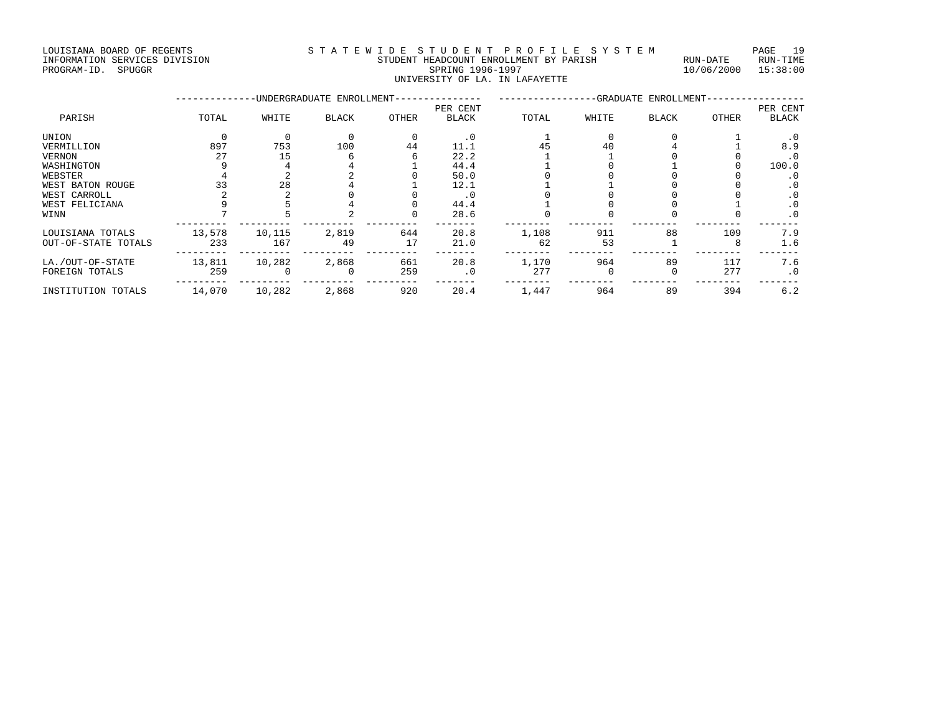LOUISIANA BOARD OF REGENTS S T A T E W I D E S T U D E N T P R O F I L E S Y S T E M PAGE 19 INFORMATION SERVICES DIVISION STUDENT HEADCOUNT ENROLLMENT BY PARISH RUN-DATE RUN-TIME

# REDRAM-TION SERVICES DIVISION AND STODENT HEADCOUNT ENROLLMENT BY PARISH THE RUN-DATE RUN-TIME IN TIME RUN-TIME<br>PROGRAM-ID. SPUGGR 15:38:00 UNIVERSITY OF LA. IN LAFAYETTE

|                     |        |          | -UNDERGRADUATE ENROLLMENT- |       |              |       |       | -GRADUATE ENROLLMENT- |       |              |
|---------------------|--------|----------|----------------------------|-------|--------------|-------|-------|-----------------------|-------|--------------|
|                     |        |          |                            |       | PER CENT     |       |       |                       |       | PER CENT     |
| PARISH              | TOTAL  | WHITE    | <b>BLACK</b>               | OTHER | <b>BLACK</b> | TOTAL | WHITE | <b>BLACK</b>          | OTHER | <b>BLACK</b> |
| UNION               |        | $\Omega$ |                            |       | . 0          |       |       |                       |       | . 0          |
| VERMILLION          | 897    | 753      | 100                        | 44    | 11.1         |       | 40    |                       |       | 8.9          |
| VERNON              | 27     | 15       |                            |       | 22.2         |       |       |                       |       | . 0          |
| WASHINGTON          |        |          |                            |       | 44.4         |       |       |                       |       | 100.0        |
| WEBSTER             |        |          |                            |       | 50.0         |       |       |                       |       | . 0          |
| WEST BATON ROUGE    | 33     | 28       |                            |       | 12.1         |       |       |                       |       | $\cdot$ 0    |
| WEST CARROLL        |        |          |                            |       | . 0          |       |       |                       |       | $\cdot$ 0    |
| WEST FELICIANA      |        |          |                            |       | 44.4         |       |       |                       |       | $\cdot$ 0    |
| WINN                |        |          |                            |       | 28.6         |       |       |                       |       | $\cdot$ 0    |
| LOUISIANA TOTALS    | 13,578 | 10,115   | 2,819                      | 644   | 20.8         | 1,108 | 911   | 88                    | 109   | 7.9          |
| OUT-OF-STATE TOTALS | 233    | 167      | 49                         | 17    | 21.0         | 62    | 53    |                       | 8     | 1.6          |
| LA./OUT-OF-STATE    | 13,811 | 10,282   | 2,868                      | 661   | 20.8         | 1,170 | 964   | 89                    | 117   | 7.6          |
| FOREIGN TOTALS      | 259    |          | $\Omega$                   | 259   | $\cdot$ 0    | 277   |       |                       | 277   | $\cdot$ 0    |
| INSTITUTION TOTALS  | 14,070 | 10,282   | 2,868                      | 920   | 20.4         | 1,447 | 964   | 89                    | 394   | 6.2          |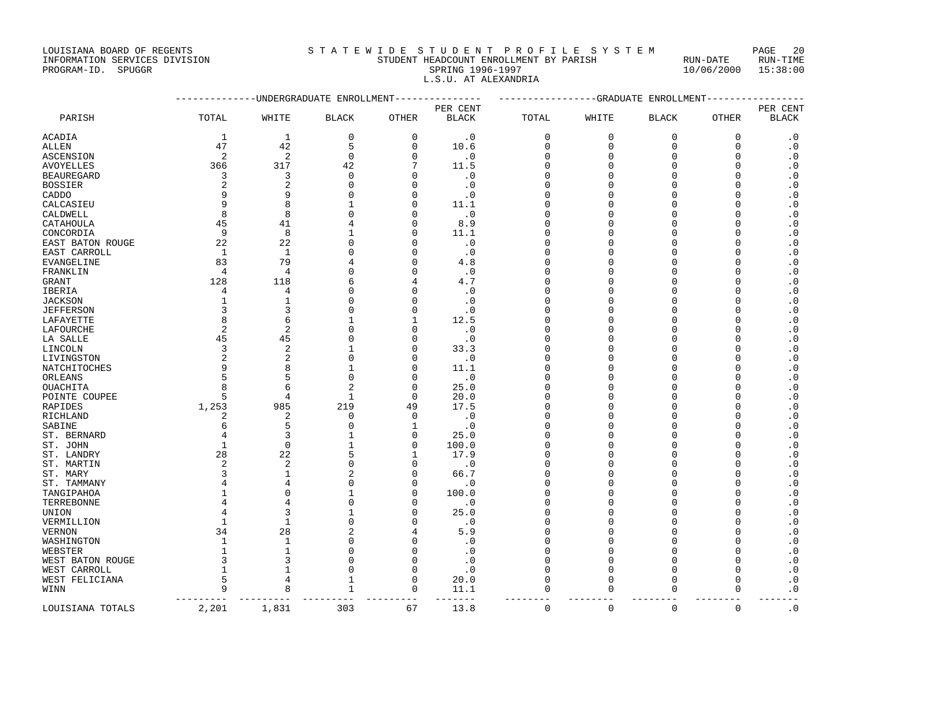#### INFORMATION SERVICES DIVISION STUDENT HEADCOUNT ENROLLMENT BY PARISH RUN-DATE RUN-TIME PROGRAM-ID. SPUGGR SERVICES DIVISION AND STRIDENT HEADCOUNT ENROLLMENT BY PARISH THAT STRIDEN TO RUN-DATE RUN<br>PROGRAM-ID. SPUGGR SPRING 1996-1997 SPRING 1996-1997 10/06/2000 15:38:00 L.S.U. AT ALEXANDRIA

|                                |                |                                | -----------UNDERGRADUATE ENROLLMENT--------------- |                      |                          | ----------------GRADUATE ENROLLMENT---------------- |                      |                      |             |                          |
|--------------------------------|----------------|--------------------------------|----------------------------------------------------|----------------------|--------------------------|-----------------------------------------------------|----------------------|----------------------|-------------|--------------------------|
| PARISH                         | TOTAL          | WHITE                          | <b>BLACK</b>                                       | OTHER                | PER CENT<br><b>BLACK</b> | TOTAL                                               | WHITE                | <b>BLACK</b>         | OTHER       | PER CENT<br><b>BLACK</b> |
| ACADIA                         | 1              | 1                              | $\mathbf 0$                                        | $\mathbf 0$          | $\cdot$ 0                | $\mathbf 0$                                         | 0                    | $\mathbf 0$          | $\mathbf 0$ | $\cdot$ 0                |
| ALLEN                          | 47             | 42                             | 5                                                  | 0                    | 10.6                     | 0                                                   | $\mathbf{0}$         | $\mathbf 0$          | $\mathbf 0$ | $\cdot$ 0                |
| ASCENSION                      | 2              | $\overline{2}$                 | $\Omega$                                           | ∩                    | $\cdot$ 0                | <sup>0</sup>                                        | $\Omega$             | $\Omega$             | $\Omega$    | $\cdot$ 0                |
|                                | 366            | 317                            | 42                                                 |                      | 11.5                     | <sup>0</sup>                                        | $\Omega$             | $\Omega$             | $\Omega$    | $\cdot$ 0                |
| AVOYELLES                      | 3              | 3                              | 0                                                  | ∩                    |                          | $\Omega$                                            | $\Omega$             | O                    | 0           |                          |
| BEAUREGARD                     | $\overline{c}$ | $\overline{c}$                 | $\Omega$                                           | ∩                    | $\cdot$ 0                | $\Omega$                                            | $\Omega$             | $\cap$               | $\Omega$    | $\cdot$ 0                |
| BOSSIER                        | q              | 9                              | $\Omega$                                           | O                    | $\cdot$ 0                | <sup>0</sup>                                        | $\Omega$             | $\cap$               | U           | $\cdot$ 0                |
| CADDO                          | q              | 8                              | 1                                                  | O                    | $\cdot$ 0                | <sup>0</sup>                                        | $\Omega$             | O                    | U           | $\cdot$ 0                |
| CALCASIEU                      | 8              | 8                              | $\Omega$                                           | O                    | 11.1<br>$\cdot$ 0        | <sup>0</sup>                                        | $\Omega$             | $\Omega$             | O           | $\cdot$ 0                |
| CALDWELL                       | 45             | 41                             | 4                                                  | $\Omega$             | 8.9                      | $\Omega$                                            | $\Omega$             | $\Omega$             | U           | $\cdot$ 0<br>$\cdot$ 0   |
| CATAHOULA                      | 9              |                                | 1                                                  | ∩                    |                          | ∩                                                   | $\Omega$             | C                    | U           |                          |
| CONCORDIA                      |                | 8                              | $\Omega$                                           |                      | 11.1                     |                                                     | $\Omega$             | $\Omega$             | O           | $\cdot$ 0                |
| EAST BATON ROUGE               | 22             | 22                             |                                                    | O                    | $\cdot$ 0                | <sup>0</sup>                                        |                      |                      |             | $\cdot$ 0                |
| EAST CARROLL                   | 1              | $\mathbf{1}$<br>79             | $\Omega$                                           | O<br>∩               | $\cdot$ 0                | <sup>0</sup>                                        | $\Omega$<br>$\Omega$ | $\Omega$<br>$\Omega$ | U<br>O      | $\cdot$ 0                |
| EVANGELINE                     | 83             |                                | 4<br>$\Omega$                                      | ∩                    | 4.8                      | <sup>0</sup>                                        | $\Omega$             |                      | U           | $\cdot$ 0                |
| FRANKLIN                       | $\overline{4}$ | $\overline{4}$                 |                                                    |                      | $\cdot$ 0                | <sup>0</sup>                                        | $\Omega$             | $\Omega$             | U           | $\cdot$ 0                |
| GRANT                          | 128            | 118                            | 6<br>$\Omega$                                      |                      | 4.7                      | <sup>0</sup><br>$\Omega$                            | $\Omega$             | O<br>$\cap$          | O           | $\cdot$ 0                |
| IBERIA                         | 4<br>1         | 4<br>1                         | $\Omega$                                           | ∩                    | $\cdot$ 0                | <sup>0</sup>                                        | $\Omega$             | $\cap$               | U           | $\cdot$ 0                |
| JACKSON                        | ঽ              | 3                              | $\Omega$                                           | ∩                    | $\cdot$ 0                | n                                                   | ∩                    | C                    | U           | $\cdot$ 0                |
| JEFFERSON                      |                |                                | 1                                                  |                      | $\cdot$ 0                |                                                     | $\Omega$             |                      | U           | $\cdot$ 0                |
| LAFAYETTE                      | 8              | 6                              |                                                    |                      | 12.5                     | <sup>0</sup>                                        |                      | $\Omega$             |             | $\cdot$ 0                |
| LAFOURCHE                      | $\overline{2}$ | $\overline{2}$                 | $\Omega$<br>$\Omega$                               | $\Omega$             | $\cdot$ 0                | <sup>0</sup><br>$\Omega$                            | $\Omega$<br>$\Omega$ | $\Omega$<br>$\cap$   | 0<br>O      | $\cdot$ 0                |
| LA SALLE                       | 45<br>२        | 45                             | 1                                                  | O                    | $\cdot$ 0                |                                                     | $\Omega$             | $\Omega$             | U           | $\cdot$ 0                |
| LINCOLN                        |                | 2                              | $\Omega$                                           | O                    | 33.3                     | O                                                   | $\Omega$             | $\Omega$             | U           | $\cdot$ 0                |
| LIVINGSTON                     | 2              | $\overline{2}$<br>$\mathsf{R}$ | 1                                                  | O                    | $\cdot$ 0                | <sup>0</sup>                                        |                      | $\Omega$             | $\cap$      | $\cdot$ 0                |
| NATCHITOCHES                   |                | 5                              | $\mathbf 0$                                        | ∩<br>$\Omega$        | 11.1                     | O<br>O                                              | $\Omega$<br>$\Omega$ | $\Omega$             | 0           | $\cdot$ 0                |
| ORLEANS                        | 5              |                                | $\overline{c}$                                     |                      | $\cdot$ 0                | n                                                   | O                    | C                    | U           | $\cdot$ 0                |
| OUACHITA                       | 8<br>5         | 6<br>4                         | $\mathbf{1}$                                       | $\Omega$<br>$\Omega$ | 25.0<br>20.0             | O                                                   | $\Omega$             | $\Omega$             | O           | $\cdot$ 0<br>$\cdot$ 0   |
| POINTE COUPEE                  |                | 985                            | 219                                                | 49                   | 17.5                     | O                                                   | $\Omega$             | $\Omega$             | U           |                          |
| RAPIDES<br>RICHLAND            | 1,253<br>2     | $\overline{2}$                 | $\Omega$                                           | $\Omega$             | $\cdot$ 0                | O                                                   | $\Omega$             | ∩                    | U           | $\cdot$ 0<br>$\cdot$ 0   |
| SABINE                         | 6              | 5                              | $\Omega$                                           | 1                    |                          | O                                                   | $\Omega$             | ∩                    | U           | $\cdot$ 0                |
| ST. BERNARD                    |                | 3                              | 1                                                  | 0                    | $\cdot$ 0<br>25.0        | $\Omega$                                            | $\Omega$             | O                    | U           | $\cdot$ 0                |
|                                | 1              | $\Omega$                       | $\mathbf{1}$                                       | $\Omega$             | 100.0                    | O                                                   | $\Omega$             | $\cap$               | $\Omega$    | $\cdot$ 0                |
| ST. JOHN<br>ST. LANDRY         | 28             | 22                             | 5                                                  |                      | 17.9                     | $\Omega$                                            | $\Omega$             | $\Omega$             | O           | $\cdot$ 0                |
| ST. MARTIN                     | 2              | $\overline{2}$                 | $\Omega$                                           | ∩                    | $\cdot$ 0                | n                                                   | ∩                    | $\Omega$             | U           | $\cdot$ 0                |
| ST. MARY                       | 3              | $\mathbf{1}$                   | $\mathcal{D}$                                      | O                    | 66.7                     | <sup>0</sup>                                        | $\Omega$             | $\Omega$             | U           | $\cdot$ 0                |
| ST. TAMMANY                    |                | 4                              | $\Omega$                                           | $\Omega$             | $\cdot$ 0                | <sup>0</sup>                                        | $\Omega$             | $\Omega$             | U           | $\cdot$ 0                |
| TANGIPAHOA                     |                | $\Omega$                       | 1                                                  | $\Omega$             | 100.0                    | <sup>0</sup>                                        | $\Omega$             | $\cap$               | O           | $\cdot$ 0                |
| TERREBONNE                     |                | 4                              | $\Omega$                                           | O                    | $\cdot$ 0                | <sup>0</sup>                                        | $\Omega$             | C                    | U           | $\cdot$ 0                |
| UNION                          |                | २                              | 1                                                  | O                    | 25.0                     | <sup>0</sup>                                        | $\Omega$             | $\Omega$             | U           | $\cdot$ 0                |
| VERMILLION                     | $\mathbf{1}$   | 1                              | $\Omega$                                           | O                    | $\cdot$ 0                | <sup>0</sup>                                        | $\Omega$             | $\Omega$             | O           | $\cdot$ 0                |
| VERNON                         | 34             | 28                             | 2                                                  | 4                    | 5.9                      | $\Omega$                                            | $\Omega$             | $\Omega$             | $\Omega$    | $\cdot$ 0                |
|                                | -1             | 1                              | $\Omega$                                           | ∩                    | $\cdot$ 0                | <sup>0</sup>                                        | O                    | C                    | $\Omega$    | $\cdot$ 0                |
| WASHINGTON<br>WEBSTER          | $\mathbf{1}$   | $\mathbf{1}$                   | $\Omega$                                           | O                    | $\cdot$ 0                | <sup>0</sup>                                        | $\Omega$             | $\Omega$             | O           | $\cdot$ 0                |
|                                |                | 3                              | $\Omega$                                           | O                    |                          | <sup>0</sup>                                        | $\Omega$             | $\Omega$             | U           | $\cdot$ 0                |
| WEST BATON ROUGE               | -1             |                                | $\Omega$                                           | ∩                    | $\cdot$ 0                | $\Omega$                                            | $\Omega$             | $\Omega$             | $\Omega$    |                          |
| WEST CARROLL<br>WEST FELICIANA | 5              | 4                              | $\mathbf{1}$                                       | ∩                    | $\cdot$ 0<br>20.0        | $\Omega$                                            | $\Omega$             | $\Omega$             | U           | $\cdot$ 0<br>$\cdot$ 0   |
| WINN                           | 9              | 8                              | 1                                                  | 0                    | 11.1                     | 0                                                   | $\mathbf 0$          | $\Omega$             | $\Omega$    | $\cdot$ 0                |
|                                |                |                                |                                                    |                      |                          |                                                     |                      |                      |             |                          |
|                                |                |                                |                                                    |                      |                          |                                                     |                      |                      |             |                          |

LOUISIANA TOTALS 2,201 1,831 303 67 13.8 0 0 0 0 .0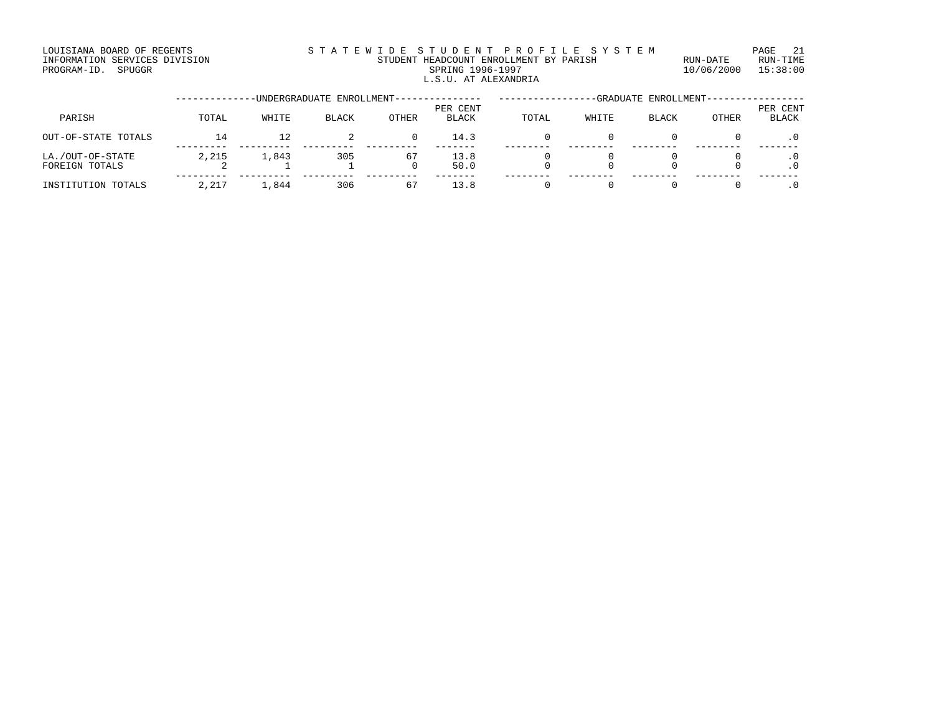#### LOUISIANA BOARD OF REGENTS STATEWIDE STUDENT PROFILE SYSTEM PAGE 21 INFORMATION SERVICES DIVISION STUDENT HEADCOUNT ENROLLMENT BY PARISH RUN-DATE RUN-TIME EXTENDENT BOARD OF THE MATRICLES DIVISION AND THE STUDENT HEADCOUNT ENROLLMENT BY PARISH NUM-DATE RUN-TIME RUN<br>PROGRAM-ID. SPUGGR SPRING 1996-1997 SPUGGRAM-ID. SPUGGR L.S.U. AT ALEXANDRIA

|                                    |       |       | -UNDERGRADUATE ENROLLMENT--- |       |                          |       |       | -GRADUATE ENROLLMENT- |       |                          |
|------------------------------------|-------|-------|------------------------------|-------|--------------------------|-------|-------|-----------------------|-------|--------------------------|
| PARISH                             | TOTAL | WHITE | BLACK                        | OTHER | PER CENT<br><b>BLACK</b> | TOTAL | WHITE | <b>BLACK</b>          | OTHER | PER CENT<br><b>BLACK</b> |
| OUT-OF-STATE TOTALS                | 14    | 12    |                              |       | 14.3                     |       |       |                       |       |                          |
| LA./OUT-OF-STATE<br>FOREIGN TOTALS | 2,215 | 1,843 | 305                          | 67    | 13.8<br>50.0             |       |       |                       |       | $\cdot$ 0                |
| INSTITUTION TOTALS                 | 2,217 | 1,844 | 306                          | 67    | 13.8                     |       |       |                       |       |                          |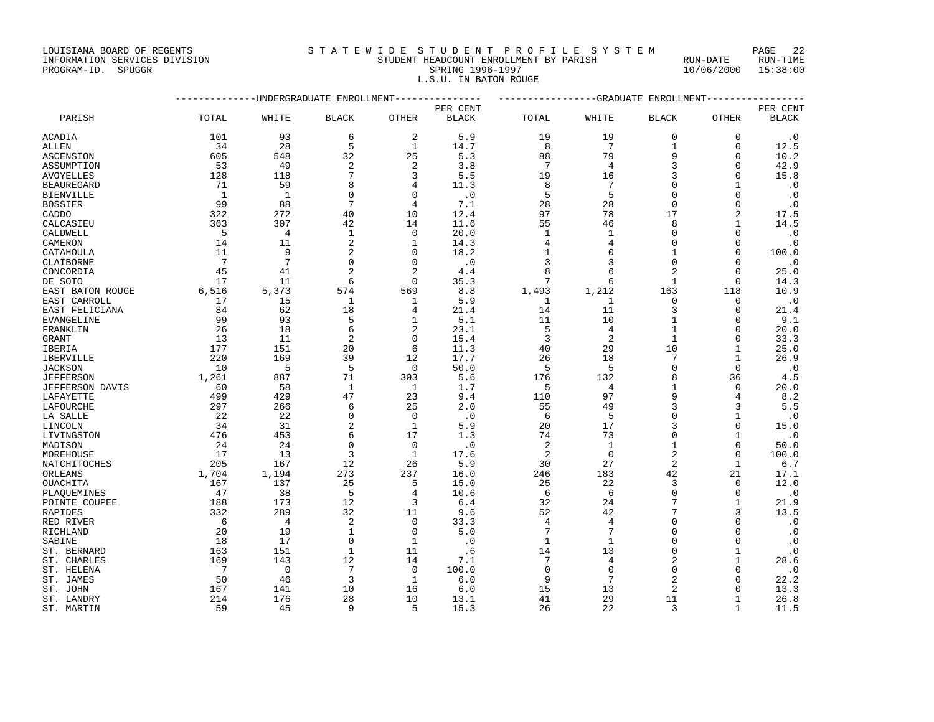| DONTSTAMA DOARD OF REGENIS    | o I A I B W I D B D I U D B N I F A U F I B B I B I B M |          | 5 HULL<br>44 |
|-------------------------------|---------------------------------------------------------|----------|--------------|
| INFORMATION SERVICES DIVISION | STUDENT HEADCOUNT ENROLLMENT BY PARISH                  | RUN-DATE | RUN-TIME     |

#### PROGRAM-ID. SPUGGR SPRING 1996-1997 10/06/2000 15:38:00 L.S.U. IN BATON ROUGE

|                  | --------------DNDERGRADUATE ENROLLMENT--------------- |                |                |                |              | ---------------GRADUATE ENROLLMENT-------------- |                 |                |              |              |
|------------------|-------------------------------------------------------|----------------|----------------|----------------|--------------|--------------------------------------------------|-----------------|----------------|--------------|--------------|
|                  |                                                       |                |                |                | PER CENT     |                                                  |                 |                |              | PER CENT     |
| PARISH           | TOTAL                                                 | WHITE          | <b>BLACK</b>   | <b>OTHER</b>   | <b>BLACK</b> | TOTAL                                            | WHITE           | <b>BLACK</b>   | OTHER        | <b>BLACK</b> |
| ACADIA           | 101                                                   | 93             | 6              | 2              | 5.9          | 19                                               | 19              | 0              | 0            | $\cdot$ 0    |
| ALLEN            | 34                                                    | 28             | 5              | $\mathbf{1}$   | 14.7         | 8                                                | $7\phantom{.0}$ | $\mathbf 1$    | $\mathbf 0$  | 12.5         |
| ASCENSION        | 605                                                   | 548            | 32             | 25             | 5.3          | 88                                               | 79              | 9              | U            | 10.2         |
| ASSUMPTION       | 53                                                    | 49             | $\overline{c}$ | 2              | 3.8          | 7                                                | 4               |                | U            | 42.9         |
| AVOYELLES        | 128                                                   | 118            | 7              | 3              | 5.5          | 19                                               | 16              | 3              | $\Omega$     | 15.8         |
| BEAUREGARD       | 71                                                    | 59             | 8              |                | 11.3         | 8                                                | 7               | $\Omega$       | 1            | $\cdot$ 0    |
| BIENVILLE        | <sup>1</sup>                                          | -1             | $\Omega$       | $\Omega$       | $\cdot$ 0    | 5                                                | 5               | $\Omega$       | U            | $\cdot$ 0    |
| BOSSIER          | 99                                                    | 88             | 7              | 4              | 7.1          | 28                                               | 28              | $\mathbf 0$    | O            | $\cdot$ 0    |
| CADDO            | 322                                                   | 272            | 40             | 10             | 12.4         | 97                                               | 78              | 17             | 2            | 17.5         |
| CALCASIEU        | 363                                                   | 307            | 42             | 14             | 11.6         | 55                                               | 46              | 8              | $\mathbf{1}$ | 14.5         |
| CALDWELL         | 5                                                     | $\overline{4}$ | 1              | 0              | 20.0         | 1                                                | 1               | $\Omega$       | $\Omega$     | $\cdot$ 0    |
| CAMERON          | 14                                                    | 11             | 2              | 1              | 14.3         | 4                                                | 4               | $\Omega$       | $\Omega$     | $\cdot$ 0    |
| CATAHOULA        | 11                                                    | 9              | $\overline{c}$ | $\Omega$       | 18.2         | 1                                                | $\Omega$        | $\mathbf{1}$   | $\Omega$     | 100.0        |
| CLAIBORNE        | 7                                                     | 7              | $\Omega$       | $\mathbf 0$    | $\cdot$ 0    | 3                                                | 3               | $\Omega$       | 0            | $\cdot$ 0    |
| CONCORDIA        | 45                                                    | 41             | $\overline{2}$ | $\overline{2}$ | 4.4          | 8                                                | 6               |                | $\mathbf 0$  | 25.0         |
| DE SOTO          | 17                                                    | 11             | 6              | $\Omega$       | 35.3         | 7                                                | 6               | $\mathbf{1}$   | $\mathbf 0$  | 14.3         |
| EAST BATON ROUGE | 6,516                                                 | 5,373          | 574            | 569            | 8.8          | 1,493                                            | 1,212           | 163            | 118          | 10.9         |
| EAST CARROLL     | 17                                                    | 15             | $\mathbf{1}$   | 1              | 5.9          | 1                                                | 1               | $\Omega$       | 0            | $\cdot$ 0    |
| EAST FELICIANA   | 84                                                    | 62             | 18             | 4              | 21.4         | 14                                               | 11              | 3              | 0            | 21.4         |
| EVANGELINE       | 99                                                    | 93             | 5              | 1              | 5.1          | 11                                               | 10              | $\mathbf{1}$   | $\Omega$     | 9.1          |
| FRANKLIN         | 26                                                    | 18             | 6              | 2              | 23.1         | 5                                                | 4               | 1              | U            | 20.0         |
| GRANT            | 13                                                    | 11             | $\overline{2}$ | $\Omega$       | 15.4         | 3                                                | $\overline{2}$  | $\mathbf{1}$   | $\Omega$     | 33.3         |
| IBERIA           | 177                                                   | 151            | 20             | 6              | 11.3         | 40                                               | 29              | 10             | 1            | 25.0         |
| IBERVILLE        | 220                                                   | 169            | 39             | 12             | 17.7         | 26                                               | 18              | 7              | 1            | 26.9         |
| <b>JACKSON</b>   | 10                                                    | 5              | 5              | $\Omega$       | 50.0         | 5                                                | 5               | $\Omega$       | $\Omega$     | $\cdot$ 0    |
| <b>JEFFERSON</b> | 1,261                                                 | 887            | 71             | 303            | 5.6          | 176                                              | 132             | 8              | 36           | 4.5          |
| JEFFERSON DAVIS  | 60                                                    | 58             | 1              | 1              | 1.7          | 5                                                | 4               | 1              | 0            | 20.0         |
| LAFAYETTE        | 499                                                   | 429            | 47             | 23             | 9.4          | 110                                              | 97              | 9              | 4            | 8.2          |
| LAFOURCHE        | 297                                                   | 266            | 6              | 25             | 2.0          | 55                                               | 49              | 3              | 3            | 5.5          |
| LA SALLE         | 22                                                    | 22             | $\Omega$       | $\Omega$       | $\cdot$ 0    | 6                                                | 5               | U              | 1            | $\cdot$ 0    |
| LINCOLN          | 34                                                    | 31             | $\overline{c}$ | $\mathbf{1}$   | 5.9          | 20                                               | 17              |                | $\Omega$     | 15.0         |
| LIVINGSTON       | 476                                                   | 453            | 6              | 17             | 1.3          | 74                                               | 73              | $\Omega$       | 1            | $\cdot$ 0    |
| MADISON          | 24                                                    | 24             | $\Omega$       | $\Omega$       | $\cdot$ 0    | 2                                                | $\mathbf{1}$    |                | $\Omega$     | 50.0         |
| MOREHOUSE        | 17                                                    | 13             | 3              | $\mathbf{1}$   | 17.6         | 2                                                | $\mathbf 0$     | $\overline{2}$ | $\mathbf 0$  | 100.0        |
| NATCHITOCHES     | 205                                                   | 167            | 12             | 26             | 5.9          | 30                                               | 27              | $\overline{2}$ | $\mathbf{1}$ | 6.7          |
| ORLEANS          | 1,704                                                 | 1,194          | 273            | 237            | 16.0         | 246                                              | 183             | 42             | 21           | 17.1         |
| OUACHITA         | 167                                                   | 137            | 25             | 5              | 15.0         | 25                                               | 22              | 3              | 0            | 12.0         |
| PLAOUEMINES      | 47                                                    | 38             | 5              | $\overline{4}$ | 10.6         | 6                                                | 6               | $\Omega$       | $\Omega$     | $\cdot$ 0    |
| POINTE COUPEE    | 188                                                   | 173            | 12             | 3              | 6.4          | 32                                               | 24              | 7              | $\mathbf{1}$ | 21.9         |
| RAPIDES          | 332                                                   | 289            | 32             | 11             | 9.6          | 52                                               | 42              | 7              | ζ            | 13.5         |
| RED RIVER        | 6                                                     | 4              | $\overline{2}$ | $\mathbf 0$    | 33.3         | 4                                                | $\overline{4}$  | $\Omega$       | $\mathbf 0$  | $\cdot$ 0    |
| RICHLAND         | 20                                                    | 19             | $\mathbf{1}$   | 0              | 5.0          | 7                                                | 7               | $\Omega$       | $\Omega$     | $\cdot$ 0    |
| SABINE           | 18                                                    | 17             | $\Omega$       | 1              | $\cdot$ 0    | $\mathbf{1}$                                     | 1               | $\Omega$       | $\Omega$     | $\cdot$ 0    |
| ST. BERNARD      | 163                                                   | 151            | $\mathbf{1}$   | 11             | .6           | 14                                               | 13              | $\Omega$       | $\mathbf{1}$ | $\cdot$ 0    |
| ST. CHARLES      | 169                                                   | 143            | 12             | 14             | 7.1          | 7                                                | 4               |                | 1            | 28.6         |
| ST. HELENA       | 7                                                     | $\Omega$       | 7              | $\Omega$       | 100.0        | $\Omega$                                         | $\Omega$        | $\Omega$       | $\Omega$     | $\cdot$ 0    |
| ST. JAMES        | 50                                                    | 46             | 3              | 1              | 6.0          | 9                                                | 7               | 2              | U            | 22.2         |
| ST. JOHN         | 167                                                   | 141            | 10             | 16             | 6.0          | 15                                               | 13              | 2              | U            | 13.3         |
| ST. LANDRY       | 214                                                   | 176            | 28             | 10             | 13.1         | 41                                               | 29              | 11             | 1            | 26.8         |
| ST. MARTIN       | 59                                                    | 45             | 9              | 5              | 15.3         | 26                                               | 22              | 3              | 1            | 11.5         |
|                  |                                                       |                |                |                |              |                                                  |                 |                |              |              |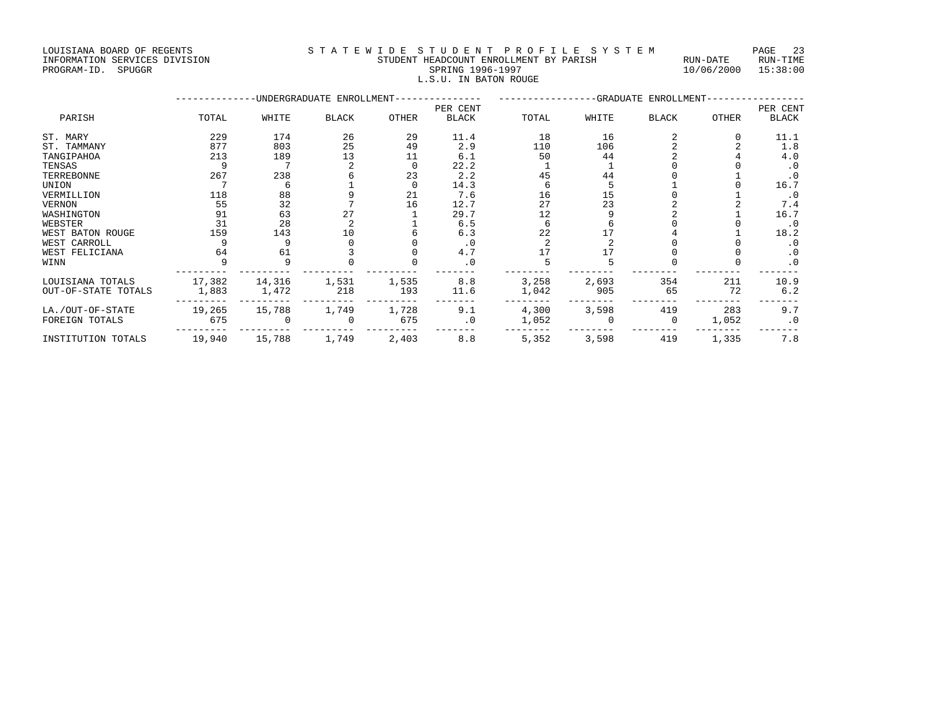# INFORMATION SERVICES DIVISION STUDENT HEADCOUNT ENROLLMENT BY PARISH RUN-DATE RUN-TIME PROGRAM-ID. SPUGGR SPRING 1996-1997 10/06/2000 15:38:00

| L.S.U. IN BATON ROUGE                                                                                 |                   |       |        |              |              |                          |  |  |  |  |
|-------------------------------------------------------------------------------------------------------|-------------------|-------|--------|--------------|--------------|--------------------------|--|--|--|--|
| ------------UNDERGRADUATE ENROLLMENT--------------- ---------------GRADUATE ENROLLMENT--------------- |                   |       |        |              |              |                          |  |  |  |  |
| TOTAL<br><b>BLACK</b><br>WHITE<br>OTHER                                                               | PER CENT<br>BLACK | TOTAL | WHTTE. | <b>BLACK</b> | <b>OTHER</b> | PER CENT<br><b>BLACK</b> |  |  |  |  |

|                     |        |        |              |       | PER CENT     |       |       |              |       | PER CENT     |
|---------------------|--------|--------|--------------|-------|--------------|-------|-------|--------------|-------|--------------|
| PARISH              | TOTAL  | WHITE  | <b>BLACK</b> | OTHER | <b>BLACK</b> | TOTAL | WHITE | <b>BLACK</b> | OTHER | <b>BLACK</b> |
| ST. MARY            | 229    | 174    | 26           | 29    | 11.4         | 18    | 16    |              |       | 11.1         |
| ST. TAMMANY         | 877    | 803    | 25           | 49    | 2.9          | 110   | 106   |              |       | 1.8          |
| TANGIPAHOA          | 213    | 189    | 13           | 11    | 6.1          | 50    | 44    |              |       | 4.0          |
| TENSAS              |        |        |              |       | 22.2         |       |       |              |       | $\cdot$ 0    |
| TERREBONNE          | 267    | 238    |              | 23    | 2.2          | 45    | 44    |              |       | $\cdot$ 0    |
| UNION               |        |        |              |       | 14.3         |       |       |              |       | 16.7         |
| VERMILLION          | 118    | 88     |              | 21    | 7.6          | 16    | 15    |              |       | $\cdot$ 0    |
| <b>VERNON</b>       | 55     | 32     |              | 16    | 12.7         | 27    | 23    |              |       | 7.4          |
| WASHINGTON          | 91     | 63     |              |       | 29.7         | 12    |       |              |       | 16.7         |
| WEBSTER             | 31     | 28     |              |       | 6.5          |       |       |              |       | $\cdot$ 0    |
| WEST BATON ROUGE    | 159    | 143    | 10           |       | 6.3          | 22    |       |              |       | 18.2         |
| WEST CARROLL        |        |        |              |       | $\cdot$ 0    |       |       |              |       | $\cdot$ 0    |
| WEST FELICIANA      | 64     | 61     |              |       | 4.7          |       |       |              |       | $\cdot$ 0    |
| WINN                |        |        |              |       | $\cdot$ 0    |       |       |              |       | $\cdot$ 0    |
| LOUISIANA TOTALS    | 17,382 | 14,316 | 1,531        | 1,535 | 8.8          | 3,258 | 2,693 | 354          | 211   | 10.9         |
| OUT-OF-STATE TOTALS | 1,883  | 1,472  | 218          | 193   | 11.6         | 1,042 | 905   | 65           | 72    | 6.2          |
| LA./OUT-OF-STATE    | 19,265 | 15,788 | 1,749        | 1,728 | 9.1          | 4,300 | 3,598 | 419          | 283   | 9.7          |
| FOREIGN TOTALS      | 675    |        |              | 675   | $\cdot$ 0    | 1,052 |       | $\Omega$     | 1,052 | $\cdot$ 0    |
| INSTITUTION TOTALS  | 19,940 | 15,788 | 1,749        | 2,403 | 8.8          | 5,352 | 3,598 | 419          | 1,335 | 7.8          |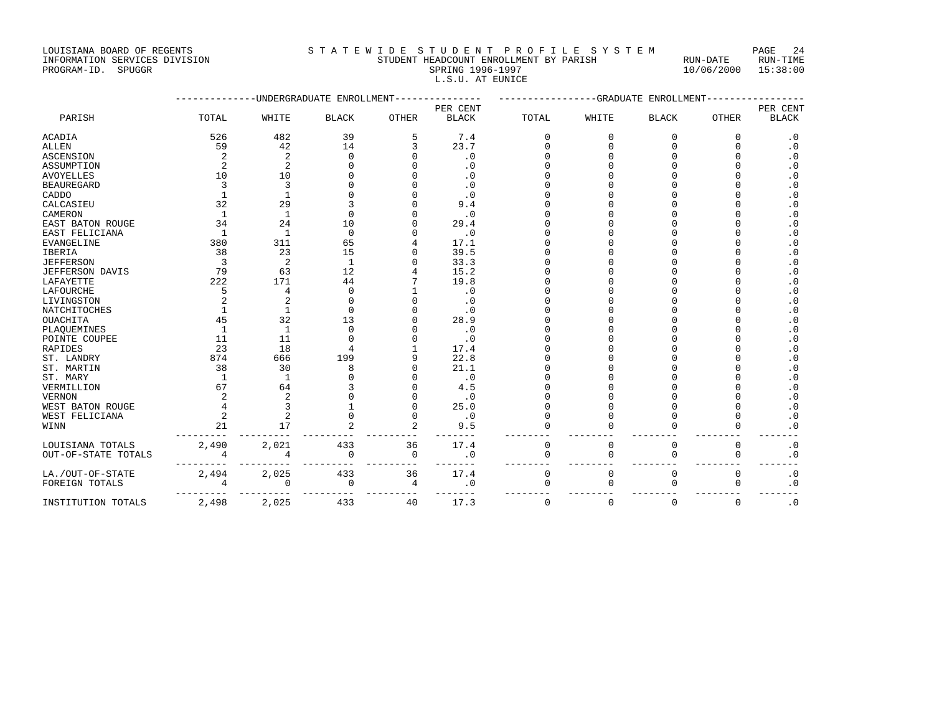#### INFORMATION SERVICES DIVISION STUDENT HEADCOUNT ENROLLMENT BY PARISH RUN-DATE RUN-TIME ENTERNATION SERVICES DIVISION <br>
FINE STUDENT HEADCOUNT ENROLLMENT BY PARISH RUN-DATE RUN-TIME RUN-TIME<br>
PROGRAM-ID. SPUGGR SPRING 1996-1997 10/06/2000 15:38:00 L.S.U. AT EUNICE

|                         |                | -UNDERGRADUATE | ENROLLMENT   |              |              |              | --GRADUATE   | ENROLLMENT   |              |                |
|-------------------------|----------------|----------------|--------------|--------------|--------------|--------------|--------------|--------------|--------------|----------------|
|                         |                |                |              |              | PER CENT     |              |              |              |              | PER CENT       |
| PARISH                  | TOTAL          | WHITE          | <b>BLACK</b> | <b>OTHER</b> | <b>BLACK</b> | TOTAL        | WHITE        | <b>BLACK</b> | <b>OTHER</b> | <b>BLACK</b>   |
| <b>ACADIA</b>           | 526            | 482            | 39           | 5            | 7.4          | <sup>0</sup> | $\Omega$     | $\Omega$     | $\Omega$     | $\cdot$ 0      |
| ALLEN                   | 59             | 42             | 14           |              | 23.7         |              | $\cap$       | U            | U            | $\cdot$ 0      |
| <b>ASCENSION</b>        | $\overline{c}$ | $\overline{2}$ | n            |              | $\cdot$ 0    |              |              |              |              | $\cdot$ 0      |
| ASSUMPTION              | $\overline{2}$ | $\mathbf{2}$   |              |              | $\cdot$ 0    |              |              |              |              | $\cdot$ 0      |
| <b>AVOYELLES</b>        | 10             | 10             |              |              | $\cdot$ 0    |              |              |              |              | . 0            |
| <b>BEAUREGARD</b>       | 3              | 3              |              |              | $\cdot$ 0    |              |              |              |              | $\overline{0}$ |
| CADDO                   |                |                |              |              | $\cdot$ 0    |              |              |              |              | $\cdot$ 0      |
| CALCASIEU               | 32             | 29             |              |              | 9.4          |              |              |              |              | . 0            |
| CAMERON                 |                | $\mathbf{1}$   |              |              | $\cdot$ 0    |              |              |              |              | . 0            |
| <b>EAST BATON ROUGE</b> | 34             | 24             | 10           |              | 29.4         |              |              |              |              | $\cdot$ 0      |
| EAST FELICIANA          | $\mathbf{1}$   | $\mathbf{1}$   | $\Omega$     |              | $\cdot$ 0    |              |              |              |              | $\cdot$ 0      |
| <b>EVANGELINE</b>       | 380            | 311            | 65           |              | 17.1         |              |              |              |              | $\overline{0}$ |
| <b>IBERIA</b>           | 38             | 23             | 15           |              | 39.5         |              |              |              |              | . 0            |
| <b>JEFFERSON</b>        | 3              | 2              | 1            |              | 33.3         |              |              |              |              | $\cdot$ 0      |
| JEFFERSON DAVIS         | 79             | 63             | 12           |              | 15.2         |              |              |              |              | $\cdot$ 0      |
| LAFAYETTE               | 222            | 171            | 44           |              | 19.8         |              |              |              |              | . 0            |
| LAFOURCHE               | 5              | 4              | $\cap$       |              | $\cdot$ 0    |              |              |              |              | $\cdot$ 0      |
| LIVINGSTON              |                | $\overline{2}$ |              |              | . 0          |              |              |              |              | . 0            |
| <b>NATCHITOCHES</b>     |                | $\mathbf{1}$   |              |              | $\cdot$ 0    |              |              |              |              | $\overline{0}$ |
| <b>OUACHITA</b>         | 45             | 32             | 13           |              | 28.9         |              |              |              |              | $\cdot$ 0      |
| PLAQUEMINES             | $\mathbf{1}$   | $\mathbf{1}$   | $\Omega$     |              | $\cdot$ 0    |              |              |              |              | $\overline{0}$ |
| POINTE COUPEE           | 11             | 11             |              |              | $\cdot$ 0    |              |              |              |              | $\cdot$ 0      |
| <b>RAPIDES</b>          | 23             | 18             |              |              | 17.4         |              |              |              |              | . 0            |
| ST. LANDRY              | 874            | 666            | 199          |              | 22.8         |              |              |              |              | $\cdot$ 0      |
| ST. MARTIN              | 38             | 30             | R            |              | 21.1         |              |              |              |              | $\overline{0}$ |
| ST. MARY                | $\overline{1}$ | 1              |              |              | $\cdot$ 0    |              |              |              |              | $\cdot$ 0      |
| VERMILLION              | 67             | 64             |              |              | 4.5          |              |              |              |              | . 0            |
| <b>VERNON</b>           |                | $\overline{2}$ |              |              | $\cdot$ 0    |              |              |              |              | $\cdot$ 0      |
| WEST BATON ROUGE        |                | 3              |              |              | 25.0         |              |              |              | U            | $\cdot$ 0      |
| WEST FELICIANA          | $\overline{c}$ | 2              |              |              | $\cdot$ 0    |              | $\cap$       |              | U            | $\cdot$ 0      |
| WINN                    | 21             | 17             |              |              | 9.5          |              | $\Omega$     |              | $\Omega$     | $\cdot$ 0      |
|                         |                |                |              |              |              |              |              |              |              |                |
| LOUISIANA TOTALS        | 2,490          | 2,021          | 433          | 36           | 17.4         | $\mathbf 0$  | $\mathbf 0$  | $\mathsf 0$  | 0            | $\cdot$ 0      |
| OUT-OF-STATE TOTALS     | $\overline{4}$ | $\overline{4}$ | $\Omega$     | $\mathbf 0$  | $\cdot$ 0    | $\mathbf 0$  | $\mathbf{0}$ | $\mathbf 0$  | 0            | $\cdot$ 0      |
| LA./OUT-OF-STATE        | 2,494          | 2,025          | 433          | 36           | 17.4         | $\Omega$     | $\Omega$     | $\Omega$     | $\Omega$     | $\cdot$ 0      |
| FOREIGN TOTALS          |                | $\Omega$       | $\Omega$     | 4            | .0           | $\Omega$     | $\Omega$     | $\Omega$     | $\Omega$     | $\cdot$ 0      |
| INSTITUTION TOTALS      | 2,498          | 2,025          | 433          | 40           | 17.3         | $\mathbf 0$  | $\mathbf{0}$ | $\mathbf 0$  | 0            | $\cdot$ 0      |
|                         |                |                |              |              |              |              |              |              |              |                |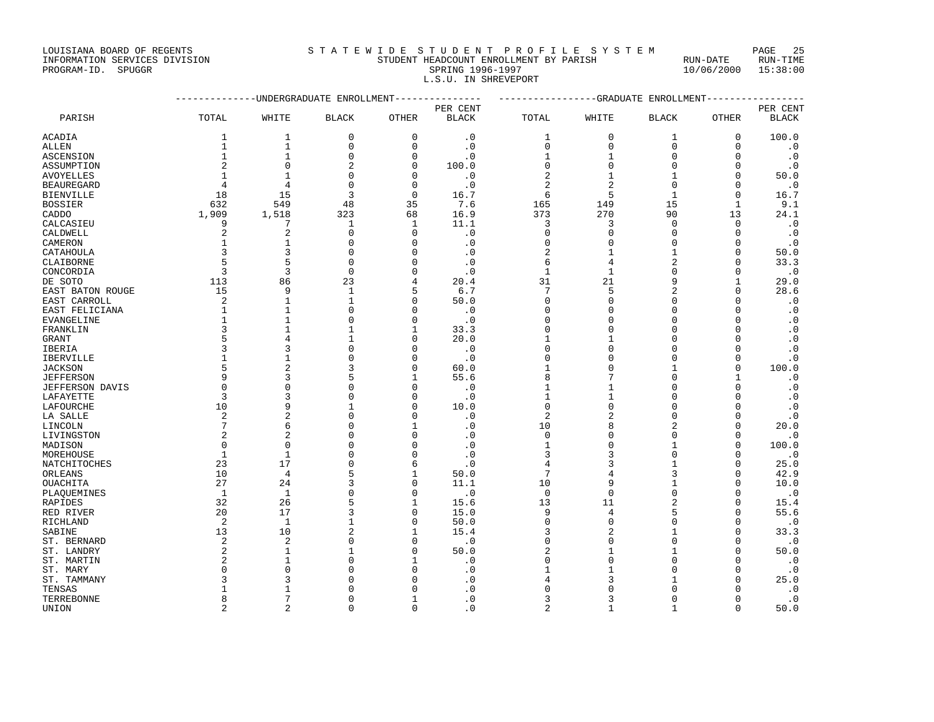#### INFORMATION SERVICES DIVISION STUDENT HEADCOUNT ENROLLMENT BY PARISH RUN-DATE RUN-TIME PROGRAM-ID. SPUGGR SPRING 1996-1997 10/06/2000 15:38:00 L.S.U. IN SHREVEPORT

|                      |                | ----------UNDERGRADUATE ENROLLMENT |                            | -------------- | ----------------GRADUATE ENROLLMENT- |                            |                          |                        |                      |                        |
|----------------------|----------------|------------------------------------|----------------------------|----------------|--------------------------------------|----------------------------|--------------------------|------------------------|----------------------|------------------------|
|                      |                |                                    |                            |                | PER CENT                             |                            |                          |                        |                      | PER CENT               |
| PARISH               | TOTAL          | WHITE                              | <b>BLACK</b>               | OTHER          | <b>BLACK</b>                         | TOTAL                      | WHITE                    | <b>BLACK</b>           | OTHER                | <b>BLACK</b>           |
| <b>ACADIA</b>        | 1              | 1                                  | 0                          | 0              | $\cdot$ 0                            | 1                          | 0                        | 1                      | 0                    | 100.0                  |
| <b>ALLEN</b>         | $\mathbf{1}$   | $\mathbf 1$                        | $\mathbf 0$                | $\Omega$       | $\cdot$ 0                            | 0                          | 0                        | $\mathbf 0$            | $\mathbf 0$          | $\cdot$ 0              |
| ASCENSION            | $\mathbf{1}$   | $\mathbf{1}$                       | $\Omega$                   | $\Omega$       | $\cdot$ 0                            | 1                          | 1                        | $\Omega$               | $\mathbf 0$          | $\cdot$ 0              |
| ASSUMPTION           | 2              | $\Omega$                           | $\overline{2}$             | ∩              | 100.0                                | $\Omega$                   | $\Omega$                 | $\Omega$               | $\Omega$             | $\cdot$ 0              |
| <b>AVOYELLES</b>     | $\mathbf{1}$   | $\mathbf{1}$                       | $\Omega$                   | $\Omega$       | $\cdot$ 0                            | $\overline{2}$             | $\mathbf{1}$             | 1                      | $\mathbf 0$          | 50.0                   |
| <b>BEAUREGARD</b>    | 4              | 4                                  | $\Omega$                   | $\Omega$       | $\cdot$ 0                            | $\overline{2}$             | $\overline{2}$           | $\Omega$               | $\Omega$             | $\cdot$ 0              |
| <b>BIENVILLE</b>     | 18             | 15                                 | 3                          | $\Omega$       | 16.7                                 | 6                          | 5                        | $\mathbf{1}$           | $\Omega$             | 16.7                   |
| <b>BOSSIER</b>       | 632            | 549                                | 48                         | 35             | 7.6                                  | 165                        | 149                      | 15                     | $\mathbf{1}$         | 9.1                    |
| CADDO                | 1,909          | 1,518                              | 323                        | 68             | 16.9                                 | 373                        | 270                      | 90                     | 13                   | 24.1                   |
| CALCASIEU            | 9              | 7                                  | 1                          | 1              | 11.1                                 | 3                          | 3                        | $\mathbf 0$            | $\mathbf 0$          | $\cdot$ 0              |
| CALDWELL             | 2              | 2                                  | $\Omega$                   | $\Omega$       | $\cdot$ 0                            | $\Omega$                   | $\Omega$                 | $\Omega$               | $\Omega$             | $\cdot$ 0              |
| CAMERON              | $\mathbf{1}$   | $\mathbf{1}$                       | $\Omega$                   | $\Omega$       | $\cdot$ 0                            | $\Omega$                   | $\Omega$                 | $\Omega$               | $\mathbf 0$          | $\cdot$ 0              |
| CATAHOULA            | 3              | 3                                  | $\Omega$                   |                | $\cdot$ 0                            | 2                          | 1                        | $\mathbf{1}$           | $\mathbf 0$          | 50.0                   |
| CLAIBORNE            | 5              | 5                                  | $\Omega$                   | $\Omega$       | $\cdot$ 0                            | 6                          | 4                        | $\overline{c}$         | $\Omega$             | 33.3                   |
| CONCORDIA            | 3              | 3                                  | $\Omega$                   | $\Omega$       | $\cdot$ 0                            | $\mathbf{1}$               | $\mathbf{1}$             | $\Omega$               | $\Omega$             | $\cdot$ 0              |
| DE SOTO              | 113            | 86                                 | 23                         | 4              | 20.4                                 | 31                         | 21                       | 9                      | 1                    | 29.0                   |
| EAST BATON ROUGE     | 15             | 9                                  | $\mathbf{1}$               | 5              | 6.7                                  | 7                          | 5                        | $\overline{2}$         | $\Omega$             | 28.6                   |
| EAST CARROLL         | 2              | $\mathbf{1}$                       | $\mathbf{1}$               | $\Omega$       | 50.0                                 | 0                          | $\mathbf 0$              | $\Omega$               | 0                    | $\cdot$ 0              |
| EAST FELICIANA       | $\mathbf{1}$   | $\mathbf{1}$                       | $\Omega$                   | $\Omega$       | $\cdot$ 0                            | $\Omega$                   | $\mathbf 0$              | $\Omega$               | $\mathbf 0$          | $\cdot$ 0              |
| EVANGELINE           | $\mathbf{1}$   | $\mathbf{1}$                       | $\Omega$                   | $\Omega$       | $\cdot$ 0                            | $\Omega$                   | 0                        | $\Omega$               | $\mathbf 0$          | $\cdot$ 0              |
| FRANKLIN             | 3              | $\mathbf{1}$                       | $\mathbf{1}$               | 1              | 33.3                                 | $\Omega$                   | 0                        | $\Omega$               | $\Omega$             | $\cdot$ 0              |
| <b>GRANT</b>         | 5              | 4                                  | $\mathbf{1}$               | $\Omega$       | 20.0                                 | 1                          | $\mathbf{1}$             | $\Omega$               | $\Omega$             | $\cdot$ 0              |
| IBERIA               | 3              | 3                                  | $\mathbf{0}$               | $\Omega$       | $\cdot$ 0                            | 0                          | 0                        | $\Omega$               | 0                    | $\cdot$ 0              |
| <b>IBERVILLE</b>     |                | $\mathbf{1}$                       | $\Omega$                   | $\Omega$       | $\cdot$ 0                            | $\Omega$                   | $\Omega$                 | $\Omega$               | $\mathbf 0$          | $\cdot$ 0              |
| <b>JACKSON</b>       | 5              | $\overline{2}$                     | 3                          | $\Omega$       | 60.0                                 | 1                          | $\mathbf 0$              |                        | $\mathbf 0$          | 100.0                  |
| <b>JEFFERSON</b>     | 9              | 3                                  | 5                          | 1              | 55.6                                 | 8                          | 7                        | $\Omega$               | 1                    | $\cdot$ 0              |
| JEFFERSON DAVIS      | $\Omega$       | $\mathbf{0}$                       | $\Omega$                   | $\Omega$       | $\cdot$ 0                            | $\mathbf{1}$               | $\mathbf{1}$             | $\Omega$               | $\mathbf 0$          | $\cdot$ 0              |
| LAFAYETTE            | 3              | 3                                  | $\Omega$                   | $\Omega$       | $\cdot$ 0                            | $\mathbf{1}$               | 1                        | $\Omega$               | $\mathbf 0$          | $\cdot$ 0              |
| LAFOURCHE            | 10             | 9                                  | $\mathbf{1}$               | $\Omega$       | 10.0                                 | $\mathbf 0$                | 0                        | $\Omega$               | $\Omega$             | $\cdot$ 0              |
| LA SALLE             | 2              | 2                                  | $\Omega$                   | O              | $\cdot$ 0                            | $\overline{c}$             | $\boldsymbol{2}$         | $\Omega$               | $\Omega$             | $\cdot$ 0              |
| LINCOLN              | 7              | 6                                  | $\Omega$                   |                | $\cdot$ 0                            | 10                         | 8                        | 2                      | $\Omega$             | 20.0                   |
| LIVINGSTON           | $\overline{2}$ | $\overline{2}$                     | $\Omega$                   | $\Omega$       | $\cdot$ 0                            | $\mathbf 0$                | 0                        | $\Omega$               | $\mathbf 0$          | $\cdot$ 0              |
| MADISON              | $\mathbf 0$    | $\mathbf 0$                        | $\Omega$                   | $\Omega$       | $\cdot$ 0                            | $\mathbf{1}$               | $\mathbf 0$              |                        | $\mathbf 0$          | 100.0                  |
| MOREHOUSE            | $\mathbf{1}$   | $\mathbf{1}$                       | $\Omega$                   | $\cap$         | $\cdot$ 0                            | 3                          | 3                        | $\Omega$               | $\Omega$             | $\cdot$ 0              |
| NATCHITOCHES         | 23             | 17                                 | $\Omega$                   | 6              | $\cdot$ 0                            | 4                          | 3                        |                        | $\Omega$             | 25.0                   |
| ORLEANS              | 10             | 4                                  | 5                          | 1              | 50.0                                 | 7                          | 4                        | 3                      | $\Omega$             | 42.9                   |
| OUACHITA             | 27             | 24                                 | 3                          | $\Omega$       | 11.1                                 | 10                         | 9                        | $\mathbf{1}$           | $\Omega$             | 10.0                   |
| PLAOUEMINES          | $\mathbf{1}$   | $\mathbf{1}$                       | $\Omega$                   | $\Omega$       | $\cdot$ 0                            | $\Omega$                   | $\Omega$                 | $\Omega$               | $\Omega$             | $\cdot$ 0              |
| RAPIDES              | 32             | 26                                 | 5                          | 1              | 15.6                                 | 13                         | 11                       | $\overline{2}$         | $\Omega$             | 15.4                   |
| RED RIVER            | 20             | 17                                 | 3                          | $\Omega$       | 15.0                                 | 9                          | 4                        | 5                      | $\Omega$             | 55.6                   |
| RICHLAND             | 2              | 1                                  | $\mathbf{1}$               | $\Omega$       | 50.0                                 | $\Omega$                   | $\mathbf 0$              | $\Omega$               | $\Omega$             | $\cdot$ 0              |
| SABINE               | 13             | 10                                 | $\overline{c}$<br>$\Omega$ |                | 15.4                                 | 3                          | $\boldsymbol{2}$         | $\mathbf{1}$<br>$\cap$ | $\mathbf 0$          | 33.3                   |
| ST. BERNARD          | 2<br>2         | $\mathbf{2}$<br>$\mathbf{1}$       | $\mathbf{1}$               | ∩<br>$\Omega$  | $\cdot$ 0<br>50.0                    | $\Omega$<br>$\overline{2}$ | $\Omega$<br>$\mathbf{1}$ | $\mathbf{1}$           | $\Omega$<br>$\Omega$ | $\cdot$ 0              |
| ST. LANDRY           |                |                                    |                            |                |                                      |                            |                          | $\Omega$               |                      | 50.0                   |
| ST. MARTIN           | 2<br>$\Omega$  | $\mathbf{1}$<br>$\mathbf{0}$       | $\mathbf{0}$<br>$\Omega$   | 1<br>$\Omega$  | $\cdot$ 0                            | 0<br>1                     | 0<br>$\mathbf{1}$        | $\Omega$               | $\Omega$<br>$\Omega$ | $\cdot$ 0              |
| ST. MARY             | 3              | 3                                  | $\Omega$                   | ∩              | $\cdot$ 0                            |                            | 3                        | $\mathbf{1}$           | $\Omega$             | $\cdot$ 0              |
| ST. TAMMANY          | -1             | $\mathbf{1}$                       | $\Omega$                   |                | . 0                                  | U                          | O                        | $\Omega$               | $\Omega$             | 25.0                   |
| TENSAS<br>TERREBONNE | 8              | 7                                  | $\Omega$                   |                | . 0<br>$\cdot$ 0                     | 3                          | 3                        | $\Omega$               | 0                    | $\cdot$ 0<br>$\cdot$ 0 |
| UNION                | $\overline{a}$ | 2                                  | $\Omega$                   | $\Omega$       | . 0                                  | $\overline{a}$             | 1                        | $\mathbf{1}$           | $\Omega$             | 50.0                   |
|                      |                |                                    |                            |                |                                      |                            |                          |                        |                      |                        |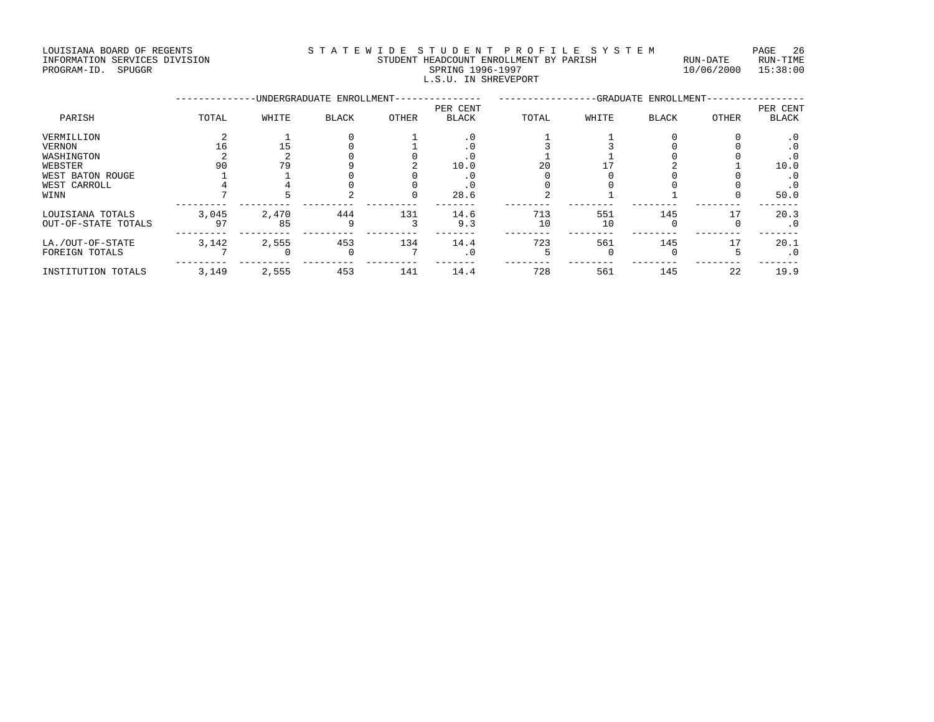#### LOUISIANA BOARD OF REGENTS STATEWIDE STUDENT PROFILE SYSTEM PAGE 26 INFORMATION SERVICES DIVISION STUDENT HEADCOUNT ENROLLMENT BY PARISH RUN-DATE RUN-TIME DIALA STUDENT HEADCOUNT ENROLLMENT BY PARISH NUM-DATE RUN-DATE RUN-TIME RUN-DATE RUN-TIME RUN-TIME STUDENT HEADCOUNT ENROLLMENT BY PARISH 10/06/2000 15:38:00

# L.S.U. IN SHREVEPORT

|                     |       |       | -UNDERGRADUATE ENROLLMENT- |       | -GRADUATE ENROLLMENT- |       |       |              |       |           |
|---------------------|-------|-------|----------------------------|-------|-----------------------|-------|-------|--------------|-------|-----------|
|                     |       |       |                            |       | PER CENT              |       |       |              |       | PER CENT  |
| PARISH              | TOTAL | WHITE | <b>BLACK</b>               | OTHER | <b>BLACK</b>          | TOTAL | WHITE | <b>BLACK</b> | OTHER | BLACK     |
| VERMILLION          |       |       |                            |       | . 0                   |       |       |              |       | $\cdot$ 0 |
| <b>VERNON</b>       | 16    | 15    |                            |       | . 0                   |       |       |              |       | . 0       |
| WASHINGTON          |       |       |                            |       | . 0                   |       |       |              |       | . 0       |
| WEBSTER             | 90    | 79    |                            |       | 10.0                  | 20    |       |              |       | 10.0      |
| WEST BATON ROUGE    |       |       |                            |       | . 0                   |       |       |              |       | . 0       |
| WEST CARROLL        |       |       |                            |       | $\cdot$ 0             |       |       |              |       | . 0       |
| WINN                |       |       |                            |       | 28.6                  |       |       |              |       | 50.0      |
| LOUISIANA TOTALS    | 3,045 | 2,470 | 444                        | 131   | 14.6                  | 713   | 551   | 145          | 17    | 20.3      |
| OUT-OF-STATE TOTALS | 97    | 85    | 9                          |       | 9.3                   | 10    | 10    |              |       | $\cdot$ 0 |
| LA./OUT-OF-STATE    | 3,142 | 2,555 | 453                        | 134   | 14.4                  | 723   | 561   | 145          | 17    | 20.1      |
| FOREIGN TOTALS      |       |       | $\Omega$                   |       | $\cdot$ 0             |       |       |              |       | $\cdot$ 0 |
| INSTITUTION TOTALS  | 3,149 | 2,555 | 453                        | 141   | 14.4                  | 728   | 561   | 145          | 22    | 19.9      |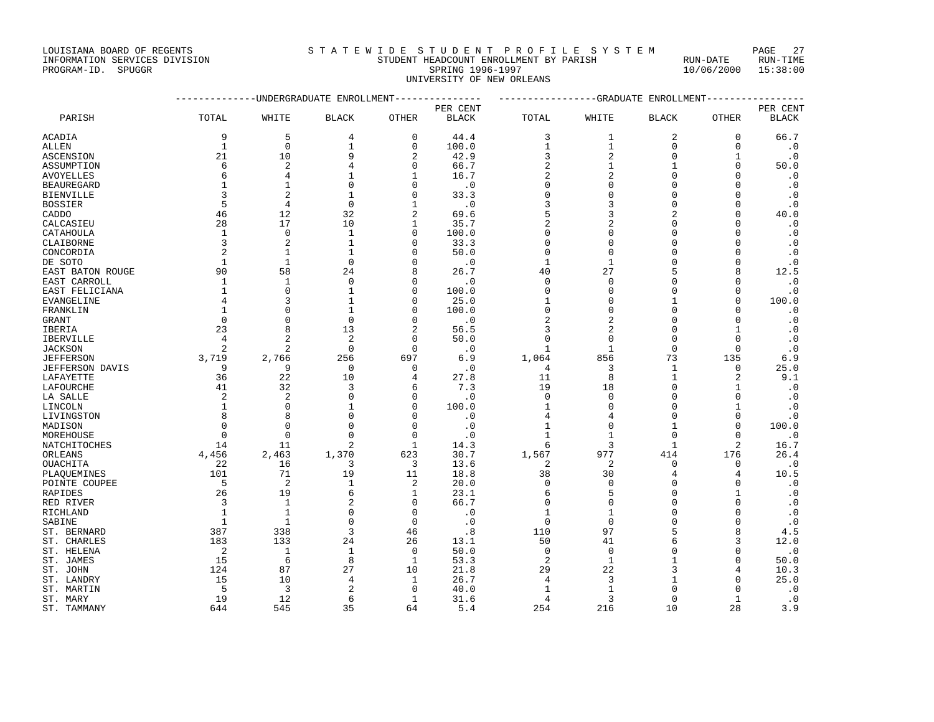INFORMATION SERVICES DIVISION STUDENT HEADCOUNT ENROLLMENT BY PARISH RUN-DATE RUN-TIME

PROGRAM-ID. SPUGGR SPRING 1996-1997 10/06/2000 15:38:00 UNIVERSITY OF NEW ORLEANS

|                     |                      | -----------UNDERGRADUATE ENROLLMENT |                |                    | ------------- | ----------------GRADUATE ENROLLMENT- |                |                      |                  |              |
|---------------------|----------------------|-------------------------------------|----------------|--------------------|---------------|--------------------------------------|----------------|----------------------|------------------|--------------|
|                     |                      |                                     |                |                    | PER CENT      |                                      |                |                      |                  | PER CENT     |
| PARISH              | TOTAL                | WHITE                               | <b>BLACK</b>   | <b>OTHER</b>       | <b>BLACK</b>  | TOTAL                                | WHITE          | <b>BLACK</b>         | OTHER            | <b>BLACK</b> |
| ACADIA              | 9                    | 5                                   | 4              | 0                  | 44.4          | 3                                    | 1              | 2                    | 0                | 66.7         |
| ALLEN               | $\mathbf{1}$         | $\Omega$                            | $\mathbf{1}$   | $\Omega$           | 100.0         | $\mathbf{1}$                         | $\mathbf{1}$   | $\mathbf 0$          | $\Omega$         | $\cdot$ 0    |
| ASCENSION           | 21                   | 10                                  | 9              | 2                  | 42.9          | 3                                    | 2              | $\Omega$             | 1                | $\cdot$ 0    |
| ASSUMPTION          | 6                    | 2                                   | 4              | $\Omega$           | 66.7          | 2                                    | 1              |                      | $\Omega$         | 50.0         |
| AVOYELLES           | 6                    | 4                                   | 1              | 1                  | 16.7          | 2                                    | 2              | $\Omega$             | $\Omega$         | $\cdot$ 0    |
| BEAUREGARD          | -1                   |                                     | $\Omega$       | ∩                  | $\cdot$ 0     | O                                    | 0              | $\Omega$             | $\Omega$         | $\cdot$ 0    |
| BIENVILLE           | 3                    | $\overline{2}$                      | $\mathbf{1}$   | U                  | 33.3          | U                                    | 0              | $\Omega$             | $\Omega$         | $\cdot$ 0    |
| BOSSIER             | 5                    | 4                                   | $\Omega$       | 1                  | $\cdot$ 0     | ζ                                    | 3              | $\Omega$             | $\Omega$         | $\cdot$ 0    |
| CADDO               | 46                   | 12                                  | 32             | $\overline{a}$     | 69.6          | 5                                    | 3              | $\overline{c}$       | $\Omega$         | 40.0         |
| CALCASIEU           | 28                   | 17                                  | 10             | 1                  | 35.7          |                                      | 2              | $\Omega$             | $\Omega$         | $\cdot$ 0    |
| CATAHOULA           | $\mathbf{1}$         | $\Omega$                            | $\mathbf{1}$   | $\Omega$           | 100.0         | $\Omega$                             | 0              | $\Omega$             | $\Omega$         | $\cdot$ 0    |
| CLAIBORNE           | 3                    | 2                                   | $\mathbf{1}$   | O                  | 33.3          | $\Omega$                             | 0              | $\Omega$             | $\Omega$         | $\cdot$ 0    |
| CONCORDIA           | $\overline{2}$       | $\mathbf{1}$                        | $\mathbf{1}$   | $\Omega$           | 50.0          | $\Omega$                             | $\Omega$       | $\sqrt{ }$           | $\Omega$         | $\cdot$ 0    |
| DE SOTO             | $\mathbf{1}$         | $\mathbf{1}$                        | $\mathbf 0$    | $\Omega$           | $\cdot$ 0     | 1                                    | 1              | $\mathcal{C}$        | $\Omega$         | $\cdot$ 0    |
| EAST BATON ROUGE    | 90                   | 58                                  | 24             | 8                  | 26.7          | 40                                   | 27             |                      | 8                | 12.5         |
| EAST CARROLL        | 1                    | 1                                   | $\mathbf 0$    | $\Omega$           | $\cdot$ 0     | $\Omega$                             | $\mathbf 0$    | $\cap$               | $\Omega$         | $\cdot$ 0    |
| EAST FELICIANA      | $\mathbf{1}$         | $\Omega$                            | $\mathbf{1}$   | $\Omega$           | 100.0         | $\Omega$                             | 0              | $\sqrt{ }$           | $\Omega$         | $\cdot$ 0    |
| EVANGELINE          | 4                    | २                                   | $\mathbf{1}$   | $\Omega$           | 25.0          | $\mathbf{1}$                         | 0              |                      | $\Omega$         | 100.0        |
| FRANKLIN            | 1                    |                                     | $\mathbf{1}$   | $\Omega$           | 100.0         | $\Omega$                             | 0              | $\Omega$             | $\Omega$         | $\cdot$ 0    |
| GRANT               | $\Omega$             | $\cap$                              | $\Omega$       | U                  | $\cdot$ 0     |                                      | $\overline{a}$ | $\sqrt{ }$           | $\Omega$         | $\cdot$ 0    |
| IBERIA              | 23                   | 8                                   | 13             | 2                  | 56.5          | 3                                    | 2              | $\Omega$             | 1                | $\cdot$ 0    |
| IBERVILLE           | $\overline{4}$       | 2                                   | 2              | 0                  | 50.0          | $\Omega$                             | 0              | $\Omega$             | $\Omega$         | $\cdot$ 0    |
| JACKSON             | 2                    | 2                                   | $\mathbf 0$    | $\Omega$           | $\cdot$ 0     | 1                                    | 1              | $\overline{0}$       | $\Omega$         | $\cdot$ 0    |
| JEFFERSON           | 3,719                | 2,766                               | 256            | 697                | 6.9           | 1,064                                | 856            | 73                   | 135              | 6.9          |
| JEFFERSON DAVIS     | 9                    | 9                                   | $\Omega$       | $\Omega$           | $\cdot$ 0     | 4                                    | 3              | 1                    | $\Omega$         | 25.0         |
| LAFAYETTE           | 36                   | 22                                  | 10             | 4                  | 27.8          | 11                                   | 8              | 1                    | $\overline{2}$   | 9.1          |
| LAFOURCHE           | 41                   | 32                                  | 3              | 6                  | 7.3           | 19                                   | 18             | $\Omega$             | 1                | $\cdot$ 0    |
| LA SALLE            | 2                    | $\overline{a}$                      | $\Omega$       | $\Omega$           | $\cdot$ 0     | $\Omega$                             | $\mathbf 0$    | $\Omega$             | $\Omega$         | $\cdot$ 0    |
| LINCOLN             | 1<br>8               | $\Omega$                            | 1              | $\Omega$<br>$\cap$ | 100.0         | 1                                    | 0              | $\Omega$<br>$\Omega$ | 1                | $\cdot$ 0    |
| LIVINGSTON          |                      | 8                                   | $\Omega$       | $\Omega$           | $\cdot$ 0     | 4                                    | 4              |                      | $\Omega$         | $\cdot$ 0    |
| MADISON             | $\Omega$<br>$\Omega$ | $\mathbf 0$<br>$\Omega$             | 0<br>$\Omega$  | <sup>0</sup>       | $\cdot$ 0     | 1                                    | $\mathbf 0$    | $\Omega$             | $\mathbf 0$<br>∩ | 100.0        |
| MOREHOUSE           | 14                   |                                     | $\overline{2}$ | $\mathbf{1}$       | $\cdot$ 0     | 1                                    | -1<br>3        |                      | $\overline{c}$   | $\cdot$ 0    |
| NATCHITOCHES        | 4,456                | 11<br>2,463                         | 1,370          | 623                | 14.3<br>30.7  | 6<br>1,567                           | 977            | 1<br>414             | 176              | 16.7<br>26.4 |
| ORLEANS<br>OUACHITA | 22                   | 16                                  | 3              | 3                  | 13.6          | 2                                    | 2              | $\Omega$             | $\Omega$         | $\cdot$ 0    |
| PLAQUEMINES         | 101                  | 71                                  | 19             | 11                 | 18.8          | 38                                   | 30             | 4                    | 4                | 10.5         |
| POINTE COUPEE       | 5                    | $\overline{c}$                      | $\mathbf{1}$   | 2                  | 20.0          | $\Omega$                             | $\mathbf 0$    | $\Omega$             | $\Omega$         | $\cdot$ 0    |
| RAPIDES             | 26                   | 19                                  | 6              | 1                  | 23.1          | 6                                    | 5              | $\Omega$             |                  | $\cdot$ 0    |
| RED RIVER           | 3                    | 1                                   | 2              | $\Omega$           | 66.7          | O                                    | 0              | $\cap$               | $\Omega$         | $\cdot$ 0    |
| RICHLAND            | 1                    | $\mathbf{1}$                        | $\mathbf 0$    | $\Omega$           | $\cdot$ 0     | 1                                    | 1              | $\sqrt{ }$           | $\Omega$         | $\cdot$ 0    |
| SABINE              | -1                   | -1                                  | $\Omega$       | $\Omega$           | $\cdot$ 0     | $\Omega$                             | $\Omega$       | $\sqrt{ }$           | $\Omega$         | $\cdot$ 0    |
| ST. BERNARD         | 387                  | 338                                 | 3              | 46                 | .8            | 110                                  | 97             | 5                    | $\mathsf{R}$     | 4.5          |
| ST. CHARLES         | 183                  | 133                                 | 24             | 26                 | 13.1          | 50                                   | 41             | 6                    | 3                | 12.0         |
| ST. HELENA          | 2                    | $\mathbf{1}$                        | $\mathbf{1}$   | $\mathbf 0$        | 50.0          | $\mathbf 0$                          | $\mathbf 0$    | $\mathcal{C}$        | $\Omega$         | $\cdot$ 0    |
| ST. JAMES           | 15                   | 6                                   | 8              | 1                  | 53.3          | 2                                    | 1              |                      | $\Omega$         | 50.0         |
| ST. JOHN            | 124                  | 87                                  | 27             | 10                 | 21.8          | 29                                   | 22             |                      | 4                | 10.3         |
| ST. LANDRY          | 15                   | 10                                  | 4              | 1                  | 26.7          | 4                                    | 3              |                      | $\Omega$         | 25.0         |
| ST. MARTIN          | 5                    | 3                                   | $\mathfrak{D}$ | $\Omega$           | 40.0          | $\mathbf{1}$                         | $\mathbf{1}$   | $\cap$               |                  | $\cdot$ 0    |
| ST. MARY            | 19                   | 12                                  | 6              | $\mathbf{1}$       | 31.6          | 4                                    | 3              | $\Omega$             | 1                | $\cdot$ 0    |
| ST. TAMMANY         | 644                  | 545                                 | 35             | 64                 | 5.4           | 254                                  | 216            | 10                   | 28               | 3.9          |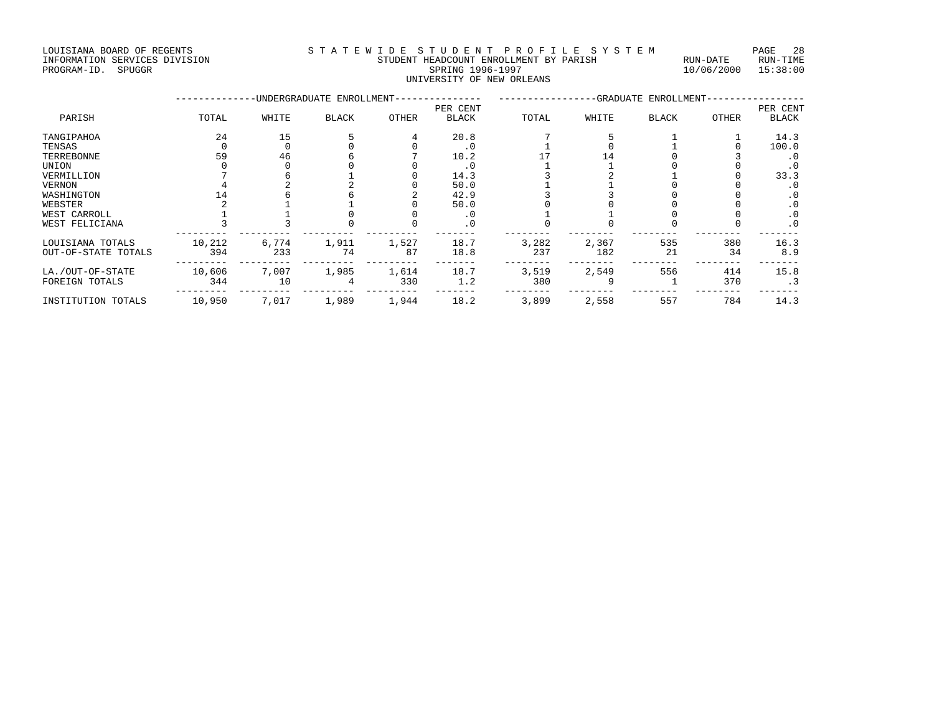LOUISIANA BOARD OF REGENTS STATEWIDE STUDENT PROFILE SYSTEM PAGE 28 INFORMATION SERVICES DIVISION STUDENT HEADCOUNT ENROLLMENT BY PARISH RUN-DATE RUN-TIME

# UNIVERSITY OF NEW ORLEANS

PROGRAM-ID. SPUGGR SPRING 1996-1997 10/06/2000 15:38:00 --------------UNDERGRADUATE ENROLLMENT--------------- -----------------GRADUATE ENROLLMENT-----------------

|                     |        |       |              |       | PER CENT     |       |       |              |       | PER CENT     |
|---------------------|--------|-------|--------------|-------|--------------|-------|-------|--------------|-------|--------------|
| PARISH              | TOTAL  | WHITE | <b>BLACK</b> | OTHER | <b>BLACK</b> | TOTAL | WHITE | <b>BLACK</b> | OTHER | <b>BLACK</b> |
| TANGIPAHOA          | 24     | 15    |              |       | 20.8         |       |       |              |       | 14.3         |
| TENSAS              |        |       |              |       | $\cdot$ 0    |       |       |              |       | 100.0        |
| TERREBONNE          | 59     | 46    |              |       | 10.2         |       |       |              |       | . 0          |
| UNION               |        |       |              |       | $\cdot$ 0    |       |       |              |       | . 0          |
| VERMILLION          |        |       |              |       | 14.3         |       |       |              |       | 33.3         |
| VERNON              |        |       |              |       | 50.0         |       |       |              |       | . 0          |
| WASHINGTON          |        |       |              |       | 42.9         |       |       |              |       | $\cdot$ 0    |
| WEBSTER             |        |       |              |       | 50.0         |       |       |              |       | $\cdot$ 0    |
| WEST CARROLL        |        |       |              |       | . 0          |       |       |              |       | $\cdot$ 0    |
| WEST FELICIANA      |        |       |              |       | $\cdot$ 0    |       |       |              |       | $\cdot$ 0    |
| LOUISIANA TOTALS    | 10,212 | 6,774 | 1,911        | 1,527 | 18.7         | 3,282 | 2,367 | 535          | 380   | 16.3         |
| OUT-OF-STATE TOTALS | 394    | 233   | 74           | 87    | 18.8         | 237   | 182   | 21           | 34    | 8.9          |
| LA./OUT-OF-STATE    | 10,606 | 7,007 | 1,985        | 1,614 | 18.7         | 3,519 | 2,549 | 556          | 414   | 15.8         |
| FOREIGN TOTALS      | 344    | 10    |              | 330   | 1.2          | 380   |       |              | 370   | . 3          |
| INSTITUTION TOTALS  | 10,950 | 7,017 | 1,989        | 1,944 | 18.2         | 3,899 | 2,558 | 557          | 784   | 14.3         |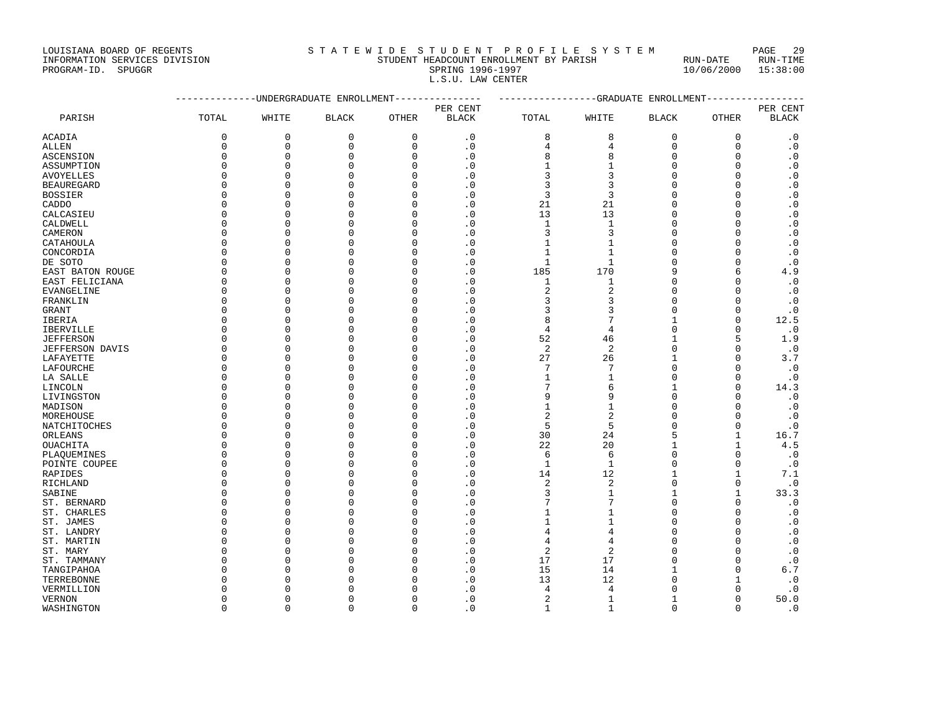LOUISIANA BOARD OF REGENTS S T A T E W I D E S T U D E N T P R O F I L E S Y S T E M PAGE 29

#### INFORMATION SERVICES DIVISION STUDENT HEADCOUNT ENROLLMENT BY PARISH RUN-DATE RUN-TIME PROGRAM-ID. SPUGGR SPRING 1996-1997 10/06/2000 15:38:00 L.S.U. LAW CENTER

|                   | --------    |             | -UNDERGRADUATE ENROLLMENT |              |                |                |                | -----------GRADUATE ENROLLMENT |              |              |
|-------------------|-------------|-------------|---------------------------|--------------|----------------|----------------|----------------|--------------------------------|--------------|--------------|
|                   |             |             |                           | PER CENT     |                |                |                |                                |              | PER CENT     |
| PARISH            | TOTAL       | WHITE       | <b>BLACK</b>              | <b>OTHER</b> | <b>BLACK</b>   | TOTAL          | WHITE          | <b>BLACK</b>                   | <b>OTHER</b> | <b>BLACK</b> |
| ACADIA            | $\mathbf 0$ | $\mathbf 0$ | $\mathbf 0$               | $\mathbf 0$  | $\cdot$ 0      | 8              | 8              | $\mathbf 0$                    | $\mathbf 0$  | $\cdot$ 0    |
| ALLEN             | $\mathbf 0$ | $\mathbf 0$ | $\mathbf 0$               | $\mathbf 0$  | $\cdot$ 0      | 4              | $\overline{4}$ | $\mathbf 0$                    | $\mathbf 0$  | $\cdot$ 0    |
| ASCENSION         | $\Omega$    | $\Omega$    | $\Omega$                  | $\Omega$     | . 0            | 8              | 8              | $\Omega$                       | $\Omega$     | $\cdot$ 0    |
| ASSUMPTION        | $\Omega$    | $\Omega$    | $\Omega$                  | $\Omega$     | $\overline{0}$ | $\mathbf{1}$   | $\mathbf{1}$   | $\mathbf 0$                    | $\Omega$     | $\cdot$ 0    |
| <b>AVOYELLES</b>  | $\Omega$    | $\Omega$    | $\mathbf 0$               | $\Omega$     | $\cdot$ 0      | 3              | 3              | $\Omega$                       | $\Omega$     | $\cdot$ 0    |
| <b>BEAUREGARD</b> | $\Omega$    | $\Omega$    | $\Omega$                  | $\Omega$     | $\cdot$ 0      | $\overline{3}$ | 3              | $\Omega$                       | $\Omega$     | $\cdot$ 0    |
| <b>BOSSIER</b>    | $\Omega$    | $\Omega$    | $\Omega$                  | $\Omega$     | $\cdot$ 0      | $\overline{3}$ | 3              | $\Omega$                       | $\Omega$     | $\cdot$ 0    |
| CADDO             | $\Omega$    | $\Omega$    | $\Omega$                  | $\Omega$     | $\cdot$ 0      | 21             | 21             | $\Omega$                       | $\Omega$     | $\cdot$ 0    |
| CALCASIEU         | $\Omega$    | $\Omega$    | $\mathbf 0$               | $\mathbf{0}$ | $\cdot$ 0      | 13             | 13             | $\Omega$                       | $\Omega$     | $\cdot$ 0    |
| CALDWELL          | $\Omega$    | $\Omega$    | $\Omega$                  | $\Omega$     | $\cdot$ 0      | $\mathbf{1}$   | $\mathbf{1}$   | $\Omega$                       | $\Omega$     | $\cdot$ 0    |
| CAMERON           | $\Omega$    | 0           | $\Omega$                  | $\Omega$     | $\cdot$ 0      | $\overline{3}$ | 3              | $\Omega$                       | $\Omega$     | $\cdot$ 0    |
| CATAHOULA         | $\Omega$    | $\Omega$    | $\Omega$                  | $\Omega$     | $\cdot$ 0      | $\mathbf{1}$   | $\mathbf{1}$   | $\Omega$                       | $\Omega$     | $\cdot$ 0    |
| CONCORDIA         | $\Omega$    | $\Omega$    | $\Omega$                  | $\Omega$     | $\overline{0}$ | $\mathbf{1}$   | $\mathbf{1}$   | $\Omega$                       | $\Omega$     | $\cdot$ 0    |
| DE SOTO           | $\Omega$    | $\mathbf 0$ | $\Omega$                  | $\Omega$     | $\cdot$ 0      | $\mathbf{1}$   | $\mathbf{1}$   | $\Omega$                       | $\Omega$     | $\cdot$ 0    |
| EAST BATON ROUGE  | $\Omega$    | $\Omega$    | $\Omega$                  | $\Omega$     | $\cdot$ 0      | 185            | 170            | 9                              | 6            | 4.9          |
| EAST FELICIANA    | $\Omega$    | $\Omega$    | $\Omega$                  | $\Omega$     | $\cdot$ 0      | $\mathbf{1}$   | $1\,$          | $\Omega$                       | $\Omega$     | $\cdot$ 0    |
| EVANGELINE        | $\Omega$    | $\Omega$    | $\Omega$                  | $\Omega$     | $\cdot$ 0      | $\overline{2}$ | $\overline{c}$ | $\Omega$                       | $\Omega$     | $\cdot$ 0    |
| FRANKLIN          | $\Omega$    | $\Omega$    | $\Omega$                  | $\Omega$     | $\cdot$ 0      | 3              | 3              | $\Omega$                       | $\Omega$     | $\cdot$ 0    |
| <b>GRANT</b>      | $\Omega$    | $\Omega$    | $\Omega$                  | $\cap$       | $\cdot$ 0      | 3              | 3              | $\Omega$                       | $\Omega$     | $\cdot$ 0    |
| IBERIA            | $\Omega$    | $\Omega$    | $\Omega$                  | $\Omega$     | $\cdot$ 0      | 8              | 7              | $\mathbf{1}$                   | $\mathbf{0}$ | 12.5         |
| <b>IBERVILLE</b>  | $\Omega$    | $\Omega$    | $\Omega$                  | $\Omega$     | .0             | 4              | $\overline{4}$ | $\Omega$                       | $\Omega$     | $\cdot$ 0    |
| <b>JEFFERSON</b>  | $\Omega$    | $\Omega$    | $\Omega$                  | $\Omega$     | $\overline{0}$ | 52             | 46             | $\mathbf{1}$                   | 5            | 1.9          |
| JEFFERSON DAVIS   | $\Omega$    | $\Omega$    | $\Omega$                  | $\Omega$     | $\cdot$ 0      | $\sqrt{2}$     | $\sqrt{2}$     | $\Omega$                       | $\Omega$     | $\cdot$ 0    |
| LAFAYETTE         | $\Omega$    | 0           | $\Omega$                  | $\Omega$     | $\overline{0}$ | 27             | 26             | $\mathbf{1}$                   | $\Omega$     | 3.7          |
| LAFOURCHE         | $\Omega$    | $\Omega$    | $\Omega$                  | $\Omega$     | $\cdot$ 0      | 7              | 7              | $\Omega$                       | $\Omega$     | $\cdot$ 0    |
| LA SALLE          | $\Omega$    | $\Omega$    | $\Omega$                  | $\Omega$     | $\cdot$ 0      | $\mathbf{1}$   | 1              | $\mathbf 0$                    | $\Omega$     | $\cdot$ 0    |
| LINCOLN           | $\Omega$    | $\Omega$    | $\Omega$                  | $\Omega$     | $\cdot$ 0      | 7              | 6              | $\mathbf{1}$                   | $\Omega$     | 14.3         |
| LIVINGSTON        | $\Omega$    | $\Omega$    | $\Omega$                  | $\Omega$     | $\cdot$ 0      | 9              | 9              | $\Omega$                       | $\Omega$     | $\cdot$ 0    |
| MADISON           | $\Omega$    | 0           | $\Omega$                  | $\Omega$     | $\cdot$ 0      | $\mathbf{1}$   | $\mathbf{1}$   | $\Omega$                       | $\Omega$     | $\cdot$ 0    |
| MOREHOUSE         | $\Omega$    | $\mathbf 0$ | $\mathbf 0$               | $\Omega$     | $\cdot$ 0      | $\overline{2}$ | $\overline{2}$ | $\Omega$                       | $\Omega$     | $\cdot$ 0    |
| NATCHITOCHES      | $\Omega$    | $\Omega$    | $\Omega$                  | $\Omega$     | $\overline{0}$ | 5              | 5              | $\Omega$                       | $\mathbf{0}$ | $\cdot$ 0    |
| ORLEANS           | $\Omega$    | $\Omega$    | $\Omega$                  | $\Omega$     | $\cdot$ 0      | 30             | 24             | 5                              | $\mathbf{1}$ | 16.7         |
| <b>OUACHITA</b>   | $\Omega$    | $\Omega$    | $\Omega$                  | $\Omega$     | $\overline{0}$ | 22             | 20             | $\mathbf{1}$                   | $\mathbf{1}$ | 4.5          |
| PLAQUEMINES       | $\Omega$    | $\Omega$    | $\Omega$                  | $\Omega$     | $\cdot$ 0      | 6              | 6              | $\Omega$                       | $\mathbf 0$  | $\cdot$ 0    |
| POINTE COUPEE     | $\Omega$    | $\Omega$    | $\Omega$                  | $\Omega$     | $\cdot$ 0      | $\mathbf{1}$   | $\mathbf{1}$   | $\mathbf 0$                    | $\Omega$     | $\cdot$ 0    |
| RAPIDES           | $\Omega$    | $\Omega$    | $\Omega$                  | $\Omega$     | $\cdot$ 0      | 14             | 12             | $\mathbf{1}$                   | $\mathbf{1}$ | 7.1          |
| RICHLAND          | $\Omega$    | $\Omega$    | $\Omega$                  | $\Omega$     | $\cdot$ 0      | $\overline{c}$ | 2              | $\mathbf 0$                    | $\mathbf 0$  | $\cdot$ 0    |
| SABINE            | $\Omega$    | $\Omega$    | $\Omega$                  | $\Omega$     | $\cdot$ 0      | 3              | $\mathbf{1}$   | $\mathbf{1}$                   | $\mathbf{1}$ | 33.3         |
| ST. BERNARD       | $\Omega$    | $\mathbf 0$ | $\mathbf 0$               | $\Omega$     | $\cdot$ 0      | 7              | 7              | $\mathbf 0$                    | $\mathbf 0$  | $\cdot$ 0    |
| ST. CHARLES       | $\Omega$    | $\Omega$    | $\Omega$                  | $\Omega$     | $\overline{0}$ | $\mathbf{1}$   | 1              | $\Omega$                       | $\Omega$     | $\cdot$ 0    |
| ST. JAMES         | $\Omega$    | $\Omega$    | $\Omega$                  | $\Omega$     | $\cdot$ 0      | $\mathbf{1}$   | 1              | $\Omega$                       | $\Omega$     | $\cdot$ 0    |
| ST. LANDRY        | $\Omega$    | $\Omega$    | $\Omega$                  | $\Omega$     | $\overline{0}$ | $\overline{4}$ | $\overline{4}$ | $\Omega$                       | $\Omega$     | $\cdot$ 0    |
| ST. MARTIN        | $\Omega$    | $\Omega$    | $\Omega$                  | $\Omega$     | . 0            | 4              | 4              | $\Omega$                       | $\Omega$     | $\cdot$ 0    |
| ST. MARY          | $\Omega$    | $\Omega$    | $\Omega$                  | $\Omega$     | $\cdot$ 0      | 2              | 2              | $\Omega$                       | <sup>n</sup> | $\cdot$ 0    |
| ST. TAMMANY       | $\Omega$    | $\Omega$    | $\Omega$                  | $\Omega$     | $\cdot$ 0      | 17             | 17             | $\overline{0}$                 | $\Omega$     | $\cdot$ 0    |
| TANGIPAHOA        | $\cap$      | $\Omega$    | $\Omega$                  | $\cap$       | $\cdot$ 0      | 15             | 14             | $\mathbf{1}$                   | $\Omega$     | 6.7          |
| TERREBONNE        | $\cap$      | $\Omega$    | $\Omega$                  | $\cap$       | . 0            | 13             | 12             | $\Omega$                       | $\mathbf{1}$ | $\cdot$ 0    |
| VERMILLION        | U           | $\Omega$    | $\Omega$                  | ∩            | $\cdot$ 0      | 4              | $\overline{4}$ | $\Omega$                       | $\Omega$     | $\cdot$ 0    |
| <b>VERNON</b>     | $\Omega$    | $\Omega$    | $\Omega$                  | $\Omega$     | $\cdot$ 0      | $\overline{2}$ | $\mathbf{1}$   | $\mathbf{1}$                   | $\mathbf{0}$ | 50.0         |
| WASHINGTON        | $\Omega$    | $\Omega$    | $\Omega$                  | $\Omega$     | . 0            | $\mathbf{1}$   | $\mathbf{1}$   | $\Omega$                       | $\Omega$     | $\cdot$ 0    |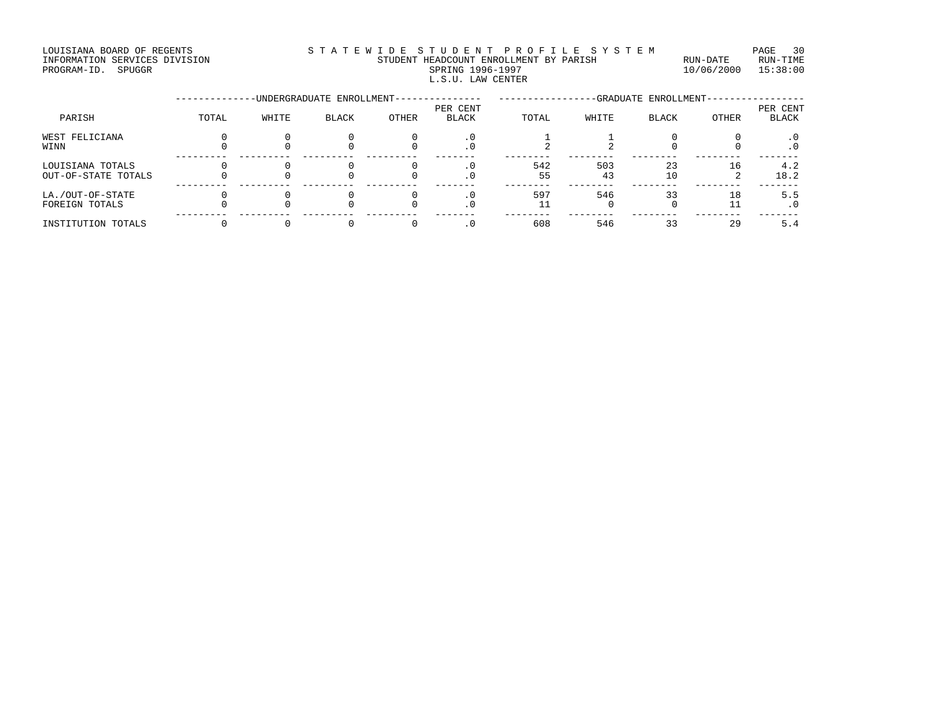#### INFORMATION SERVICES DIVISION STUDENT HEADCOUNT ENROLLMENT BY PARISH RUN-DATE RUN-TIME PROGRAM-ID. SPUGGR SPUISION SERVICES DIVISION SUNGAL SERIES SPUDENT HEADCOUNT ENROLLMENT BY PARISH SPRING 1996-1997<br>PROGRAM-ID. SPUGGR SPRING 1996-1997 SPRING 1996-1997 10/06/2000 15:38:00 L.S.U. LAW CENTER

|                                         |       |       | -UNDERGRADUATE ENROLLMENT- | -GRADUATE ENROLLMENT- |                          |           |           |              |       |                          |
|-----------------------------------------|-------|-------|----------------------------|-----------------------|--------------------------|-----------|-----------|--------------|-------|--------------------------|
| PARISH                                  | TOTAL | WHITE | <b>BLACK</b>               | OTHER                 | PER CENT<br><b>BLACK</b> | TOTAL     | WHITE     | <b>BLACK</b> | OTHER | PER CENT<br><b>BLACK</b> |
| WEST FELICIANA<br>WINN                  |       |       |                            |                       | . 0<br>. 0               |           |           |              |       | . 0<br>. 0               |
| LOUISIANA TOTALS<br>OUT-OF-STATE TOTALS |       |       |                            |                       | . 0                      | 542<br>55 | 503<br>43 | 23<br>10     | 16    | 4.2<br>18.2              |
| LA./OUT-OF-STATE<br>FOREIGN TOTALS      |       |       |                            |                       | $\cdot$ 0<br>. 0         | 597       | 546       | 33           | 18    | 5.5<br>. 0               |
| INSTITUTION TOTALS                      |       |       |                            |                       | $\cdot$ 0                | 608       | 546       | 33           | 29    | 5.4                      |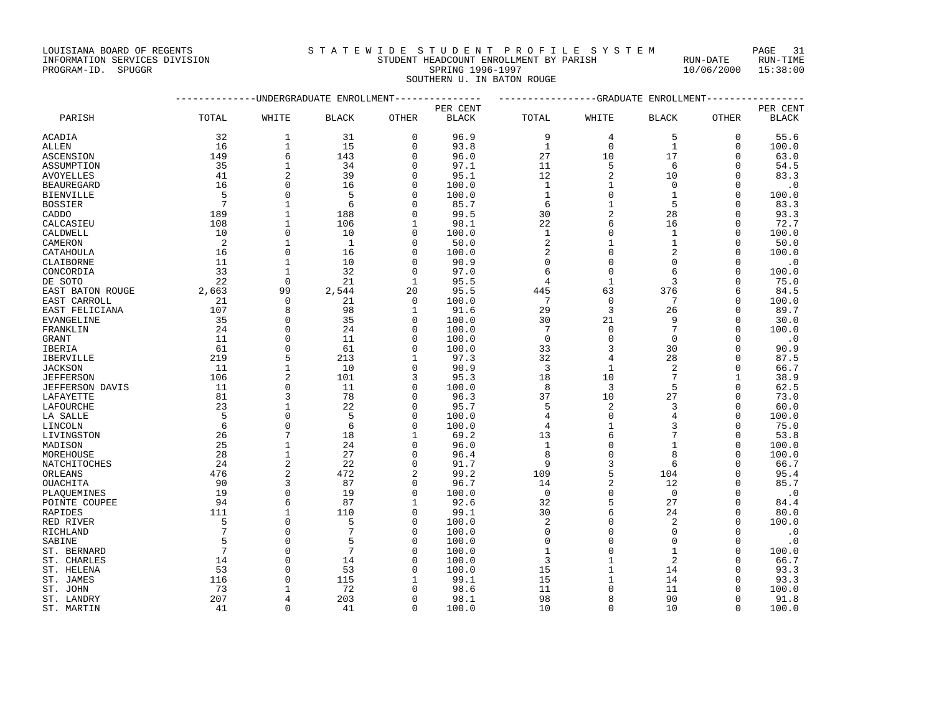|                    | INFORMATION SERVICES DIVISION | STUDENT HEADCOUNT ENROLLMENT BY PARISH |                            | RUN-DATE                | RUN-TIME |
|--------------------|-------------------------------|----------------------------------------|----------------------------|-------------------------|----------|
| PROGRAM-ID. SPUGGR |                               |                                        | SPRING 1996-1997           | $10/06/2000$ $15:38:00$ |          |
|                    |                               |                                        | SOUTHERN U. IN BATON ROUGE |                         |          |

|                  |                 |                | -UNDERGRADUATE ENROLLMENT |              | ----------   | ----------------GRADUATE ENROLLMENT |                |                |          |              |
|------------------|-----------------|----------------|---------------------------|--------------|--------------|-------------------------------------|----------------|----------------|----------|--------------|
|                  |                 |                |                           |              | PER CENT     |                                     |                |                |          | PER CENT     |
| PARISH           | TOTAL           | WHITE          | <b>BLACK</b>              | OTHER        | <b>BLACK</b> | TOTAL                               | WHITE          | <b>BLACK</b>   | OTHER    | <b>BLACK</b> |
| ACADIA           | 32              | 1              | 31                        | $\Omega$     | 96.9         | 9                                   | 4              | 5              | $\Omega$ | 55.6         |
| ALLEN            | 16              | $\mathbf{1}$   | 15                        | $\Omega$     | 93.8         | $\mathbf{1}$                        | $\mathbf 0$    | $\mathbf{1}$   | $\Omega$ | 100.0        |
| ASCENSION        | 149             | 6              | 143                       | 0            | 96.0         | 27                                  | 10             | 17             | 0        | 63.0         |
| ASSUMPTION       | 35              | $\mathbf{1}$   | 34                        | $\Omega$     | 97.1         | 11                                  | 5              | 6              | O        | 54.5         |
| AVOYELLES        | 41              | $\overline{2}$ | 39                        | $\Omega$     | 95.1         | 12                                  | $\overline{2}$ | 10             | 0        | 83.3         |
| BEAUREGARD       | 16              | $\Omega$       | 16                        | O            | 100.0        | 1                                   | 1              | $\Omega$       | $\Omega$ | $\cdot$ 0    |
| BIENVILLE        | 5               | $\Omega$       | 5                         | $\Omega$     | 100.0        | $\mathbf{1}$                        | $\Omega$       | $\mathbf{1}$   | O        | 100.0        |
| BOSSIER          | $7\phantom{.0}$ | 1              | 6                         | ∩            | 85.7         | 6                                   | $\mathbf 1$    | 5              | $\Omega$ | 83.3         |
| CADDO            | 189             | $\mathbf{1}$   | 188                       | $\Omega$     | 99.5         | 30                                  | $\overline{a}$ | 28             | $\Omega$ | 93.3         |
| CALCASIEU        | 108             | $\mathbf 1$    | 106                       | 1            | 98.1         | 22                                  | 6              | 16             | $\Omega$ | 72.7         |
| CALDWELL         | 10              | $\Omega$       | 10                        | $\Omega$     | 100.0        | $\mathbf{1}$                        | $\mathbf{0}$   | $\mathbf{1}$   | $\Omega$ | 100.0        |
| CAMERON          | 2               | $\mathbf{1}$   | $\mathbf{1}$              | $\Omega$     | 50.0         | 2                                   | 1              | $\mathbf{1}$   | U        | 50.0         |
| CATAHOULA        | 16              | $\Omega$       | 16                        | ∩            | 100.0        | 2                                   | $\Omega$       | $\overline{c}$ | $\Omega$ | 100.0        |
| CLAIBORNE        | 11              | 1              | 10                        | $\Omega$     | 90.9         | $\mathbf 0$                         | $\mathbf{0}$   | $\Omega$       | $\Omega$ | $\cdot$ 0    |
| CONCORDIA        | 33              | $\mathbf{1}$   | 32                        | $\Omega$     | 97.0         | 6                                   | $\Omega$       | 6              | $\Omega$ | 100.0        |
| DE SOTO          | 22              | $\Omega$       | 21                        | $\mathbf{1}$ | 95.5         | 4                                   | $\mathbf 1$    | 3              | O        | 75.0         |
| EAST BATON ROUGE | 2,663           | 99             | 2,544                     | 20           | 95.5         | 445                                 | 63             | 376            | 6        | 84.5         |
| EAST CARROLL     | 21              | $\mathbf 0$    | 21                        | $\mathbf 0$  | 100.0        | 7                                   | $\mathbf 0$    | 7              | $\Omega$ | 100.0        |
| EAST FELICIANA   | 107             | 8              | 98                        | 1            | 91.6         | 29                                  | 3              | 26             | U        | 89.7         |
| EVANGELINE       | 35              | $\Omega$       | 35                        | $\Omega$     | 100.0        | 30                                  | 21             | 9              | $\Omega$ | 30.0         |
| FRANKLIN         | 24              | $\Omega$       | 24                        | $\cap$       | 100.0        | 7                                   | $\mathbf{0}$   | 7              | U        | 100.0        |
| GRANT            | 11              | $\mathbf 0$    | 11                        | O            | 100.0        | $\mathbf 0$                         | $\mathbf{0}$   | 0              | 0        | $\cdot$ 0    |
| IBERIA           | 61              | $\Omega$       | 61                        | $\Omega$     | 100.0        | 33                                  | 3              | 30             | $\Omega$ | 90.9         |
| IBERVILLE        | 219             | 5              | 213                       | 1            | 97.3         | 32                                  | $\overline{4}$ | 28             | $\Omega$ | 87.5         |
| JACKSON          | 11              | 1              | 10                        | $\Omega$     | 90.9         | 3                                   | 1              | $\overline{2}$ | U        | 66.7         |
| <b>JEFFERSON</b> | 106             | $\overline{2}$ | 101                       | 3            | 95.3         | 18                                  | 10             | 7              | 1        | 38.9         |
| JEFFERSON DAVIS  | 11              | $\Omega$       | 11                        | $\Omega$     | 100.0        | 8                                   | 3              | 5              | $\Omega$ | 62.5         |
| LAFAYETTE        | 81              | 3              | 78                        | $\Omega$     | 96.3         | 37                                  | 10             | 27             | $\Omega$ | 73.0         |
| LAFOURCHE        | 23              | 1              | 22                        | $\Omega$     | 95.7         | 5                                   | 2              | 3              | 0        | 60.0         |
| LA SALLE         | 5               | $\Omega$       | 5                         | $\cap$       | 100.0        | 4                                   | $\Omega$       | 4              | $\Omega$ | 100.0        |
| LINCOLN          | 6               | $\mathbf{0}$   | 6                         | $\Omega$     | 100.0        | 4                                   | $\mathbf 1$    |                | 0        | 75.0         |
| LIVINGSTON       | 26              | 7              | 18                        | 1            | 69.2         | 13                                  | 6              |                | U        | 53.8         |
| MADISON          | 25              | $\mathbf{1}$   | 24                        | $\Omega$     | 96.0         | $\mathbf{1}$                        | $\Omega$       | $\mathbf{1}$   | $\Omega$ | 100.0        |
| MOREHOUSE        | 28              | $\mathbf{1}$   | 27                        | ∩            | 96.4         | 8                                   | $\Omega$       | 8              | U        | 100.0        |
| NATCHITOCHES     | 24              | $\overline{2}$ | 22                        | $\Omega$     | 91.7         | 9                                   | 3              | 6              | $\Omega$ | 66.7         |
| ORLEANS          | 476             | $\overline{2}$ | 472                       | 2            | 99.2         | 109                                 | 5              | 104            | 0        | 95.4         |
| OUACHITA         | 90              | 3              | 87                        | $\Omega$     | 96.7         | 14                                  | $\overline{2}$ | 12             | O        | 85.7         |
| PLAOUEMINES      | 19              | $\Omega$       | 19                        | $\Omega$     | 100.0        | $\mathbf 0$                         | $\Omega$       | $\Omega$       | U        | $\cdot$ 0    |
| POINTE COUPEE    | 94              | 6              | 87                        | $\mathbf{1}$ | 92.6         | 32                                  | 5              | 27             | $\Omega$ | 84.4         |
| RAPIDES          | 111             | 1              | 110                       | 0            | 99.1         | 30                                  | 6              | 24             | U        | 80.0         |
| RED RIVER        | 5               | $\Omega$       | 5                         | $\Omega$     | 100.0        | 2                                   | $\Omega$       | $\overline{2}$ | $\Omega$ | 100.0        |
| RICHLAND         | 7               | $\Omega$       | 7                         | $\Omega$     | 100.0        | $\mathbf 0$                         | $\Omega$       | $\Omega$       | $\Omega$ | $\cdot$ 0    |
| SABINE           | 5               | $\Omega$       | 5                         | O            | 100.0        | $\Omega$                            | $\Omega$       | $\Omega$       | $\Omega$ | $\cdot$ 0    |
| ST. BERNARD      | $7\phantom{.0}$ | $\Omega$       | 7                         | $\Omega$     | 100.0        | $\mathbf{1}$                        | $\mathbf{0}$   | $\mathbf{1}$   | $\Omega$ | 100.0        |
| ST. CHARLES      | 14              | $\mathbf 0$    | 14                        | O            | 100.0        | 3                                   | $1\,$          | 2              | 0        | 66.7         |
| ST. HELENA       | 53              | $\Omega$       | 53                        | ∩            | 100.0        | 15                                  | $\mathbf{1}$   | 14             | U        | 93.3         |
| ST. JAMES        | 116             | $\Omega$       | 115                       | 1            | 99.1         | 15                                  | 1              | 14             | U        | 93.3         |
| ST. JOHN         | 73              | 1              | 72                        |              | 98.6         | 11                                  | $\Omega$       | 11             | U        | 100.0        |
| ST. LANDRY       | 207             | 4              | 203                       | $\Omega$     | 98.1         | 98                                  | 8              | 90             | 0        | 91.8         |
| ST. MARTIN       | 41              | $\Omega$       | 41                        | $\Omega$     | 100.0        | 10                                  | $\Omega$       | 10             | $\Omega$ | 100.0        |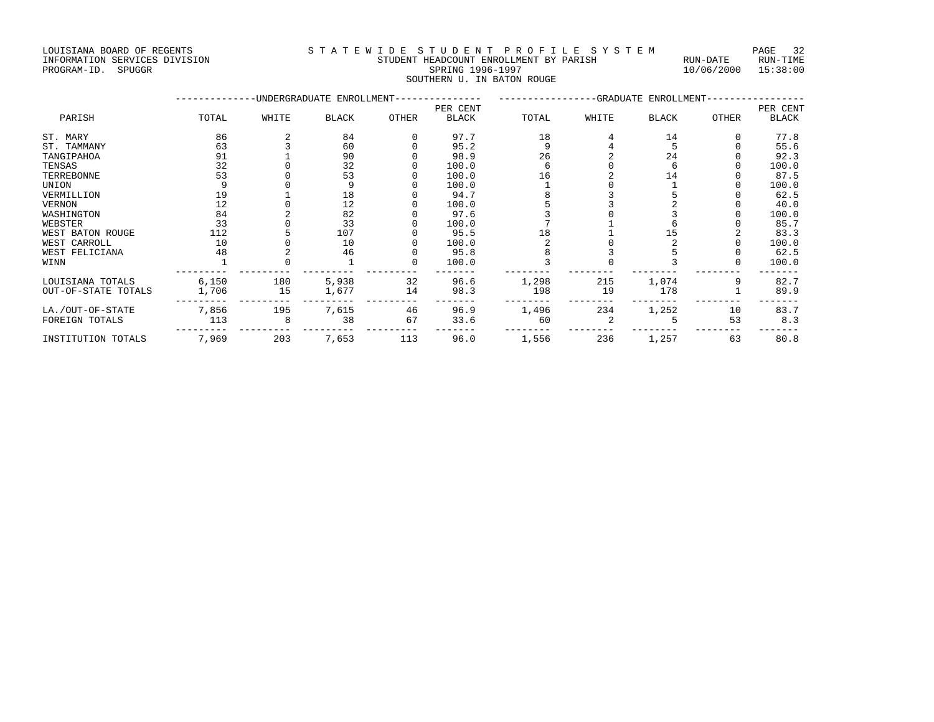INFORMATION SERVICES DIVISION STUDENT HEADCOUNT ENROLLMENT BY PARISH RUN-DATE RUN-TIME PROGRAM-ID. SPUGGR SPRING 1996-1997 10/06/2000 15:38:00

## LOUISIANA BOARD OF REGENTS STATEWIDE STUDENT PROFILE SYSTEM PAGE 32

SOUTHERN U. IN BATON ROUGE<br>SOUTHERN U. IN BATON ROUGE

|                     |       |       | -UNDERGRADUATE ENROLLMENT- |       | -GRADUATE ENROLLMENT- |       |       |              |       |          |
|---------------------|-------|-------|----------------------------|-------|-----------------------|-------|-------|--------------|-------|----------|
|                     |       |       |                            |       | PER CENT              |       |       |              |       | PER CENT |
| PARISH              | TOTAL | WHITE | <b>BLACK</b>               | OTHER | <b>BLACK</b>          | TOTAL | WHITE | <b>BLACK</b> | OTHER | BLACK    |
| ST. MARY            | 86    |       | 84                         |       | 97.7                  | 18    |       | 14           |       | 77.8     |
| ST. TAMMANY         | 63    |       | 60                         |       | 95.2                  |       |       |              |       | 55.6     |
| TANGIPAHOA          | 91    |       | 90                         |       | 98.9                  | 26    |       | 24           |       | 92.3     |
| TENSAS              | 32    |       | 32                         |       | 100.0                 |       |       |              |       | 100.0    |
| TERREBONNE          | 53    |       | 53                         |       | 100.0                 | 16    |       | 14           |       | 87.5     |
| UNION               |       |       |                            |       | 100.0                 |       |       |              |       | 100.0    |
| VERMILLION          | 19    |       | 18                         |       | 94.7                  |       |       |              |       | 62.5     |
| VERNON              | 12    |       | 12                         |       | 100.0                 |       |       |              |       | 40.0     |
| WASHINGTON          | 84    |       | 82                         |       | 97.6                  |       |       |              |       | 100.0    |
| WEBSTER             | 33    |       | 33                         |       | 100.0                 |       |       |              |       | 85.7     |
| WEST BATON ROUGE    | 112   |       | 107                        |       | 95.5                  | 18    |       |              |       | 83.3     |
| WEST CARROLL        | 10    |       | 10                         |       | 100.0                 |       |       |              |       | 100.0    |
| WEST FELICIANA      | 48    |       | 46                         |       | 95.8                  |       |       |              |       | 62.5     |
| WINN                |       |       |                            | 0     | 100.0                 |       |       |              |       | 100.0    |
| LOUISIANA TOTALS    | 6,150 | 180   | 5,938                      | 32    | 96.6                  | 1,298 | 215   | 1,074        |       | 82.7     |
| OUT-OF-STATE TOTALS | 1,706 | 15    | 1,677                      | 14    | 98.3                  | 198   | 19    | 178          |       | 89.9     |
| LA./OUT-OF-STATE    | 7,856 | 195   | 7,615                      | 46    | 96.9                  | 1,496 | 234   | 1,252        | 10    | 83.7     |
| FOREIGN TOTALS      | 113   |       | 38                         | 67    | 33.6                  | 60    |       |              | 53    | 8.3      |
| INSTITUTION TOTALS  | 7,969 | 203   | 7,653                      | 113   | 96.0                  | 1,556 | 236   | 1,257        | 63    | 80.8     |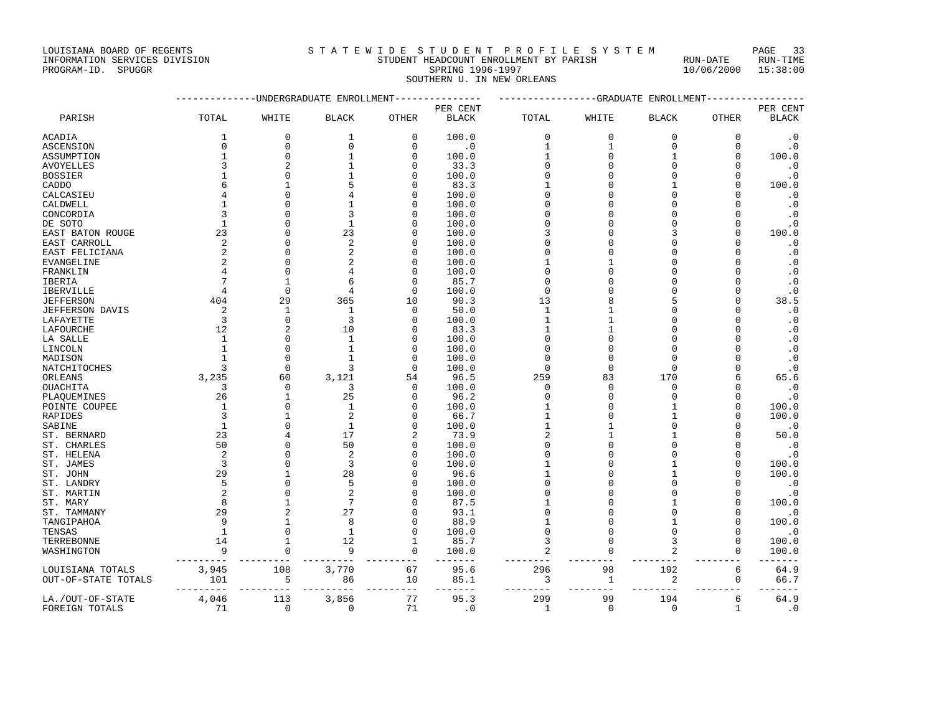INFORMATION SERVICES DIVISION STUDENT HEADCOUNT ENROLLMENT BY PARISH RUN-DATE RUN-TIME PROGRAM-ID. SPUGGR SPRING 1996-1997 10/06/2000 15:38:00

SOUTHERN U. IN NEW ORLEANS

|                        |                |                | -UNDERGRADUATE ENROLLMENT |              |              |                |              | --GRADUATE ENROLLMENT |              |              |
|------------------------|----------------|----------------|---------------------------|--------------|--------------|----------------|--------------|-----------------------|--------------|--------------|
|                        |                |                |                           |              | PER CENT     |                |              |                       |              | PER CENT     |
| PARISH                 | TOTAL          | WHITE          | <b>BLACK</b>              | OTHER        | <b>BLACK</b> | TOTAL          | WHITE        | <b>BLACK</b>          | <b>OTHER</b> | <b>BLACK</b> |
| <b>ACADIA</b>          | 1              | $\mathbf{0}$   | $\mathbf{1}$              | $\mathbf 0$  | 100.0        | $\mathbf 0$    | $\mathbf 0$  | $\Omega$              | $\Omega$     | $\cdot$ 0    |
| <b>ASCENSION</b>       | $\Omega$       | $\mathbf{0}$   | $\Omega$                  | $\mathbf 0$  | $\cdot$ 0    | $\mathbf{1}$   | $\mathbf{1}$ | $\Omega$              | $\Omega$     | $\cdot$ 0    |
| ASSUMPTION             | $\mathbf{1}$   | $\Omega$       | $\mathbf{1}$              | $\mathbf 0$  | 100.0        | $\mathbf{1}$   | $\Omega$     | $\mathbf{1}$          | $\Omega$     | 100.0        |
| <b>AVOYELLES</b>       | $\overline{3}$ | $\overline{c}$ |                           | $\mathbf 0$  | 33.3         | $\mathbf 0$    | $\Omega$     | $\Omega$              | $\Omega$     | $\cdot$ 0    |
| <b>BOSSIER</b>         | $\mathbf{1}$   | $\Omega$       |                           | $\mathbf 0$  | 100.0        | $\mathbf 0$    | $\Omega$     | $\Omega$              | $\Omega$     | $\cdot$ 0    |
| CADDO                  | 6              | $\mathbf{1}$   | 5                         | $\Omega$     | 83.3         | $\mathbf{1}$   | $\cap$       |                       | $\Omega$     | 100.0        |
| CALCASIEU              | 4              | $\Omega$       | 4                         | $\Omega$     | 100.0        | $\Omega$       | $\Omega$     | $\Omega$              | $\Omega$     | $\cdot$ 0    |
| CALDWELL               | $\mathbf{1}$   | O              |                           | $\Omega$     | 100.0        | O              | $\cap$       | C                     | $\Omega$     | $\cdot$ 0    |
| CONCORDIA              | 3              | $\Omega$       | 3                         | $\Omega$     | 100.0        | $\Omega$       | $\Omega$     | $\cap$                | $\Omega$     | $\cdot$ 0    |
| DE SOTO                | $\mathbf{1}$   | O              | $\mathbf{1}$              | $\Omega$     | 100.0        | U              | $\cap$       | ∩                     | $\Omega$     | $\cdot$ 0    |
| EAST BATON ROUGE       | 23             | $\Omega$       | 23                        | 0            | 100.0        | 3              | $\cap$       | ς                     | $\Omega$     | 100.0        |
| EAST CARROLL           | $\overline{2}$ | $\Omega$       | $\overline{2}$            | $\mathbf 0$  | 100.0        | O              | $\Omega$     | C                     | $\Omega$     | $\cdot$ 0    |
| EAST FELICIANA         | $\overline{a}$ | $\Omega$       | $\overline{2}$            | 0            | 100.0        | O              | $\sqrt{ }$   | n                     | $\Omega$     | $\cdot$ 0    |
| EVANGELINE             | $\overline{2}$ | $\Omega$       | 2                         | $\mathbf 0$  | 100.0        | $\mathbf{1}$   |              | C                     | $\Omega$     | $\cdot$ 0    |
| FRANKLIN               | 4              | $\Omega$       | 4                         | $\Omega$     | 100.0        | $\Omega$       | $\cap$       | $\cap$                | $\Omega$     | $\cdot$ 0    |
| IBERIA                 | 7              | $\mathbf{1}$   | 6                         | $\Omega$     | 85.7         | $\Omega$       | $\Omega$     | $\Omega$              | $\Omega$     | $\cdot$ 0    |
| <b>IBERVILLE</b>       | 4              | $\Omega$       | 4                         | $\Omega$     | 100.0        | $\Omega$       | $\cap$       | $\cap$                | $\Omega$     | $\cdot$ 0    |
| <b>JEFFERSON</b>       | 404            | 29             | 365                       | 10           | 90.3         | 13             | 8            |                       | $\Omega$     | 38.5         |
| <b>JEFFERSON DAVIS</b> | $\overline{2}$ | $\mathbf{1}$   | $\mathbf{1}$              | $\mathbf{0}$ | 50.0         | $\mathbf{1}$   | $\mathbf{1}$ | n                     | $\Omega$     | $\cdot$ 0    |
| LAFAYETTE              | $\overline{3}$ | $\Omega$       | $\overline{3}$            | $\mathbf 0$  | 100.0        | $\mathbf{1}$   |              | $\cap$                | $\Omega$     | $\cdot$ 0    |
| LAFOURCHE              | 12             | 2              | 10                        | $\mathbf 0$  | 83.3         | $\mathbf{1}$   | $\mathbf{1}$ | C                     | $\Omega$     | $\cdot$ 0    |
| LA SALLE               | $\mathbf{1}$   | $\Omega$       | $\mathbf{1}$              | $\mathbf 0$  | 100.0        | $\mathbf 0$    | $\Omega$     | $\cap$                | $\Omega$     | $\cdot$ 0    |
| LINCOLN                | $\mathbf{1}$   | $\Omega$       | $\mathbf{1}$              | $\mathbf 0$  | 100.0        | $\Omega$       | $\Omega$     | $\cap$                | $\Omega$     | $\cdot$ 0    |
| MADISON                | $\mathbf{1}$   | $\Omega$       | $\mathbf{1}$              | $\mathbf 0$  | 100.0        | $\Omega$       | $\Omega$     | $\cap$                | $\cap$       | $\cdot$ 0    |
| NATCHITOCHES           | ζ              | $\Omega$       | 3                         | $\Omega$     | 100.0        | $\Omega$       | $\Omega$     | $\Omega$              | $\Omega$     | $\cdot$ 0    |
| ORLEANS                | 3,235          | 60             | 3,121                     | 54           | 96.5         | 259            | 83           | 170                   | 6            | 65.6         |
| OUACHITA               | 3              | $\mathbf 0$    | 3                         | $\mathbf 0$  | 100.0        | $\mathbf 0$    | $\Omega$     | $\Omega$              | $\Omega$     | $\cdot$ 0    |
| PLAOUEMINES            | 26             | $\mathbf{1}$   | 25                        | $\Omega$     | 96.2         | $\Omega$       | $\Omega$     | $\cap$                | $\Omega$     | $\cdot$ 0    |
| POINTE COUPEE          | $\mathbf{1}$   | $\Omega$       | $\mathbf{1}$              | $\mathbf 0$  | 100.0        | $\mathbf{1}$   | $\Omega$     | $\mathbf{1}$          | $\Omega$     | 100.0        |
| RAPIDES                | 3              | $\overline{1}$ | 2                         | $\mathbf 0$  | 66.7         | $\mathbf{1}$   | $\Omega$     | 1                     | $\Omega$     | 100.0        |
| SABINE                 | $\mathbf{1}$   | $\Omega$       | $\mathbf{1}$              | 0            | 100.0        | $\mathbf{1}$   |              | $\Omega$              | $\Omega$     | $\cdot$ 0    |
| ST. BERNARD            | 23             | 4              | 17                        | 2            | 73.9         | 2              |              |                       | $\Omega$     | 50.0         |
| ST. CHARLES            | 50             | $\Omega$       | 50                        | 0            | 100.0        | $\Omega$       | $\Omega$     | $\cap$                | $\Omega$     | $\cdot$ 0    |
| ST. HELENA             | $\overline{2}$ | $\Omega$       | $\overline{2}$            | 0            | 100.0        | $\Omega$       | $\Omega$     | $\Omega$              | $\Omega$     | $\cdot$ 0    |
| ST. JAMES              | 3              | $\Omega$       | 3                         | 0            | 100.0        | 1              | $\cap$       |                       | $\Omega$     | 100.0        |
| ST. JOHN               | 29             | $\overline{1}$ | 28                        | $\Omega$     | 96.6         | 1              | $\cap$       |                       | $\Omega$     | 100.0        |
| ST. LANDRY             | 5              | $\Omega$       | 5                         | $\Omega$     | 100.0        | O              | $\cap$       | $\cap$                | $\Omega$     | $\cdot$ 0    |
| ST. MARTIN             | $\overline{2}$ | $\Omega$       | $\overline{2}$            | $\Omega$     | 100.0        | $\Omega$       | $\Omega$     | $\Omega$              | $\Omega$     | $\cdot$ 0    |
| ST. MARY               | 8              | $\mathbf{1}$   | 7                         | $\Omega$     | 87.5         | $\mathbf{1}$   | $\Omega$     |                       | $\Omega$     | 100.0        |
| ST. TAMMANY            | 29             | $\overline{a}$ | 27                        | $\Omega$     | 93.1         | $\Omega$       | $\Omega$     | $\Omega$              | $\Omega$     | $\cdot$ 0    |
| TANGIPAHOA             | 9              | $\overline{1}$ | 8                         | $\Omega$     | 88.9         | $\mathbf{1}$   | $\Omega$     |                       | $\Omega$     | 100.0        |
| TENSAS                 | $\mathbf{1}$   | $\Omega$       | $\mathbf{1}$              | $\mathbf 0$  | 100.0        | $\mathbf 0$    | $\Omega$     | $\cap$                | $\Omega$     | $\cdot$ 0    |
| TERREBONNE             | 14             | $\overline{1}$ | 12                        | $\mathbf{1}$ | 85.7         | 3              | $\Omega$     | 3                     | $\Omega$     | 100.0        |
| WASHINGTON             | 9              | $\Omega$       | 9                         | $\Omega$     | 100.0        | $\overline{a}$ | $\Omega$     | $\overline{c}$        | $\Omega$     | 100.0        |
| LOUISIANA TOTALS       | 3,945          | 108            | 3,770                     | 67           | 95.6         | 296            | 98           | 192                   | 6            | 64.9         |
| OUT-OF-STATE TOTALS    | 101            | 5              | 86                        | 10           | 85.1         | 3              | $\mathbf{1}$ | 2                     | $\mathsf 0$  | 66.7         |
| LA./OUT-OF-STATE       | 4,046          | 113            | 3,856                     | 77           | 95.3         | 299            | 99           | 194                   | 6            | 64.9         |
| FOREIGN TOTALS         | 71             | $\mathbf 0$    | $\mathbf 0$               | 71           | $\cdot$ 0    | $\mathbf{1}$   | $\mathbf 0$  | $\mathbf 0$           | $\mathbf{1}$ | $\cdot$ 0    |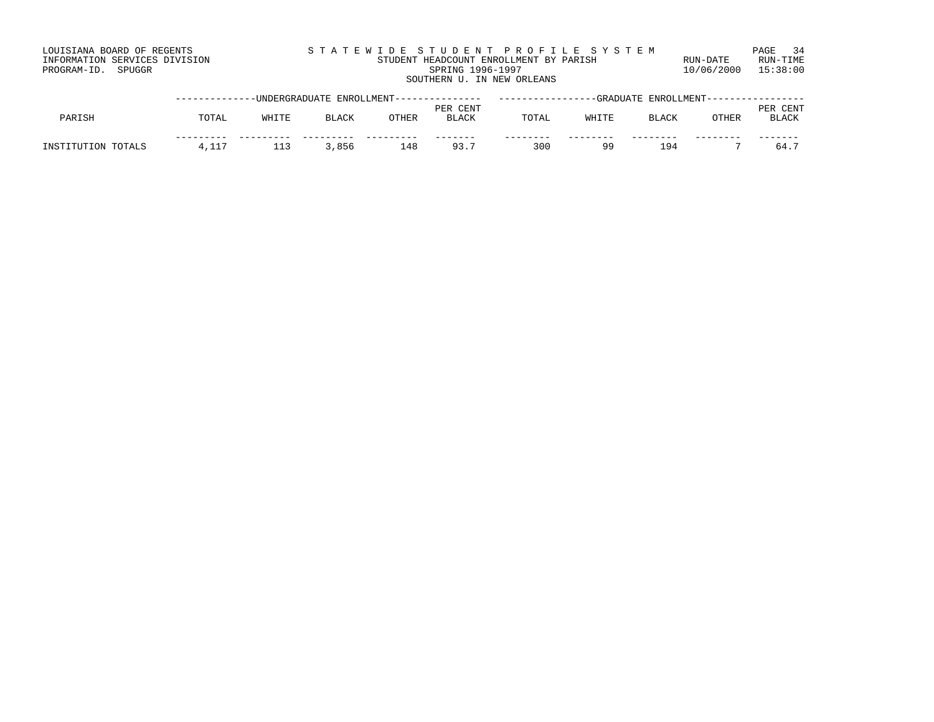| LOUISIANA BOARD OF REGENTS    | STATEWIDE STUDENT PROFILE SYSTEM       |            | PAGE 34  |
|-------------------------------|----------------------------------------|------------|----------|
| INFORMATION SERVICES DIVISION | STUDENT HEADCOUNT ENROLLMENT BY PARISH | RIJN-DATE  | RUN-TIME |
| PROGRAM-ID. SPUGGR            | SPRING 1996-1997                       | 10/06/2000 | 15:38:00 |
|                               | SOUTHERN U. IN NEW ORLEANS             |            |          |

|                    |       |       | -UNDERGRADUATE ENROLLMENT--- |       |                             |       |       | -GRADUATE ENROLLMENT---- |       |                               |
|--------------------|-------|-------|------------------------------|-------|-----------------------------|-------|-------|--------------------------|-------|-------------------------------|
| PARISH             | TOTAL | WHITE | <b>BLACK</b>                 | OTHER | CENT<br>PER<br><b>BLACK</b> | TOTAL | WHITE | <b>BLACK</b>             | OTHER | . CENT<br>PER<br><b>BLACK</b> |
| INSTITUTION TOTALS | 4,11. | + + + | ,856                         | 148   | 93<br>. _ _                 | 300   | 9Q    | 194                      |       | 64.7                          |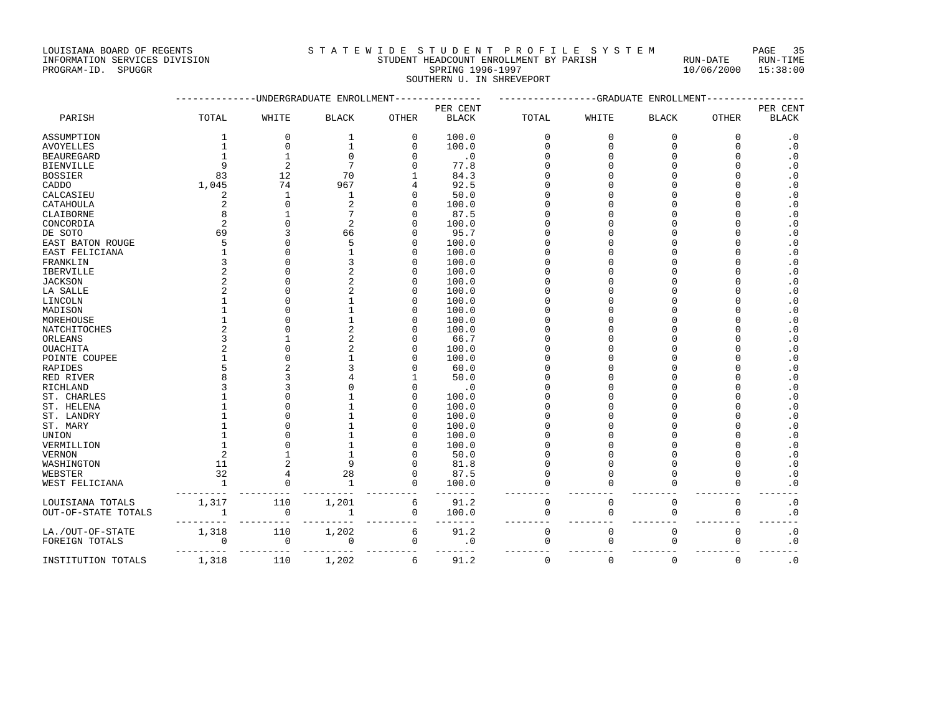INFORMATION SERVICES DIVISION STUDENT HEADCOUNT ENROLLMENT BY PARISH RUN-DATE RUN-TIME

# LOUISIANA BOARD OF REGENTS SOUND THE S T A T E W I D E S T U D E N T P R O F I L E S Y S T E M PAGE 35<br>STUDENT HEADCOUNT ENROLLMENT BY PARISH RUN-DATE RUN-TIME

PROGRAM-ID. SPUGGR SPRING 1996-1997 10/06/2000 15:38:00 SOUTHERN U. IN SHREVEPORT

|                     |                |                          | -UNDERGRADUATE ENROLLMENT |              |              |             | -GRADUATE   | ENROLLMENT   |             |                            |
|---------------------|----------------|--------------------------|---------------------------|--------------|--------------|-------------|-------------|--------------|-------------|----------------------------|
|                     |                |                          |                           |              | PER CENT     |             |             |              |             | PER CENT                   |
| PARISH              | TOTAL          | WHITE                    | <b>BLACK</b>              | <b>OTHER</b> | <b>BLACK</b> | TOTAL       | WHITE       | <b>BLACK</b> | OTHER       | <b>BLACK</b>               |
| ASSUMPTION          | $\mathbf{1}$   | $\mathbf{0}$             | $\mathbf{1}$              | $\mathbf 0$  | 100.0        | $\Omega$    | $\mathbf 0$ | $\Omega$     | $\mathbf 0$ | $\cdot$ 0                  |
| <b>AVOYELLES</b>    | $\mathbf{1}$   | $\mathbf{0}$             | $\mathbf{1}$              | $\mathbf 0$  | 100.0        | $\Omega$    | $\Omega$    | $\Omega$     | $\Omega$    | $\cdot$ 0                  |
| <b>BEAUREGARD</b>   | $\mathbf{1}$   | $\mathbf{1}$             | $\Omega$                  | U            | $\cdot$ 0    | O           | $\Omega$    |              | $\cap$      | $\cdot$ 0                  |
| <b>BIENVILLE</b>    | $\mathsf{Q}$   | $\overline{2}$           | 7                         | U            | 77.8         | U           |             |              | $\cap$      | $\cdot$ 0                  |
| <b>BOSSIER</b>      | 83             | 12                       | 70                        |              | 84.3         | O           |             |              | $\Omega$    | $\overline{\phantom{0}}$ . |
| CADDO               | 1,045          | 74                       | 967                       | 4            | 92.5         | $\Omega$    |             |              | $\cap$      | $\cdot$ 0                  |
| CALCASIEU           | 2              | $\mathbf{1}$             | $\mathbf{1}$              | O            | 50.0         | ሰ           |             |              | $\Omega$    | $\cdot$ 0                  |
| CATAHOULA           | 2              | $\Omega$                 |                           | U            | 100.0        | U           |             |              | $\cap$      | $\cdot$ 0                  |
| CLAIBORNE           | 8              |                          |                           |              | 87.5         | U           |             |              | $\cap$      | $\cdot$ 0                  |
| CONCORDIA           | $\overline{2}$ | $\Omega$                 | $\mathfrak{D}$            | U            | 100.0        | O           | n           |              | $\Omega$    | $\cdot$ 0                  |
| DE SOTO             | 69             | 3                        | 66                        |              | 95.7         | O           |             |              | $\Omega$    | $\cdot$ 0                  |
| EAST BATON ROUGE    | 5              |                          |                           | U            | 100.0        | U           |             |              | $\cap$      | $\cdot$ 0                  |
| EAST FELICIANA      |                | $\cap$                   |                           | U            | 100.0        | $\Omega$    |             |              | $\Omega$    | $\cdot$ 0                  |
| FRANKLIN            | 3              |                          |                           | U            | 100.0        | U           |             |              | $\Omega$    | $\cdot$ 0                  |
| IBERVILLE           | $\overline{a}$ | $\Omega$                 |                           | U            | 100.0        | U           |             |              | $\Omega$    | $\cdot$ 0                  |
| <b>JACKSON</b>      | $\overline{a}$ |                          |                           | U            | 100.0        | ሰ           |             |              | $\cap$      | $\cdot$ 0                  |
| LA SALLE            | $\overline{a}$ |                          |                           | U            | 100.0        | U           |             |              | $\cap$      | $\cdot$ 0                  |
| LINCOLN             | $\mathbf{1}$   |                          |                           | U            | 100.0        | O           |             |              | $\Omega$    | $\cdot$ 0                  |
| MADISON             |                |                          |                           | U            | 100.0        | O           |             |              | $\cap$      | $\cdot$ 0                  |
| MOREHOUSE           |                |                          |                           |              | 100.0        |             |             |              | $\cap$      | $\cdot$ 0                  |
| NATCHITOCHES        |                |                          |                           |              | 100.0        |             |             |              | $\cap$      | $\cdot$ 0                  |
| ORLEANS             |                |                          |                           |              | 66.7         |             |             |              | $\cap$      | $\cdot$ 0                  |
| OUACHITA            |                |                          |                           |              | 100.0        | $\Omega$    |             |              | $\cap$      | $\cdot$ 0                  |
| POINTE COUPEE       |                |                          |                           |              | 100.0        | U           |             |              | $\cap$      | $\cdot$ 0                  |
| <b>RAPIDES</b>      |                |                          |                           |              | 60.0         | U           |             |              | $\cap$      | $\cdot$ 0                  |
| RED RIVER           |                | κ                        |                           |              | 50.0         | U           |             |              | $\cap$      | $\cdot$ 0                  |
| <b>RICHLAND</b>     |                |                          |                           |              | $\cdot$ 0    | O           |             |              | $\Omega$    | $\cdot$ 0                  |
| ST. CHARLES         |                |                          |                           | O            | 100.0        | U           |             |              | $\Omega$    | $\cdot$ 0                  |
| ST. HELENA          |                |                          |                           | U            | 100.0        | ሰ           |             |              | $\Omega$    | $\cdot$ 0                  |
| ST. LANDRY          |                |                          |                           | O.           | 100.0        | O           |             |              | $\Omega$    | $\cdot$ 0                  |
| ST. MARY            |                |                          |                           |              | 100.0        | O           |             |              | $\Omega$    | $\cdot$ 0                  |
| UNION               |                | $\cap$                   |                           | O            | 100.0        | U           |             |              | $\cap$      | $\cdot$ 0                  |
| VERMILLION          |                |                          |                           |              | 100.0        |             |             |              | $\cap$      | $\cdot$ 0                  |
| <b>VERNON</b>       | $\overline{a}$ |                          | $\mathbf{1}$              |              | 50.0         | O           |             |              | $\cap$      | $\cdot$ 0                  |
| WASHINGTON          | 11             | $\overline{2}$           | 9                         |              | 81.8         | $\Omega$    | $\cap$      |              | $\Omega$    | $\cdot$ 0                  |
| WEBSTER             | 32             | $\overline{4}$           | 28                        | $\Omega$     | 87.5         | O           | $\Omega$    |              | $\cap$      | $\cdot$ 0                  |
| WEST FELICIANA      | $\mathbf{1}$   | $\Omega$                 | $\mathbf{1}$              | 0            | 100.0        | U           | $\Omega$    |              | $\Omega$    | $\cdot$ 0                  |
| LOUISIANA TOTALS    | 1,317          | 110                      | 1,201                     | 6            | 91.2         | $\mathsf 0$ | $\mathbf 0$ | $\mathbf 0$  | $\mathbf 0$ | $\boldsymbol{\cdot}$ 0     |
| OUT-OF-STATE TOTALS | $1\,$          | $\mathbf 0$              | $\mathbf{1}$              | 0            | 100.0        | $\mathbf 0$ | $\mathbf 0$ | $\mathbf 0$  | 0           | $\boldsymbol{\cdot}$ 0     |
| LA./OUT-OF-STATE    | 1,318          | 110                      | 1,202                     | 6            | 91.2         | 0           | $\mathbf 0$ | $\mathbf 0$  | $\mathbf 0$ | $\cdot$ 0                  |
| FOREIGN TOTALS      | $\Omega$       | $\mathbf 0$<br>$- - - -$ | 0                         | $\mathbf 0$  | $\cdot$ 0    | 0           | $\mathbf 0$ | $\mathbf 0$  | $\mathbf 0$ | $\cdot$ 0                  |
| INSTITUTION TOTALS  | 1,318          | 110                      | 1,202                     | 6            | 91.2         | $\mathbf 0$ | $\mathbf 0$ | $\Omega$     | $\mathbf 0$ | $\cdot$ 0                  |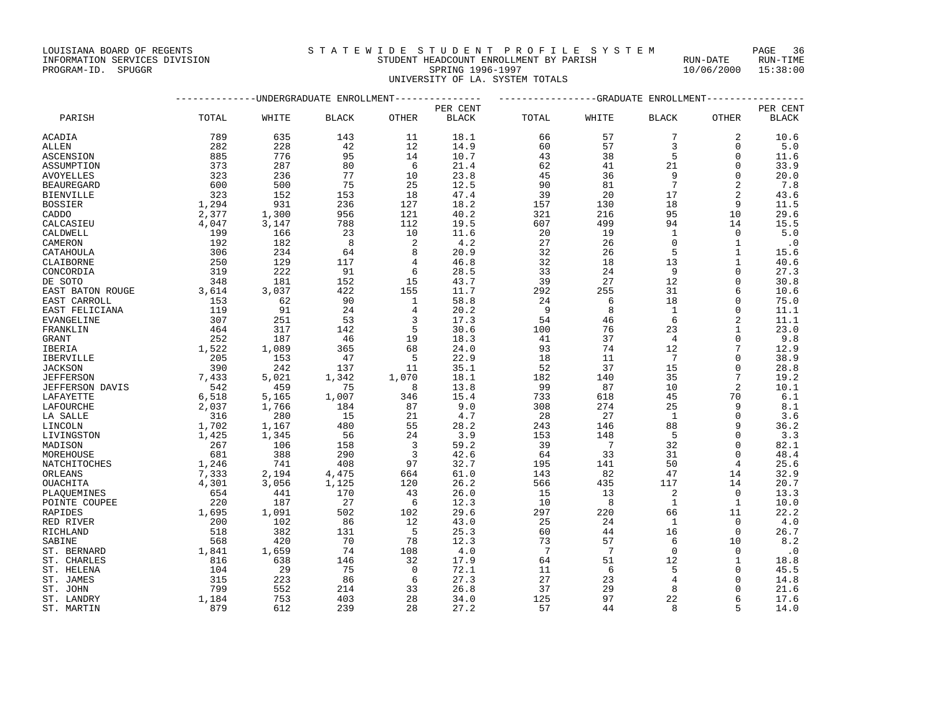#### INFORMATION SERVICES DIVISION STUDENT HEADCOUNT ENROLLMENT BY PARISH RUN-DATE RUN-TIME PROGRAM-ID. SPUGGR SPRING 1996-1997 10/06/2000 15:38:00

UNIVERSITY OF LA. SYSTEM TOTALS

|                         | -------------DNDERGRADUATE ENROLLMENT-------------- |       |              |          | ---------------GRADUATE ENROLLMENT---------------- |       |                 |                 |                |              |
|-------------------------|-----------------------------------------------------|-------|--------------|----------|----------------------------------------------------|-------|-----------------|-----------------|----------------|--------------|
|                         |                                                     |       |              |          | PER CENT                                           |       |                 |                 |                | PER CENT     |
| PARISH                  | TOTAL                                               | WHITE | <b>BLACK</b> | OTHER    | <b>BLACK</b>                                       | TOTAL | WHITE           | <b>BLACK</b>    | OTHER          | <b>BLACK</b> |
| ACADIA                  | 789                                                 | 635   | 143          | 11       | 18.1                                               | 66    | 57              | 7               | 2              | 10.6         |
| ALLEN                   | 282                                                 | 228   | 42           | 12       | 14.9                                               | 60    | 57              | 3               | $\Omega$       | 5.0          |
| ASCENSION               | 885                                                 | 776   | 95           | 14       | 10.7                                               | 43    | 38              | 5               | $\Omega$       | 11.6         |
| ASSUMPTION              | 373                                                 | 287   | 80           | 6        | 21.4                                               | 62    | 41              | 21              | $\mathbf 0$    | 33.9         |
| AVOYELLES               | 323                                                 | 236   | 77           | 10       | 23.8                                               | 45    | 36              | 9               | $\Omega$       | 20.0         |
| BEAUREGARD              | 600                                                 | 500   | 75           | 25       | 12.5                                               | 90    | 81              | $7\phantom{.0}$ | $\overline{2}$ | 7.8          |
| BIENVILLE               | 323                                                 | 152   | 153          | 18       | 47.4                                               | 39    | 20              | 17              | $\overline{2}$ | 43.6         |
| BOSSIER                 | 1,294                                               | 931   | 236          | 127      | 18.2                                               | 157   | 130             | 18              | 9              | 11.5         |
| CADDO                   | 2,377                                               | 1,300 | 956          | 121      | 40.2                                               | 321   | 216             | 95              | 10             | 29.6         |
| CALCASIEU               | 4,047                                               | 3,147 | 788          | 112      | 19.5                                               | 607   | 499             | 94              | 14             | 15.5         |
| CALDWELL                | 199                                                 | 166   | 23           | 10       | 11.6                                               | 20    | 19              | $\mathbf{1}$    | $\mathbf 0$    | 5.0          |
| CAMERON                 | 192                                                 | 182   | 8            | 2        | 4.2                                                | 27    | 26              | $\Omega$        | $\mathbf{1}$   | $\cdot$ 0    |
| CATAHOULA               | 306                                                 | 234   | 64           | 8        | 20.9                                               | 32    | 26              | 5               | $\mathbf{1}$   | 15.6         |
| CLAIBORNE               | 250                                                 | 129   | 117          | 4        | 46.8                                               | 32    | 18              | 13              | $\mathbf{1}$   | 40.6         |
| CONCORDIA               | 319                                                 | 222   | 91           | 6        | 28.5                                               | 33    | 24              | 9               | O              | 27.3         |
| DE SOTO                 | 348                                                 | 181   | 152          | 15       | 43.7                                               | 39    | 27              | 12              | $\Omega$       | 30.8         |
| EAST BATON ROUGE        | 3,614                                               | 3,037 | 422          | 155      | 11.7                                               | 292   | 255             | 31              | 6              | 10.6         |
| EAST CARROLL            | 153                                                 | 62    | 90           | 1        | 58.8                                               | 24    | 6               | 18              | $\Omega$       | 75.0         |
| EAST FELICIANA          | 119                                                 | 91    | 24           | 4        | 20.2                                               | 9     | 8               | $\mathbf{1}$    | $\Omega$       | 11.1         |
| EVANGELINE              | 307                                                 | 251   | 53           | 3        | 17.3                                               | 54    | 46              | 6               | 2              | 11.1         |
| FRANKLIN                | 464                                                 | 317   | 142          | 5        | 30.6                                               | 100   | 76              | 23              | $\mathbf{1}$   | 23.0         |
| GRANT                   | 252                                                 | 187   | 46           | 19       | 18.3                                               | 41    | 37              | 4               | 0              | 9.8          |
| IBERIA                  | 1,522                                               | 1,089 | 365          | 68       | 24.0                                               | 93    | 74              | 12              | 7              | 12.9         |
| IBERVILLE               | 205                                                 | 153   | 47           | 5        | 22.9                                               | 18    | 11              | 7               | 0              | 38.9         |
| JACKSON                 | 390                                                 | 242   | 137          | 11       | 35.1                                               | 52    | 37              | 15              | U              | 28.8         |
| JEFFERSON               | 7,433                                               | 5,021 | 1,342        | 1,070    | 18.1                                               | 182   | 140             | 35              | 7              | 19.2         |
| JEFFERSON DAVIS         | 542                                                 | 459   | 75           | 8        | 13.8                                               | 99    | 87              | 10              | 2              | 10.1         |
| LAFAYETTE               | 6,518                                               | 5,165 | 1,007        | 346      | 15.4                                               | 733   | 618             | 45              | 70             | 6.1          |
| LAFOURCHE               | 2,037                                               | 1,766 | 184          | 87       | 9.0                                                | 308   | 274             | 25              | 9              | 8.1          |
| LA SALLE                | 316                                                 | 280   | 15           | 21       | 4.7                                                | 28    | 27              | $\mathbf{1}$    | $\Omega$       | 3.6          |
| LINCOLN                 | 1,702                                               | 1,167 | 480          | 55       | 28.2                                               | 243   | 146             | 88              | 9              | 36.2         |
| LIVINGSTON              | 1,425                                               | 1,345 | 56           | 24       | 3.9                                                | 153   | 148             | 5               | $\Omega$       | 3.3          |
| MADISON                 | 267                                                 | 106   | 158          | 3        | 59.2                                               | 39    | 7               | 32              | $\Omega$       | 82.1         |
| MOREHOUSE               | 681                                                 | 388   | 290          | 3        | 42.6                                               | 64    | 33              | 31              | $\Omega$       | 48.4         |
| NATCHITOCHES            | 1,246                                               | 741   | 408          | 97       | 32.7                                               | 195   | 141             | 50              | 4              | 25.6         |
| ORLEANS                 | 7,333                                               | 2,194 | 4,475        | 664      | 61.0                                               | 143   | 82              | 47              | 14             | 32.9         |
| OUACHITA                | 4,301                                               | 3,056 | 1,125        | 120      | 26.2                                               | 566   | 435             | 117             | 14             | 20.7         |
| PLAOUEMINES             | 654                                                 | 441   | 170          | 43       | 26.0                                               | 15    | 13              | 2               | $\mathbf 0$    | 13.3         |
| POINTE COUPEE           | 220                                                 | 187   | 27           | 6        | 12.3                                               | 10    | 8               | $\mathbf{1}$    | 1              | 10.0         |
| RAPIDES                 | 1,695                                               | 1,091 | 502          | 102      | 29.6                                               | 297   | 220             | 66              | 11             | 22.2         |
|                         | 200                                                 | 102   | 86           | 12       | 43.0                                               | 25    | 24              | $\mathbf{1}$    | $\mathbf 0$    | 4.0          |
| RED RIVER<br>RICHLAND   | 518                                                 | 382   | 131          | 5        | 25.3                                               | 60    | 44              | 16              | $\Omega$       | 26.7         |
|                         | 568                                                 | 420   | 70           | 78       | 12.3                                               | 73    | 57              | 6               | 10             | 8.2          |
| SABINE<br>ST. BERNARD   | 1,841                                               | 1,659 | 74           | 108      | 4.0                                                | 7     | $7\phantom{.0}$ | $\Omega$        | $\Omega$       | $\cdot$ 0    |
| ST. CHARLES             | 816                                                 | 638   | 146          | 32       | 17.9                                               | 64    | 51              | 12              | 1              | 18.8         |
|                         | 104                                                 | 29    | 75           | $\Omega$ | 72.1                                               | 11    | 6               | 5               | $\Omega$       | 45.5         |
| ST. HELENA<br>ST. JAMES | 315                                                 | 223   | 86           | 6        | 27.3                                               | 27    | 23              | 4               | $\Omega$       | 14.8         |
|                         | 799                                                 | 552   | 214          | 33       | 26.8                                               | 37    | 29              | 8               | U              | 21.6         |
| ST. JOHN<br>ST. LANDRY  | 1,184                                               | 753   | 403          | 28       | 34.0                                               | 125   | 97              | 22              | 6              | 17.6         |
|                         | 879                                                 | 612   | 239          | 28       |                                                    | 57    | 44              | 8               | 5              |              |
| ST. MARTIN              |                                                     |       |              |          | 27.2                                               |       |                 |                 |                | 14.0         |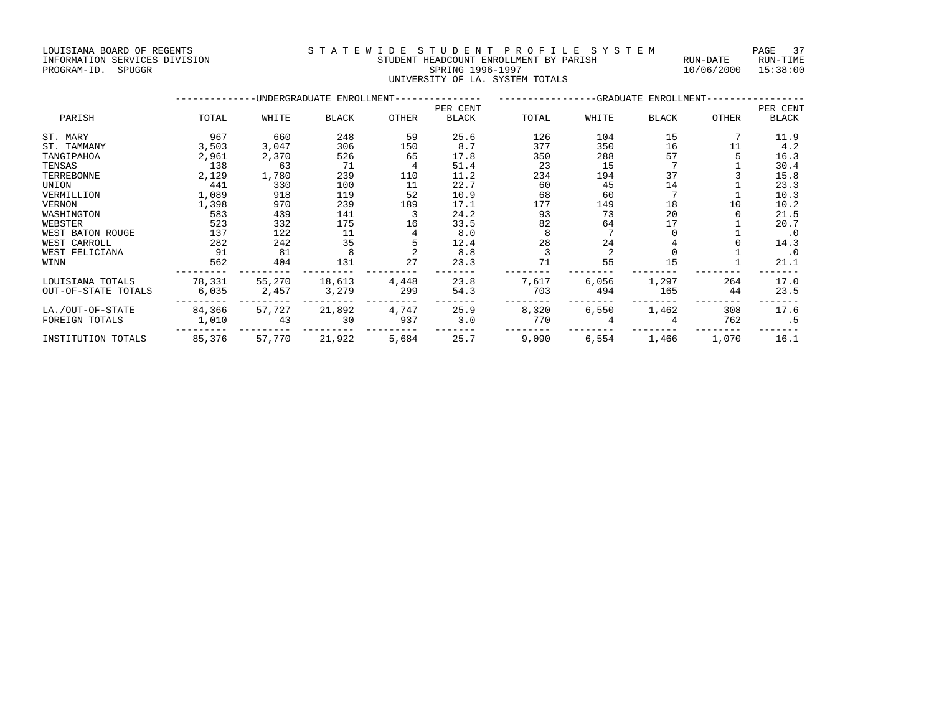#### INFORMATION SERVICES DIVISION STUDENT HEADCOUNT ENROLLMENT BY PARISH RUN-DATE RUN-TIME PROGRAM-ID. SPUGGR SPRING 1996-1997 10/06/2000 15:38:00 UNIVERSITY OF LA. SYSTEM TOTALS

#### --------------UNDERGRADUATE ENROLLMENT--------------- -----------------GRADUATE ENROLLMENT----------------- PER CENT PER CENT PARISH TOTAL WHITE BLACK OTHER BLACK TOTAL WHITE BLACK OTHER BLACK ST. MARY 967 660 248 59 25.6 126 104 15 7 11.9 ST. TAMMANY 3,503 3,047 306 150 8.7 377 350 16 11 4.2 TANGIPAHOA 2,961 2,370 526 65 17.8 350 288 57 5 16.3 TENSAS 138 63 71 4 51.4 23 15 7 1 30.4 TERREBONNE 2,129 1,780 239 110 11.2 234 194 37 3 15.8 UNION 441 330 100 11 22.7 60 45 14 1 23.3 VERMILLION 1,089 918 119 52 10.9 68 60 7 1 10.3 VERNON 1,398 970 239 189 17.1 177 149 18 10 10.2 WASHINGTON 583 439 141 3 24.2 93 73 20 0 21.5 WEBSTER 523 332 175 16 33.5 82 64 17 1 20.7 WEST BATON ROUGE 137 122 11 4 8.0 8 7 0 1 .0 WEST CARROLL 282 242 35 5 12.4 28 24 4 0 14.3 WEST FELICIANA 91 81 8 2 8.8 3 2 0 1 .0 WINN 562 404 131 27 23.3 71 55 15 1 21.1 --------- --------- --------- --------- ------- -------- -------- -------- -------- ------- LOUISIANA TOTALS 78,331 55,270 18,613 4,448 23.8 7,617 6,056 1,297 264 17.0 OUT-OF-STATE TOTALS 6,035 2,457 3,279 299 54.3 703 494 165 44 23.5 --------- --------- --------- --------- ------- -------- -------- -------- -------- ------- LA./OUT-OF-STATE 84,366 57,727 21,892 4,747 25.9 8,320 6,550 1,462 308 17.6 FOREIGN TOTALS 1,010 43 30 937 3.0 770 4 4 762 .5 --------- --------- --------- --------- ------- -------- -------- -------- -------- ------- INSTITUTION TOTALS 85,376 57,770 21,922 5,684 25.7 9,090 6,554 1,466 1,070 16.1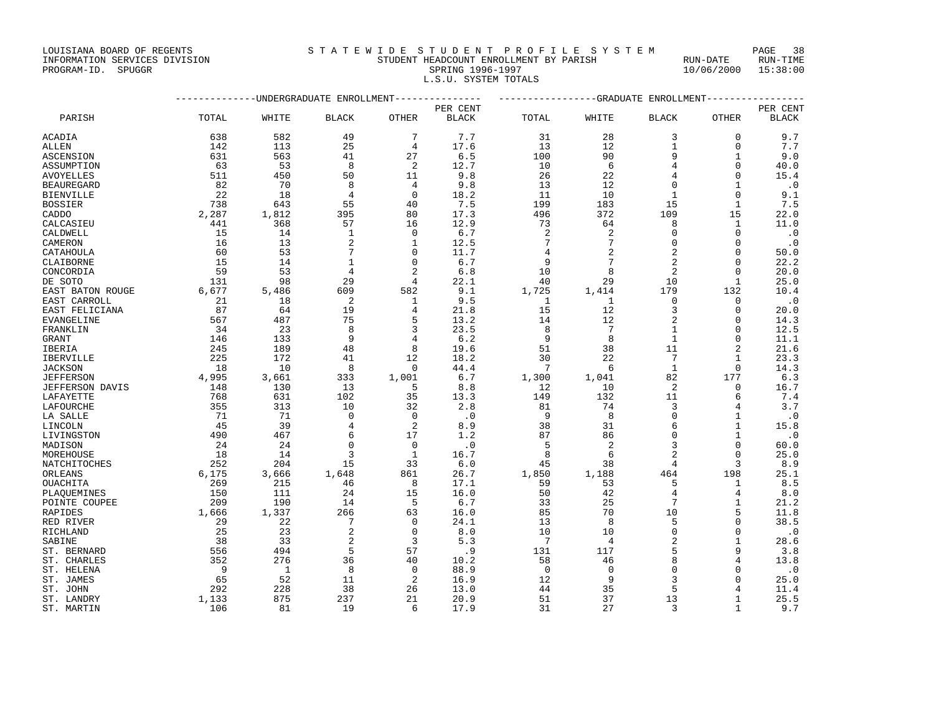#### INFORMATION SERVICES DIVISION STUDENT HEADCOUNT ENROLLMENT BY PARISH RUN-DATE RUN-TIME EXTERNIS AND SERVICES DIVISION **EXAMPLE AND SPUGGRAM-ID.** SPUGGRAM-ID. SPUGGRAM-ID. SPUGGRAM-ID. SPUGGRAM-ID. SPUGGRAM-ID. SPUGGRAM-ID. SPUGGRAM-ID. SPUGGRAM-ID. SPUGGRAM-ID. SPUGGRAM-ID. SPUGGRAM-ID. SPUGGRAM-ID. SPUGGRAM L.S.U. SYSTEM TOTALS

|                   |           |       | -UNDERGRADUATE ENROLLMENT |                | ---GRADUATE ENROLLMENT |                |                       |                       |                |              |
|-------------------|-----------|-------|---------------------------|----------------|------------------------|----------------|-----------------------|-----------------------|----------------|--------------|
|                   |           |       |                           |                | PER CENT               |                |                       |                       |                | PER CENT     |
| PARISH            | TOTAL     | WHITE | <b>BLACK</b>              | OTHER          | <b>BLACK</b>           | TOTAL          | WHITE                 | <b>BLACK</b>          | OTHER          | <b>BLACK</b> |
| ACADIA            | 638       | 582   | 49                        | 7              | 7.7                    | 31             | 28                    | 3                     | $\Omega$       | 9.7          |
| <b>ALLEN</b>      | 142       | 113   | 25                        | 4              | 17.6                   | 13             | 12                    | $\mathbf{1}$          | $\Omega$       | 7.7          |
| <b>ASCENSION</b>  | 631       | 563   | 41                        | 27             | 6.5                    | 100            | 90                    | 9                     | $\mathbf{1}$   | 9.0          |
| ASSUMPTION        | 63        | 53    | 8                         | 2              | 12.7                   | 10             | 6                     | $\overline{4}$        | $\Omega$       | 40.0         |
| AVOYELLES         | 511       | 450   | 50                        | 11             | 9.8                    | 26             | 22                    | $\overline{4}$        | $\Omega$       | 15.4         |
| <b>BEAUREGARD</b> | 82        | 70    | 8                         | 4              | 9.8                    | 13             | 12                    | $\Omega$              | $\mathbf{1}$   | $\cdot$ 0    |
| <b>BIENVILLE</b>  | 22        | 18    | $\overline{4}$            | $\mathbf 0$    | 18.2                   | 11             | 10                    | $\mathbf{1}$          | $\Omega$       | 9.1          |
| <b>BOSSIER</b>    | 738       | 643   | 55                        | 40             | 7.5                    | 199            | 183                   | 15                    | 1              | 7.5          |
| CADDO             | 2,287     | 1,812 | 395                       | 80             | 17.3                   | 496            | 372                   | 109                   | 15             | 22.0         |
| CALCASIEU         | 441       | 368   | 57                        | 16             | 12.9                   | 73             | 64                    | 8                     | $\mathbf{1}$   | 11.0         |
| CALDWELL          | 15        | 14    | $\mathbf{1}$              | $\mathbf 0$    | 6.7                    | $\overline{2}$ | 2                     | $\overline{0}$        | $\Omega$       | $\cdot$ 0    |
| CAMERON           | 16        | 13    | $\overline{2}$            | $\mathbf{1}$   | 12.5                   | 7              | 7                     | $\Omega$              | $\Omega$       | $\cdot$ 0    |
| CATAHOULA         | 60        | 53    | $\overline{7}$            | $\Omega$       | 11.7                   | 4              | 2                     | $\overline{2}$        | $\Omega$       | 50.0         |
| CLAIBORNE         | 15        | 14    | $\mathbf{1}$              | $\mathbf 0$    | 6.7                    | 9              | 7                     | $\sqrt{2}$            | 0              | 22.2         |
| CONCORDIA         | 59        | 53    | $\overline{4}$            | $\overline{2}$ | 6.8                    | 10             | 8                     | $\overline{c}$        | $\Omega$       | 20.0         |
| DE SOTO           | 131       | 98    | 29                        | 4              | 22.1                   | 40             | 29                    | 10                    | $\mathbf{1}$   | 25.0         |
| EAST BATON ROUGE  | 6,677     | 5,486 | 609                       | 582            | 9.1                    | 1,725          | 1,414                 | 179                   | 132            | 10.4         |
|                   | 21        | 18    | $\overline{2}$            | 1              | 9.5                    | 1              | 1                     | $\mathbf 0$           | 0              | $\cdot$ 0    |
| EAST CARROLL      | 87        | 64    | 19                        | 4              | 21.8                   | 15             | 12                    | 3                     | $\Omega$       |              |
| EAST FELICIANA    |           | 487   | 75                        | 5              |                        |                |                       | $\overline{c}$        | $\Omega$       | 20.0         |
| EVANGELINE        | 567<br>34 | 23    | 8                         | 3              | 13.2<br>23.5           | 14<br>8        | 12<br>$7\phantom{.0}$ | $\mathbf{1}$          | $\Omega$       | 14.3<br>12.5 |
| FRANKLIN          |           |       | 9                         |                |                        | 9              | 8                     | $\mathbf{1}$          | $\Omega$       |              |
| <b>GRANT</b>      | 146       | 133   |                           | 4              | 6.2                    |                |                       |                       |                | 11.1         |
| IBERIA            | 245       | 189   | 48                        | 8              | 19.6                   | 51<br>30       | 38                    | 11<br>$7\phantom{.0}$ | $\mathbf{1}$   | 21.6         |
| IBERVILLE         | 225       | 172   | 41                        | 12             | 18.2                   |                | 22                    |                       |                | 23.3         |
| <b>JACKSON</b>    | 18        | 10    | 8                         | $\Omega$       | 44.4                   | 7              | 6                     | $\mathbf{1}$          | $\Omega$       | 14.3         |
| <b>JEFFERSON</b>  | 4,995     | 3,661 | 333                       | 1,001          | 6.7                    | 1,300          | 1,041                 | 82                    | 177            | 6.3          |
| JEFFERSON DAVIS   | 148       | 130   | 13                        | 5              | 8.8                    | 12             | 10                    | $\overline{2}$        | 0              | 16.7         |
| LAFAYETTE         | 768       | 631   | 102                       | 35             | 13.3                   | 149            | 132                   | 11                    | 6              | 7.4          |
| LAFOURCHE         | 355       | 313   | 10                        | 32             | 2.8                    | 81             | 74                    | 3                     | 4              | 3.7          |
| LA SALLE          | 71        | 71    | $\mathbf 0$               | 0              | $\cdot$ 0              | 9              | 8                     | $\Omega$              | 1              | $\cdot$ 0    |
| LINCOLN           | 45        | 39    | $\overline{4}$            | 2              | 8.9                    | 38             | 31                    | 6                     | $\mathbf{1}$   | 15.8         |
| LIVINGSTON        | 490       | 467   | 6                         | 17             | 1.2                    | 87             | 86                    | $\mathsf 0$           | $\mathbf{1}$   | $\cdot$ 0    |
| MADISON           | 24        | 24    | $\Omega$                  | $\Omega$       | $\cdot$ 0              | 5              | 2                     | 3                     | $\Omega$       | 60.0         |
| MOREHOUSE         | 18        | 14    | 3                         | $\mathbf{1}$   | 16.7                   | 8              | 6                     | $\overline{c}$        | $\Omega$       | 25.0         |
| NATCHITOCHES      | 252       | 204   | 15                        | 33             | 6.0                    | 45             | 38                    | 4                     | 3              | 8.9          |
| ORLEANS           | 6,175     | 3,666 | 1,648                     | 861            | 26.7                   | 1,850          | 1,188                 | 464                   | 198            | 25.1         |
| OUACHITA          | 269       | 215   | 46                        | 8              | 17.1                   | 59             | 53                    | 5                     | -1             | 8.5          |
| PLAQUEMINES       | 150       | 111   | 24                        | 15             | 16.0                   | 50             | 42                    | $\overline{4}$        | 4              | 8.0          |
| POINTE COUPEE     | 209       | 190   | 14                        | 5              | 6.7                    | 33             | 25                    | 7                     | $\mathbf{1}$   | 21.2         |
| RAPIDES           | 1,666     | 1,337 | 266                       | 63             | 16.0                   | 85             | 70                    | 10                    | 5              | 11.8         |
| RED RIVER         | 29        | 22    | 7                         | 0              | 24.1                   | 13             | 8                     | 5                     | $\Omega$       | 38.5         |
| RICHLAND          | 25        | 23    | $\overline{2}$            | $\Omega$       | 8.0                    | 10             | 10                    | $\mathbf 0$           | $\Omega$       | $\cdot$ 0    |
| SABINE            | 38        | 33    | $\overline{c}$            | 3              | 5.3                    | 7              | $\overline{4}$        | $\overline{c}$        | $\overline{1}$ | 28.6         |
| ST. BERNARD       | 556       | 494   | 5                         | 57             | .9                     | 131            | 117                   | 5                     | 9              | 3.8          |
| ST. CHARLES       | 352       | 276   | 36                        | 40             | 10.2                   | 58             | 46                    | 8                     |                | 13.8         |
| ST. HELENA        | - 9       | 1     | 8                         | $\Omega$       | 88.9                   | $\Omega$       | $\mathbf{0}$          | $\Omega$              | $\Omega$       | $\cdot$ 0    |
| ST. JAMES         | 65        | 52    | 11                        | 2              | 16.9                   | 12             | 9                     | 3                     | $\Omega$       | 25.0         |
| ST. JOHN          | 292       | 228   | 38                        | 26             | 13.0                   | 44             | 35                    | 5                     |                | 11.4         |
| ST. LANDRY        | 1,133     | 875   | 237                       | 21             | 20.9                   | 51             | 37                    | 13                    | $\mathbf{1}$   | 25.5         |
| ST. MARTIN        | 106       | 81    | 19                        | 6              | 17.9                   | 31             | 27                    | 3                     | $\mathbf{1}$   | 9.7          |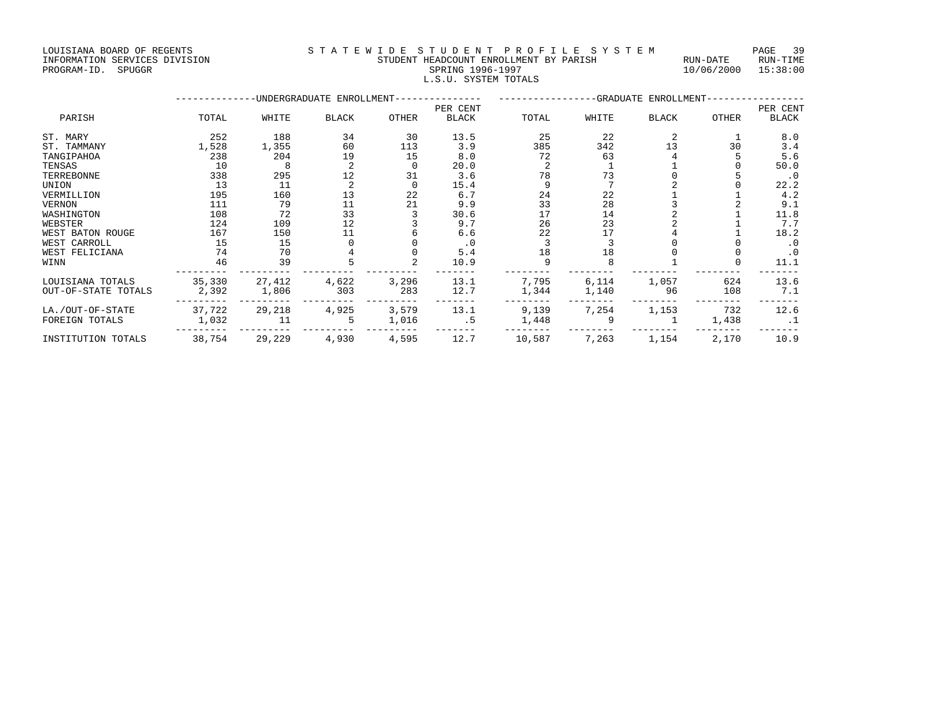LOUISIANA BOARD OF REGENTS STATEWIDE STUDENT PROFILE SYSTEM PAGE 39 INFORMATION SERVICES DIVISION STUDENT HEADCOUNT ENROLLMENT BY PARISH RUN-DATE RUN-TIME

## PROGRAM-ID. SPUGGR SPRING 1996-1997 10/06/2000 15:38:00 L.S.U. SYSTEM TOTALS

--------------UNDERGRADUATE ENROLLMENT--------------- -----------------GRADUATE ENROLLMENT----------------- PER CENT PER CENT PARISH TOTAL WHITE BLACK OTHER BLACK TOTAL WHITE BLACK OTHER BLACK

| --------            |        |        |       |       |           |        |       |       |       |           |
|---------------------|--------|--------|-------|-------|-----------|--------|-------|-------|-------|-----------|
| ST. MARY            | 252    | 188    | 34    | 30    | 13.5      | 25     | 22    |       |       | 8.0       |
| ST. TAMMANY         | 1,528  | 1,355  | 60    | 113   | 3.9       | 385    | 342   | 13    | 30    | 3.4       |
| TANGIPAHOA          | 238    | 204    | 19    | 15    | 8.0       | 72     | 63    |       |       | 5.6       |
| TENSAS              | 10     | 8      |       |       | 20.0      |        |       |       |       | 50.0      |
| <b>TERREBONNE</b>   | 338    | 295    | 12    | 31    | 3.6       | 78     |       |       |       | $\cdot$ 0 |
| UNION               | 13     | 11     |       |       | 15.4      |        |       |       |       | 22.2      |
| VERMILLION          | 195    | 160    | 13    | 22    | 6.7       | 24     | 22    |       |       | 4.2       |
| <b>VERNON</b>       | 111    | 79     | 11    | 21    | 9.9       | 33     | 28    |       |       | 9.1       |
| WASHINGTON          | 108    | 72     | 33    |       | 30.6      | 17     | 14    |       |       | 11.8      |
| WEBSTER             | 124    | 109    | 12    |       | 9.7       | 26     | 23    |       |       | 7.7       |
| WEST BATON ROUGE    | 167    | 150    |       |       | 6.6       | 22     | 17    |       |       | 18.2      |
| WEST CARROLL        | 15     | 15     |       |       | $\cdot$ 0 |        |       |       |       | $\cdot$ 0 |
| WEST FELICIANA      | 74     | 70     |       |       | 5.4       | 18     | 18    |       |       | . 0       |
| WINN                | 46     | 39     |       |       | 10.9      |        |       |       |       | 11.1      |
| LOUISIANA TOTALS    | 35,330 | 27,412 | 4,622 | 3,296 | 13.1      | 7,795  | 6,114 | 1,057 | 624   | 13.6      |
| OUT-OF-STATE TOTALS | 2,392  | 1,806  | 303   | 283   | 12.7      | 1,344  | 1,140 | 96    | 108   | 7.1       |
| LA./OUT-OF-STATE    | 37,722 | 29,218 | 4,925 | 3,579 | 13.1      | 9,139  | 7,254 | 1,153 | 732   | 12.6      |
| FOREIGN TOTALS      | 1,032  | 11     |       | 1,016 | . 5       | 1,448  |       |       | 1,438 | $\cdot$ 1 |
| INSTITUTION TOTALS  | 38,754 | 29,229 | 4,930 | 4,595 | 12.7      | 10,587 | 7,263 | 1,154 | 2,170 | 10.9      |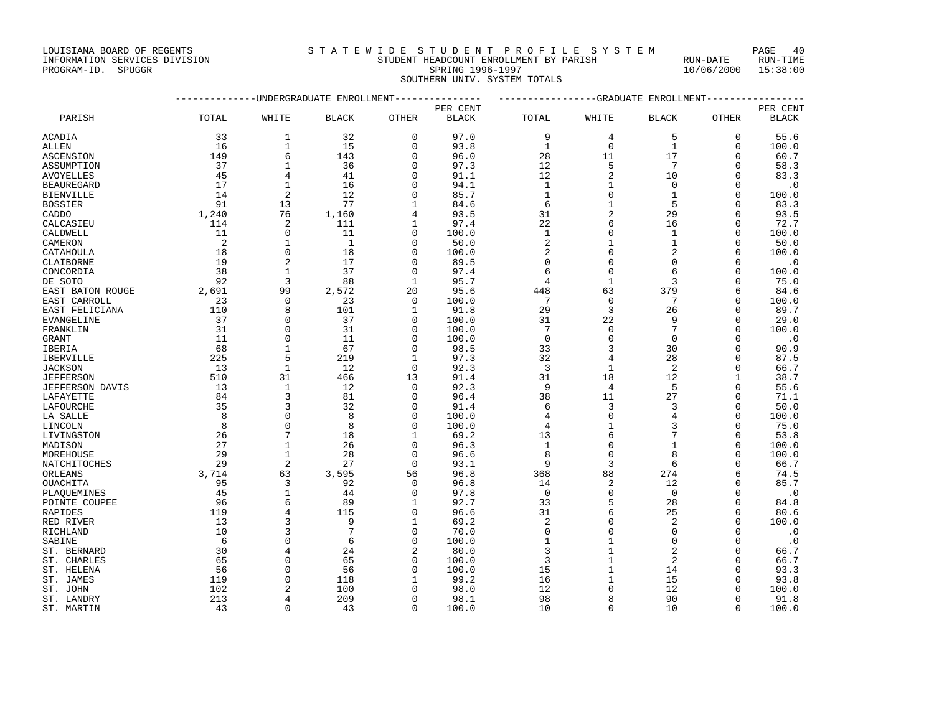### INFORMATION SERVICES DIVISION STUDENT HEADCOUNT ENROLLMENT BY PARISH RUN-DATE RUN-TIME PROGRAM-ID. SPUGGR SPRING 1996-1997 10/06/2000 15:38:00 SOUTHERN UNIV. SYSTEM TOTALS

|                           |         |                     | -UNDERGRADUATE ENROLLMENT |                | -------------GRADUATE ENROLLMENT |                  |                             |                 |               |                   |
|---------------------------|---------|---------------------|---------------------------|----------------|----------------------------------|------------------|-----------------------------|-----------------|---------------|-------------------|
|                           |         |                     |                           |                | PER CENT                         |                  |                             |                 |               | PER CENT          |
| PARISH                    | TOTAL   | WHITE               | <b>BLACK</b>              | OTHER          | <b>BLACK</b>                     | TOTAL            | WHITE                       | <b>BLACK</b>    | OTHER         | <b>BLACK</b>      |
| ACADIA                    | 33      | 1                   | 32                        | 0              | 97.0                             | 9                | 4                           | 5               | 0             | 55.6              |
| ALLEN                     | 16      | $\mathbf{1}$        | 15                        | $\Omega$       | 93.8                             | $\mathbf{1}$     | $\mathbf 0$                 | $\mathbf{1}$    | 0             | 100.0             |
| ASCENSION                 | 149     | 6                   | 143                       | $\Omega$       | 96.0                             | 28               | 11                          | 17              | 0             | 60.7              |
| ASSUMPTION                | 37      | $\mathbf{1}$        | 36                        | $\cap$         | 97.3                             | 12               | 5                           | $7\phantom{.0}$ | $\Omega$      | 58.3              |
| AVOYELLES                 | 45      | 4                   | 41                        | $\Omega$       | 91.1                             | 12               | $\overline{2}$              | 10              | $\Omega$      | 83.3              |
| BEAUREGARD                | 17      | 1                   | 16                        | O              | 94.1                             | $\mathbf{1}$     | 1                           | $\Omega$        | $\Omega$      | . 0               |
| <b>BIENVILLE</b>          | 14      | $\overline{2}$      | 12                        | $\Omega$       | 85.7                             | $\mathbf{1}$     | $\mathbf 0$                 | $\mathbf{1}$    | $\Omega$      | 100.0             |
| BOSSIER                   | 91      | 13                  | 77                        | 1              | 84.6                             | 6                | $\mathbf 1$                 | 5               | $\Omega$      | 83.3              |
| CADDO                     | 1,240   | 76                  | 1,160                     | 4              | 93.5                             | 31               | $\overline{2}$              | 29              | $\Omega$      | 93.5              |
| CALCASIEU                 | 114     | 2                   | 111                       | 1              | 97.4                             | 22               | 6                           | 16              | $\Omega$      | 72.7              |
| CALDWELL                  | 11      | $\mathbf 0$         | 11                        | $\Omega$       | 100.0                            | $\mathbf{1}$     | $\mathbf{0}$                | $\mathbf{1}$    | $\Omega$      | 100.0             |
| CAMERON                   | 2       | 1                   | -1                        | $\Omega$       | 50.0                             | 2                | 1                           | $\mathbf{1}$    | $\Omega$      | 50.0              |
| CATAHOULA                 | 18      | $\Omega$            | 18                        | O              | 100.0                            | 2                | $\Omega$                    | 2               | $\Omega$      | 100.0             |
| CLAIBORNE                 | 19      | $\overline{2}$      | 17                        | $\Omega$       | 89.5                             | $\mathbf 0$      | $\mathbf 0$                 | 0               | $\Omega$      | . 0               |
| CONCORDIA                 | 38      | 1                   | 37                        | $\Omega$       | 97.4                             | 6                | $\Omega$                    | 6               | $\Omega$      | 100.0             |
| DE SOTO                   | 92      | 3                   | 88                        | $\mathbf{1}$   | 95.7                             | 4                | $\mathbf{1}$                | 3               | 0             | 75.0              |
| EAST BATON ROUGE          | 2,691   | 99                  | 2,572                     | 20             | 95.6                             | 448              | 63                          | 379             | 6             | 84.6              |
| EAST CARROLL              | 23      | $\mathbf 0$         | 23                        | $\mathbf{0}$   | 100.0                            | 7                | $\mathbf 0$                 | 7               | $\Omega$      | 100.0             |
| EAST FELICIANA            | 110     | 8                   | 101                       | 1              | 91.8                             | 29               | 3                           | 26              | $\Omega$      | 89.7              |
| EVANGELINE                | 37      | $\Omega$            | 37                        | $\Omega$       | 100.0                            | 31               | 22                          | 9               | $\Omega$      | 29.0              |
| FRANKLIN                  | 31      | $\Omega$            | 31                        | $\cap$         | 100.0                            | 7                | $\mathbf 0$                 | 7               | $\Omega$      | 100.0             |
| GRANT                     | 11      | $\mathbf 0$         | 11                        | O              | 100.0                            | $\mathbf 0$      | $\mathbf{0}$                | $\mathbf 0$     | 0             | $\cdot$ 0         |
| IBERIA                    | 68      | 1                   | 67                        | $\Omega$       | 98.5                             | 33               | 3                           | 30              | $\Omega$      | 90.9              |
| IBERVILLE                 | 225     | 5                   | 219                       | 1              | 97.3                             | 32               | 4                           | 28              | $\Omega$      | 87.5              |
| <b>JACKSON</b>            | 13      | $\mathbf{1}$        | 12                        | $\Omega$       | 92.3                             | 3                | 1                           | 2               | $\Omega$      | 66.7              |
| <b>JEFFERSON</b>          | 510     | 31                  | 466                       | 13             | 91.4                             | 31               | 18                          | 12              | 1             | 38.7              |
| JEFFERSON DAVIS           | 13      | 1                   | 12                        | $\Omega$       | 92.3                             | 9                | 4                           | 5               | $\Omega$      | 55.6              |
| LAFAYETTE                 | 84      | 3                   | 81                        | $\Omega$       | 96.4                             | 38               | 11                          | 27              | $\Omega$      | 71.1              |
| LAFOURCHE                 | 35      | 3                   | 32                        | $\Omega$       | 91.4                             | 6                | 3                           | 3               | 0             | 50.0              |
| LA SALLE                  | 8       | $\Omega$            | 8                         | $\Omega$       | 100.0                            | 4                | $\Omega$                    | 4               | $\Omega$      | 100.0             |
| LINCOLN                   | 8       | $\mathbf 0$         | 8                         | $\Omega$       | 100.0                            | 4                | $\mathbf 1$                 | 3               | $\Omega$      | 75.0              |
| LIVINGSTON                | 26      | 7                   | 18                        | 1              | 69.2                             | 13               | 6                           | 7               | $\Omega$      | 53.8              |
| MADISON                   | 27      | 1                   | 26                        | $\Omega$       | 96.3                             | $\mathbf{1}$     | $\mathbf{0}$                | $\mathbf{1}$    | $\Omega$      | 100.0             |
| MOREHOUSE                 | 29      | $\mathbf{1}$        | 28                        | $\Omega$       | 96.6                             | 8                | $\mathbf{0}$                | 8               | $\Omega$      | 100.0             |
| NATCHITOCHES              | 29      | $\overline{2}$      | 27                        | $\Omega$       | 93.1                             | 9                | $\overline{3}$              | 6               | $\Omega$      | 66.7              |
| ORLEANS                   | 3,714   | 63                  | 3,595                     | 56             | 96.8                             | 368              | 88                          | 274             | 6             | 74.5              |
| OUACHITA                  | 95      | 3                   | 92                        | $\Omega$       | 96.8                             | 14               | $\overline{c}$              | 12              | $\Omega$      | 85.7              |
| PLAQUEMINES               | 45      | 1                   | 44                        | $\Omega$       | 97.8                             | $\mathbf 0$      | $\mathbf 0$                 | $\Omega$        | $\Omega$      | $\cdot$ 0         |
| POINTE COUPEE             | 96      | 6                   | 89                        | 1              | 92.7                             | 33               | 5                           | 28              | $\Omega$      | 84.8              |
| RAPIDES                   | 119     | $\overline{4}$<br>3 | 115                       | 0              | 96.6                             | 31               | 6                           | 25              | 0<br>$\Omega$ | 80.6              |
| RED RIVER                 | 13      | 3                   | 9<br>7                    | 1<br>$\Omega$  | 69.2                             | 2                | $\mathbf{0}$                | 2<br>$\Omega$   | $\Omega$      | 100.0             |
| RICHLAND                  | 10<br>6 | $\Omega$            | 6                         | O              | 70.0                             | $\mathbf 0$<br>1 | $\mathbf{0}$<br>$\mathbf 1$ | $\Omega$        | $\Omega$      | $\cdot$ 0         |
| SABINE<br>ST. BERNARD     | 30      | $\overline{4}$      | 24                        | $\overline{c}$ | 100.0<br>80.0                    | 3                | $\mathbf{1}$                | $\overline{2}$  | $\Omega$      | $\cdot$ 0<br>66.7 |
|                           | 65      | $\Omega$            | 65                        | $\Omega$       | 100.0                            | 3                | $1\,$                       | 2               | $\Omega$      | 66.7              |
| ST. CHARLES<br>ST. HELENA | 56      | $\Omega$            | 56                        | ∩              | 100.0                            | 15               | $\mathbf{1}$                | 14              | $\Omega$      | 93.3              |
| ST. JAMES                 | 119     | $\Omega$            | 118                       | 1              | 99.2                             | 16               | 1                           | 15              | $\Omega$      | 93.8              |
| ST. JOHN                  | 102     | $\mathfrak{D}$      | 100                       |                | 98.0                             | 12               | $\Omega$                    | 12              | $\Omega$      | 100.0             |
| ST. LANDRY                | 213     | 4                   | 209                       | $\Omega$       | 98.1                             | 98               | 8                           | 90              | 0             | 91.8              |
| ST. MARTIN                | 43      | $\Omega$            | 43                        | $\Omega$       | 100.0                            | 10               | $\Omega$                    | 10              | $\Omega$      | 100.0             |
|                           |         |                     |                           |                |                                  |                  |                             |                 |               |                   |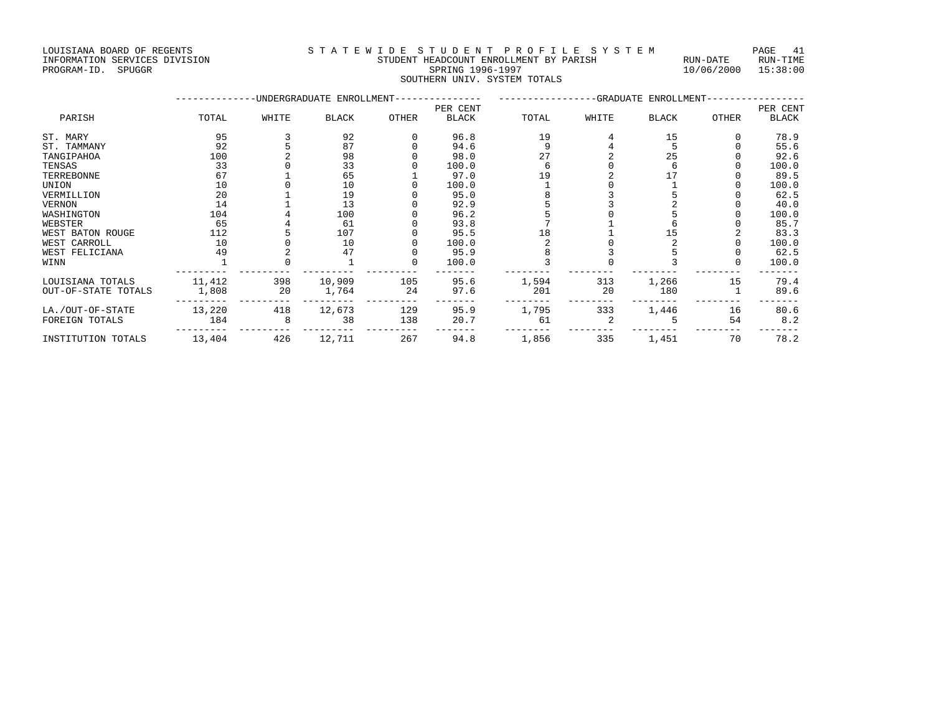#### INFORMATION SERVICES DIVISION STUDENT HEADCOUNT ENROLLMENT BY PARISH RUN-DATE RUN-TIME PROGRAM-ID. SPUGGR SPRING 1996-1997 10/06/2000 15:38:00 SOUTHERN UNIV. SYSTEM TOTALS

|                     |        |       | -UNDERGRADUATE ENROLLMENT- |          | -GRADUATE ENROLLMENT- |       |       |              |       |              |
|---------------------|--------|-------|----------------------------|----------|-----------------------|-------|-------|--------------|-------|--------------|
|                     |        |       |                            |          | PER CENT              |       |       |              |       | PER CENT     |
| PARISH              | TOTAL  | WHITE | <b>BLACK</b>               | OTHER    | <b>BLACK</b>          | TOTAL | WHITE | <b>BLACK</b> | OTHER | <b>BLACK</b> |
| ST. MARY            | 95     |       | 92                         |          | 96.8                  | 19    |       | 15           |       | 78.9         |
| ST. TAMMANY         | 92     |       | 87                         |          | 94.6                  | 9     |       |              |       | 55.6         |
| TANGIPAHOA          | 100    |       | 98                         |          | 98.0                  | 27    |       | 25           |       | 92.6         |
| TENSAS              | 33     |       | 33                         |          | 100.0                 |       |       |              |       | 100.0        |
| TERREBONNE          | 67     |       | 65                         |          | 97.0                  | 19    |       |              |       | 89.5         |
| UNION               | 10     |       | 10                         |          | 100.0                 |       |       |              |       | 100.0        |
| VERMILLION          | 20     |       | 19                         |          | 95.0                  |       |       |              |       | 62.5         |
| VERNON              | 14     |       | 13                         |          | 92.9                  |       |       |              |       | 40.0         |
| WASHINGTON          | 104    |       | 100                        |          | 96.2                  |       |       |              |       | 100.0        |
| WEBSTER             | 65     |       | 61                         |          | 93.8                  |       |       |              |       | 85.7         |
| WEST BATON ROUGE    | 112    |       | 107                        |          | 95.5                  | 18    |       | 15           |       | 83.3         |
| WEST CARROLL        | 10     |       | 10                         |          | 100.0                 |       |       |              |       | 100.0        |
| WEST FELICIANA      | 49     |       | 47                         |          | 95.9                  |       |       |              |       | 62.5         |
| WINN                |        |       |                            | $\Omega$ | 100.0                 |       |       |              |       | 100.0        |
| LOUISIANA TOTALS    | 11,412 | 398   | 10,909                     | 105      | 95.6                  | 1,594 | 313   | 1,266        | 15    | 79.4         |
| OUT-OF-STATE TOTALS | 1,808  | 20    | 1,764                      | 24       | 97.6                  | 201   | 20    | 180          |       | 89.6         |
| LA./OUT-OF-STATE    | 13,220 | 418   | 12,673                     | 129      | 95.9                  | 1,795 | 333   | 1,446        | 16    | 80.6         |
| FOREIGN TOTALS      | 184    | 8     | 38                         | 138      | 20.7                  | 61    |       |              | 54    | 8.2          |
| INSTITUTION TOTALS  | 13,404 | 426   | 12,711                     | 267      | 94.8                  | 1,856 | 335   | 1,451        | 70    | 78.2         |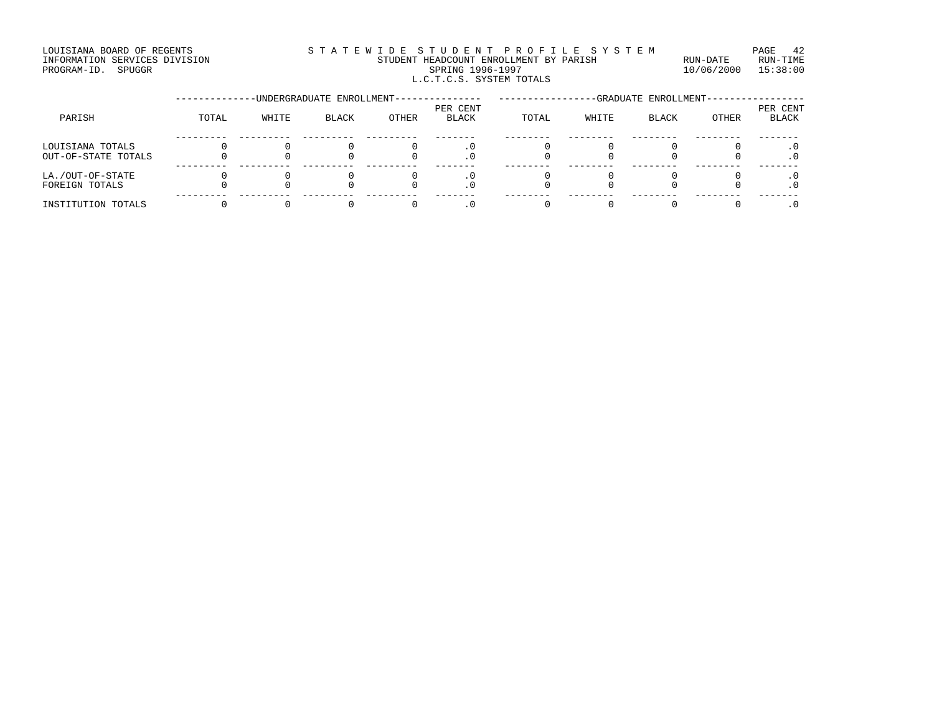#### LOUISIANA BOARD OF REGENTS STATEWIDE STUDENT PROFILE SYSTEM PAGE 42 INFORMATION SERVICES DIVISION STUDENT HEADCOUNT ENROLLMENT BY PARISH RUN-DATE RUN-TIME EXTERNIS AND SERVICES DIVISION **EXAMPLE AND SPUGGRAM-ID.** SPUGGRAM-ID. SPUGGRAM-ID. SPUGGRAM-ID. SPUGGRAM-ID. SPUGGRAM-ID. SPUGGRAM-ID. SPUGGRAM-ID. SPUGGRAM-ID. SPUGGRAM-ID. SPUGGRAM-ID. SPUGGRAM-ID. SPUGGRAM-ID. SPUGGRAM L.C.T.C.S. SYSTEM TOTALS

|                                         |       | -UNDERGRADUATE ENROLLMENT- |              |       | -GRADUATE ENROLLMENT-    |       |       |              |       |                          |
|-----------------------------------------|-------|----------------------------|--------------|-------|--------------------------|-------|-------|--------------|-------|--------------------------|
| PARISH                                  | TOTAL | WHITE                      | <b>BLACK</b> | OTHER | PER CENT<br><b>BLACK</b> | TOTAL | WHITE | <b>BLACK</b> | OTHER | PER CENT<br><b>BLACK</b> |
| LOUISIANA TOTALS<br>OUT-OF-STATE TOTALS |       |                            |              |       |                          |       |       |              |       |                          |
| LA./OUT-OF-STATE<br>FOREIGN TOTALS      |       |                            |              |       | . U                      |       |       |              |       |                          |
| INSTITUTION TOTALS                      |       |                            |              |       |                          |       |       |              |       |                          |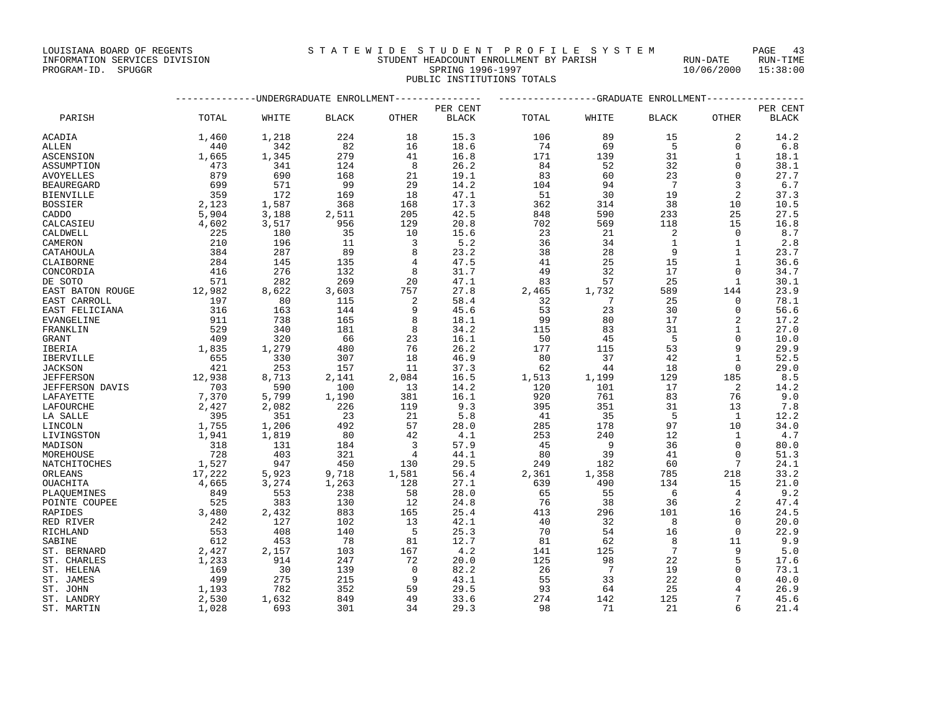## INFORMATION SERVICES DIVISION STUDENT HEADCOUNT ENROLLMENT BY PARISH RUN-DATE RUN-TIME RED INFORMATION SERVICES DIVISION AND STODENT HEADCOUNT ENROLLMENT BY PARISH THE SPUN-DATE RUN-TIME FUN-TIME SPUGGRAM-ID. SPUGGRAM-ID. SPUGGRAM-ID. SPUGGRAM-ID. SPUGGRAM-ID. SPUGGRAM-ID. SPUGGRAM-ID. SPUGGRAM-ID. SPUGGRAM-

PUBLIC INSTITUTIONS TOTALS

|                        |                                                  |                                                | --UNDERGRADUATE ENROLLMENT                                                        |                                         |              |       |                | -GRADUATE ENROLLMENT         |                 |              |
|------------------------|--------------------------------------------------|------------------------------------------------|-----------------------------------------------------------------------------------|-----------------------------------------|--------------|-------|----------------|------------------------------|-----------------|--------------|
|                        |                                                  |                                                |                                                                                   |                                         | PER CENT     |       |                |                              |                 | PER CENT     |
| PARISH                 | TOTAL                                            | WHITE                                          | <b>BLACK</b>                                                                      | OTHER                                   | <b>BLACK</b> | TOTAL | WHITE          | <b>BLACK</b>                 | OTHER           | <b>BLACK</b> |
| ACADIA                 | 1,460                                            | 1,218                                          | 224                                                                               | 18                                      | 15.3         | 106   | 89             | 15                           | 2               | 14.2         |
| <b>ALLEN</b>           | 440                                              | 342                                            | 82                                                                                | 16                                      | 18.6         | 74    | 69             | $5^{\circ}$                  | $\Omega$        | 6.8          |
| ASCENSION              | 1,665                                            | 1,345                                          | 279                                                                               | 41                                      | 16.8         | 171   | 139            | 31                           | $\mathbf{1}$    | 18.1         |
| ASSUMPTION             | 473                                              |                                                | 124                                                                               | 8                                       | 26.2         | 84    | 52             | 32                           | $\Omega$        | 38.1         |
| AVOYELLES              | 879                                              | 341<br>690                                     | 168                                                                               | 21                                      | 19.1         | 83    | 60             | 23                           | $\Omega$        | 27.7         |
| <b>BEAUREGARD</b>      | 699                                              | 571                                            | 99                                                                                | 29                                      | 14.2         | 104   | 94             | $7^{\circ}$                  | 3               | 6.7          |
| <b>BIENVILLE</b>       | 359                                              | 172                                            | 169                                                                               | 18                                      | 47.1         | 51    | 30             | 19                           | 2               | 37.3         |
| <b>BOSSIER</b>         | 2,123                                            | 1,587                                          | 368                                                                               | 168                                     | 17.3         | 362   | 314            | 38                           | 10              | 10.5         |
| CADDO                  | 5,904                                            | 3,188                                          | 2,511<br>956                                                                      | 205                                     | 42.5         | 848   | 590            | 233                          | 25              | 27.5         |
| CALCASIEU              | 4,602                                            | 3,517                                          |                                                                                   | 129                                     | 20.8         | 702   | 569            | 118                          | 15              | 16.8         |
| CALDWELL               | 225                                              | 180                                            | 35                                                                                | 10                                      | 15.6         | 23    | 21             | $\overline{2}$               | $\Omega$        | 8.7          |
| CAMERON                | 210                                              | 196                                            | 11                                                                                | $\overline{\mathbf{3}}$                 | 5.2          | 36    | 34             | $\overline{1}$               | $\mathbf{1}$    | 2.8          |
| CATAHOULA              | 384                                              | 287                                            | 89                                                                                | 8                                       | 23.2         | 38    | 28             | 9                            | $\mathbf{1}$    | 23.7         |
| CLAIBORNE              | 284                                              | 145                                            | 135                                                                               | $4\overline{ }$                         | 47.5         | 41    | 25             | 15                           | $\mathbf{1}$    | 36.6         |
| CONCORDIA              | 416                                              | 276                                            | 132                                                                               | 8                                       | 31.7         | 49    | 32             | 17                           | $\Omega$        | 34.7         |
| DE SOTO                | 571                                              | 282                                            | 269                                                                               | 20                                      | 47.1         | 83    | 57             | 25                           | 1               | 30.1         |
| EAST BATON ROUGE       | 12,982                                           | 8,622                                          | 3,603                                                                             | 757                                     | 27.8         | 2,465 | 1,732          | 589                          | 144             | 23.9         |
| EAST CARROLL           |                                                  | 80                                             | 115                                                                               | $\overline{\phantom{a}}$ 2              | 58.4         | 32    | $\overline{7}$ | 25                           | $\Omega$        | 78.1         |
| EAST FELICIANA         | $\begin{array}{c} 197 \\ 316 \\ 911 \end{array}$ | 163                                            | 144                                                                               | 9                                       | 45.6         | 53    | 23             | 30                           | $\Omega$        | 56.6         |
| EVANGELINE             |                                                  | 738                                            | 165                                                                               | 8                                       | 18.1         | 99    | 80             | 17                           | $\overline{2}$  | 17.2         |
| FRANKLIN               | $\frac{529}{409}$                                | 340                                            | 181                                                                               | 8                                       | 34.2         | 115   | 83             | 31                           | $\mathbf{1}$    | 27.0         |
| <b>GRANT</b>           |                                                  | 320                                            | 66                                                                                | 23                                      | 16.1         | 50    | 45             | 5                            | $\Omega$        | 10.0         |
| IBERIA                 | 1,835                                            | 1,279                                          | 480                                                                               | 76                                      | 26.2         | 177   | 115            | 53                           | $\mathsf{Q}$    | 29.9         |
| IBERVILLE              |                                                  | 330                                            | 307                                                                               | 18                                      | 46.9         | 80    | 37             | 42                           | $\mathbf{1}$    | 52.5         |
| <b>JACKSON</b>         | $655$<br>$421$                                   | 253                                            | 157                                                                               | 11                                      | 37.3         | 62    | 44             | 18                           | $\Omega$        | 29.0         |
| <b>JEFFERSON</b>       | 12,938                                           | 8,713                                          | 2,141                                                                             | 2,084                                   | 16.5         | 1,513 | 1,199          | 129                          | 185             | 8.5          |
| <b>JEFFERSON DAVIS</b> | $\begin{array}{c} 703 \\ 7,370 \end{array}$      | 590                                            | $\begin{array}{c} 100 \\ 1,190 \end{array}$                                       | $\frac{13}{387}$                        | 14.2         | 120   | 101            | 17                           | $\overline{2}$  | 14.2         |
| LAFAYETTE              |                                                  | 5,799                                          |                                                                                   |                                         | 16.1         | 920   | 761            | 83                           | 76              | 9.0          |
| LAFOURCHE              | 2,427                                            |                                                |                                                                                   | 119                                     | 9.3          | 395   | 351            | 31                           | 13              | 7.8          |
| LA SALLE               | 395                                              |                                                |                                                                                   |                                         | 5.8          | 41    | 35             | 5                            | $\overline{1}$  | 12.2         |
| LINCOLN                | 1,755                                            | 2,082<br>351<br>1,206<br>1,210                 | $\frac{226}{23}$<br>492                                                           | $\begin{array}{c} 21 \\ 57 \end{array}$ | 28.0         | 285   | 178            | 97                           | 10              | 34.0         |
| LIVINGSTON             | 1,941                                            |                                                | 80                                                                                | 42                                      | 4.1          | 253   | 240            | 12                           | 1               | 4.7          |
| MADISON                |                                                  |                                                | 184                                                                               | $\overline{\mathbf{3}}$                 | 57.9         | 45    | $\overline{9}$ | 36                           | $\Omega$        | 80.0         |
| MOREHOUSE              | $\begin{array}{r} 318 \\ 728 \end{array}$        | $1, 0$<br>131<br>403                           | 321                                                                               | $4\overline{4}$                         | 44.1         | 80    | 39             | 41                           | $\Omega$        | 51.3         |
| NATCHITOCHES           |                                                  |                                                |                                                                                   | 130                                     | 29.5         | 249   | 182            | 60                           | $7\phantom{.0}$ | 24.1         |
| ORLEANS                | 1,527<br>17,222                                  | $40.947$<br>5,923<br>3,274<br>553              | $\begin{array}{cc}\n 23 & 9, \\  & 1,26, \\  & 238 \\  & 13\degree\n \end{array}$ | 1,581                                   | 56.4         | 2,361 | 1,358          | 785                          | 218             | 33.2         |
| <b>OUACHITA</b>        | 4,665                                            |                                                |                                                                                   | 128                                     | 27.1         | 639   | 490            | 134                          | 15              | 21.0         |
| PLAQUEMINES            |                                                  |                                                |                                                                                   | 58                                      | 28.0         | 65    | 55             | $6^{\circ}$                  | $\overline{4}$  | 9.2          |
| POINTE COUPEE          | $849$<br>$525$<br>3,480                          | 383                                            |                                                                                   | 12                                      | 24.8         | 76    | 38             | 36                           | 2               | 47.4         |
| RAPIDES                |                                                  | 2,432                                          | 883                                                                               | 165                                     | 25.4         | 413   | 296            | 101                          | 16              | 24.5         |
| RED RIVER              |                                                  | 127                                            | 102                                                                               | 13                                      | 42.1         | 40    | 32             | $\overline{8}$               | $\Omega$        | 20.0         |
| RICHLAND               |                                                  |                                                | 140                                                                               | $5^{\circ}$                             | 25.3         | 70    | 54             | 16                           | $\Omega$        | 22.9         |
| SABINE                 | $\begin{array}{c} 242 \\ 553 \\ 612 \end{array}$ | $\begin{array}{c} 408 \\ 453 \\ 2 \end{array}$ | 78                                                                                | 81                                      | 12.7         | 81    | 62             | 8                            | 11              | 9.9          |
| ST. BERNARD            | 2,427                                            |                                                | 103                                                                               | 167                                     | 4.2          | 141   | 125            | $7\phantom{.0}\phantom{.0}7$ | 9               | 5.0          |
| ST. CHARLES            | 1,233                                            | 914                                            | 247                                                                               | 72                                      | 20.0         | 125   | 98             | 22                           | 5               | 17.6         |
| ST. HELENA             | 169                                              | 30                                             | 139                                                                               | $\overline{0}$                          | 82.2         | 26    | $\overline{7}$ | 19                           | $\Omega$        | 73.1         |
| ST. JAMES              | 499                                              | 275                                            | 215                                                                               | 9                                       | 43.1         | 55    | 33             | 22                           | $\Omega$        | 40.0         |
| ST. JOHN               | 1,193                                            | 782                                            | 352                                                                               | 59                                      | 29.5         | 93    | 64             | 25                           |                 | 26.9         |
| ST. LANDRY             | 2,530                                            | 1,632                                          | 849                                                                               | 49                                      | 33.6         | 274   | 142            | 125                          | $7\phantom{.0}$ | 45.6         |
| ST. MARTIN             | 1,028                                            | 693                                            | 301                                                                               | 34                                      | 29.3         | 98    | 71             | 21                           | 6               | 21.4         |